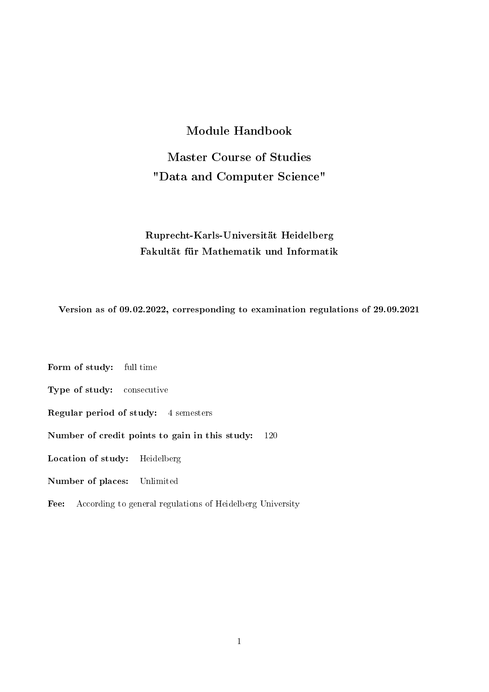### Module Handbook

Master Course of Studies "Data and Computer Science"

### Ruprecht-Karls-Universität Heidelberg Fakultät für Mathematik und Informatik

Version as of 09.02.2022, corresponding to examination regulations of 29.09.2021

Form of study: full time

Type of study: consecutive

Regular period of study: 4 semesters

Number of credit points to gain in this study: 120

Location of study: Heidelberg

Number of places: Unlimited

Fee: According to general regulations of Heidelberg University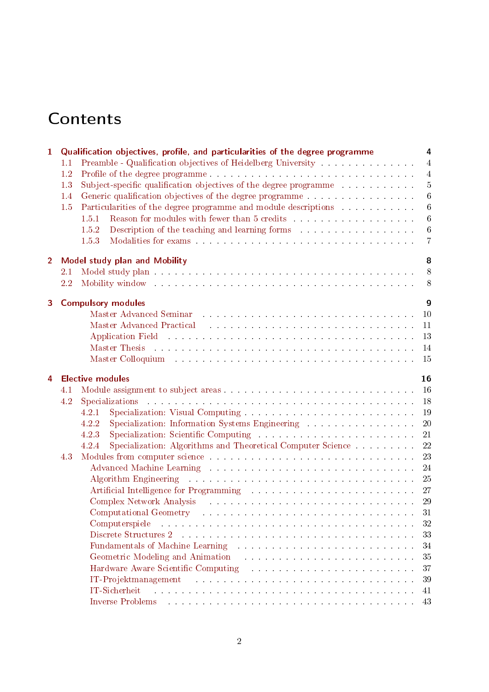# **Contents**

| $\mathbf{1}$   | Qualification objectives, profile, and particularities of the degree programme<br>4<br>Preamble - Qualification objectives of Heidelberg University<br>$\overline{4}$<br>1.1 |                                                                                                                                                                                                                                            |  |  |  |  |  |
|----------------|------------------------------------------------------------------------------------------------------------------------------------------------------------------------------|--------------------------------------------------------------------------------------------------------------------------------------------------------------------------------------------------------------------------------------------|--|--|--|--|--|
|                | 1.2                                                                                                                                                                          | $\overline{4}$                                                                                                                                                                                                                             |  |  |  |  |  |
|                | 1.3                                                                                                                                                                          | $\bf 5$                                                                                                                                                                                                                                    |  |  |  |  |  |
|                | 1.4                                                                                                                                                                          | $6\phantom{.}6$<br>Generic qualification objectives of the degree programme                                                                                                                                                                |  |  |  |  |  |
|                | 1.5                                                                                                                                                                          | Particularities of the degree programme and module descriptions<br>$6\phantom{.}6$                                                                                                                                                         |  |  |  |  |  |
|                |                                                                                                                                                                              | $\,6\,$<br>1.5.1                                                                                                                                                                                                                           |  |  |  |  |  |
|                |                                                                                                                                                                              | $\,6\,$<br>1.5.2                                                                                                                                                                                                                           |  |  |  |  |  |
|                |                                                                                                                                                                              | 1.5.3<br>$\overline{7}$                                                                                                                                                                                                                    |  |  |  |  |  |
| $\overline{2}$ |                                                                                                                                                                              | <b>Model study plan and Mobility</b><br>8                                                                                                                                                                                                  |  |  |  |  |  |
|                | 2.1                                                                                                                                                                          | 8                                                                                                                                                                                                                                          |  |  |  |  |  |
|                | 2.2                                                                                                                                                                          | Mobility window the contract of the contract of the contract of the contract of the contract of the contract of the contract of the contract of the contract of the contract of the contract of the contract of the contract o<br>8        |  |  |  |  |  |
|                |                                                                                                                                                                              |                                                                                                                                                                                                                                            |  |  |  |  |  |
| 3              |                                                                                                                                                                              | $\boldsymbol{9}$<br><b>Compulsory modules</b>                                                                                                                                                                                              |  |  |  |  |  |
|                |                                                                                                                                                                              | 10                                                                                                                                                                                                                                         |  |  |  |  |  |
|                |                                                                                                                                                                              | Master Advanced Practical Albert Advanced Practical Albert Advanced Practical Albert Albert Albert Albert Albert Albert Albert Albert Albert Albert Albert Albert Albert Albert Albert Albert Albert Albert Albert Albert Albe<br>11       |  |  |  |  |  |
|                |                                                                                                                                                                              | 13                                                                                                                                                                                                                                         |  |  |  |  |  |
|                |                                                                                                                                                                              | 14<br>Master Thesis and an annual contract and an annual contract and an annual contract of the Master and an annual contract of the Master of the Master of the Master of the Master of the Master of the Master of the Master of t       |  |  |  |  |  |
|                |                                                                                                                                                                              | 15                                                                                                                                                                                                                                         |  |  |  |  |  |
| 4              |                                                                                                                                                                              | <b>Elective modules</b><br>16                                                                                                                                                                                                              |  |  |  |  |  |
|                | 4.1                                                                                                                                                                          | 16                                                                                                                                                                                                                                         |  |  |  |  |  |
|                | 4.2                                                                                                                                                                          | 18                                                                                                                                                                                                                                         |  |  |  |  |  |
|                |                                                                                                                                                                              | 19<br>4.2.1                                                                                                                                                                                                                                |  |  |  |  |  |
|                |                                                                                                                                                                              | 20<br>Specialization: Information Systems Engineering<br>4.2.2                                                                                                                                                                             |  |  |  |  |  |
|                |                                                                                                                                                                              | 21<br>4.2.3                                                                                                                                                                                                                                |  |  |  |  |  |
|                |                                                                                                                                                                              | 22<br>Specialization: Algorithms and Theoretical Computer Science<br>4.2.4                                                                                                                                                                 |  |  |  |  |  |
|                | 4.3                                                                                                                                                                          | 23                                                                                                                                                                                                                                         |  |  |  |  |  |
|                |                                                                                                                                                                              | 24                                                                                                                                                                                                                                         |  |  |  |  |  |
|                |                                                                                                                                                                              | Algorithm Engineering Algorithm and Algorithm Engineering Algorithm and Algorithm and Algorithm and Algorithm<br>25                                                                                                                        |  |  |  |  |  |
|                |                                                                                                                                                                              | 27<br>Artificial Intelligence for Programming (a) and a set of the set of the set of the set of the set of the set of the set of the set of the set of the set of the set of the set of the set of the set of the set of the set of        |  |  |  |  |  |
|                |                                                                                                                                                                              | Complex Network Analysis (Ed. 2010). The contract of the contract of the contract of the contract of the contract of the contract of the contract of the contract of the contract of the contract of the contract of the contr<br>29       |  |  |  |  |  |
|                |                                                                                                                                                                              | 31<br>Computational Geometry entering the service of the service of the service of the service of the service of the                                                                                                                       |  |  |  |  |  |
|                |                                                                                                                                                                              | 32<br>Computerspiele researchers and and a series and a series and a series and a series and a series and a series of                                                                                                                      |  |  |  |  |  |
|                |                                                                                                                                                                              | 33                                                                                                                                                                                                                                         |  |  |  |  |  |
|                |                                                                                                                                                                              | <b>Fundamentals of Machine Learning Fig. 2. Action Acts and Acts and Acts and Acts and Acts and Acts and Acts and Acts and Acts and Acts and Acts and Acts and Acts and Acts and Acts and Acts and Acts and Acts and Acts and Ac</b><br>34 |  |  |  |  |  |
|                |                                                                                                                                                                              | Geometric Modeling and Animation entries and such a series and series and series and series are series and series and series are series and series are series and series are series and series are series and series are serie<br>35       |  |  |  |  |  |
|                |                                                                                                                                                                              | 37                                                                                                                                                                                                                                         |  |  |  |  |  |
|                |                                                                                                                                                                              | 39                                                                                                                                                                                                                                         |  |  |  |  |  |
|                |                                                                                                                                                                              | IT-Sicherheit<br>.<br>In the company of the company of the company of the company of the company of the company of the company of th<br>41                                                                                                 |  |  |  |  |  |
|                |                                                                                                                                                                              | Inverse Problems (Fig. 1) and a contract of the contract of the contract of the contract of the contract of the contract of the contract of the contract of the contract of the contract of the contract of the contract of th<br>43       |  |  |  |  |  |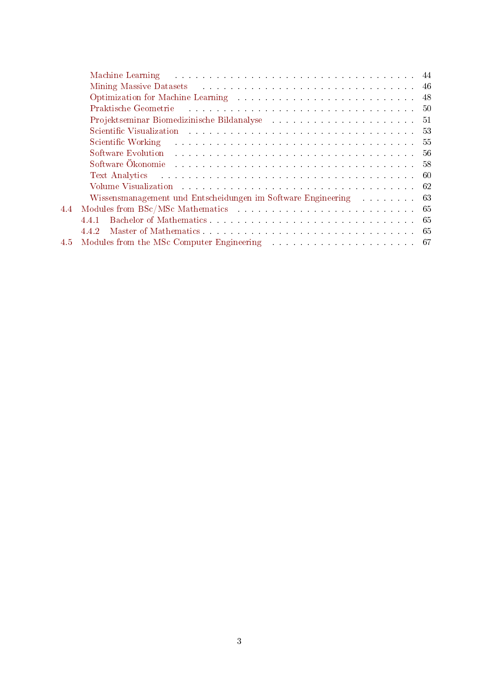|               | Machine Learning the state of the state of the state of the state of the state of the state of the state of the state of the state of the state of the state of the state of the state of the state of the state of the state  |     |
|---------------|--------------------------------------------------------------------------------------------------------------------------------------------------------------------------------------------------------------------------------|-----|
|               |                                                                                                                                                                                                                                |     |
|               | Optimization for Machine Learning enters and account of the set of the set of the set of the set of the set of the set of the set of the set of the set of the set of the set of the set of the set of the set of the set of t | -48 |
|               | Praktische Geometrie and all and all and all and all and all and all and all and all and all and all and all a                                                                                                                 |     |
|               |                                                                                                                                                                                                                                |     |
|               |                                                                                                                                                                                                                                | 53  |
|               | . The components of the components of the components of the components of $55$<br>Scientific Working                                                                                                                           |     |
|               |                                                                                                                                                                                                                                | -56 |
|               |                                                                                                                                                                                                                                |     |
|               | Text Analytics resources in the contract of the contract of the contract of the contract of the contract of the contract of the contract of the contract of the contract of the contract of the contract of the contract of th |     |
|               | Volume Visualization and the contract of the contract of the contract of the contract of the contract of the contract of the contract of the contract of the contract of the contract of the contract of the contract of the c |     |
|               | Wissensmanagement und Entscheidungen im Software Engineering 63                                                                                                                                                                |     |
| 4.4           | Modules from BSc/MSc Mathematics expansion of the state of the state of the state of the state of the state of the state of the state of the state of the state of the state of the state of the state of the state of the sta |     |
|               | 441                                                                                                                                                                                                                            |     |
|               | 4.4.2                                                                                                                                                                                                                          |     |
| $4.5^{\circ}$ |                                                                                                                                                                                                                                |     |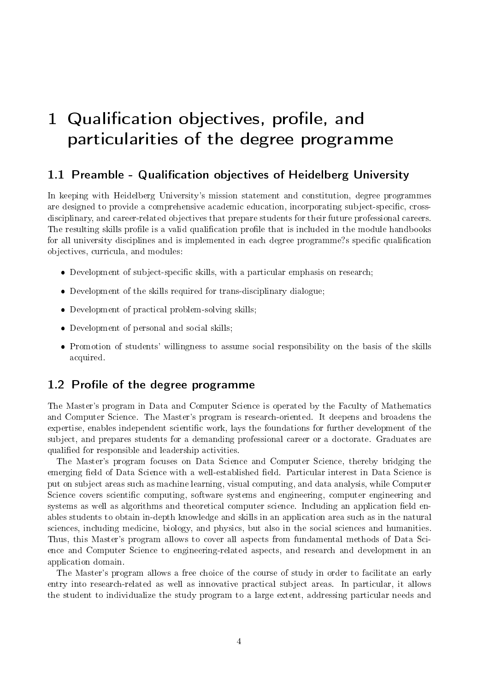# <span id="page-3-0"></span>1 Qualification objectives, profile, and particularities of the degree programme

#### <span id="page-3-1"></span>1.1 Preamble - Qualification objectives of Heidelberg University

In keeping with Heidelberg University's mission statement and constitution, degree programmes are designed to provide a comprehensive academic education, incorporating subject-specific, crossdisciplinary, and career-related objectives that prepare students for their future professional careers. The resulting skills profile is a valid qualification profile that is included in the module handbooks for all university disciplines and is implemented in each degree programme?s specific qualification objectives, curricula, and modules:

- Development of subject-specific skills, with a particular emphasis on research;
- Development of the skills required for trans-disciplinary dialogue;
- Development of practical problem-solving skills;
- Development of personal and social skills;
- Promotion of students' willingness to assume social responsibility on the basis of the skills acquired.

#### <span id="page-3-2"></span> $1.2$  Profile of the degree programme

The Master's program in Data and Computer Science is operated by the Faculty of Mathematics and Computer Science. The Master's program is research-oriented. It deepens and broadens the expertise, enables independent scientific work, lays the foundations for further development of the subject, and prepares students for a demanding professional career or a doctorate. Graduates are qualified for responsible and leadership activities.

The Master's program focuses on Data Science and Computer Science, thereby bridging the emerging field of Data Science with a well-established field. Particular interest in Data Science is put on subject areas such as machine learning, visual computing, and data analysis, while Computer Science covers scientific computing, software systems and engineering, computer engineering and systems as well as algorithms and theoretical computer science. Including an application field enables students to obtain in-depth knowledge and skills in an application area such as in the natural sciences, including medicine, biology, and physics, but also in the social sciences and humanities. Thus, this Master's program allows to cover all aspects from fundamental methods of Data Science and Computer Science to engineering-related aspects, and research and development in an application domain.

The Master's program allows a free choice of the course of study in order to facilitate an early entry into research-related as well as innovative practical subject areas. In particular, it allows the student to individualize the study program to a large extent, addressing particular needs and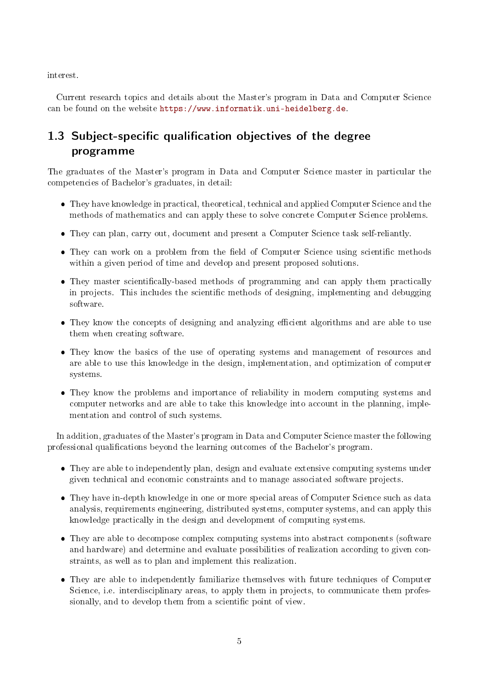interest.

Current research topics and details about the Master's program in Data and Computer Science can be found on the website [https://www.informatik.uni-heidelberg.de.](https://www.informatik.uni-heidelberg.de)

### <span id="page-4-0"></span>1.3 Subject-specific qualification objectives of the degree programme

The graduates of the Master's program in Data and Computer Science master in particular the competencies of Bachelor's graduates, in detail:

- They have knowledge in practical, theoretical, technical and applied Computer Science and the methods of mathematics and can apply these to solve concrete Computer Science problems.
- They can plan, carry out, document and present a Computer Science task self-reliantly.
- They can work on a problem from the field of Computer Science using scientific methods within a given period of time and develop and present proposed solutions.
- They master scientifically-based methods of programming and can apply them practically in projects. This includes the scientific methods of designing, implementing and debugging software.
- They know the concepts of designing and analyzing efficient algorithms and are able to use them when creating software.
- They know the basics of the use of operating systems and management of resources and are able to use this knowledge in the design, implementation, and optimization of computer systems.
- They know the problems and importance of reliability in modern computing systems and computer networks and are able to take this knowledge into account in the planning, implementation and control of such systems.

In addition, graduates of the Master's program in Data and Computer Science master the following professional qualications beyond the learning outcomes of the Bachelor's program.

- They are able to independently plan, design and evaluate extensive computing systems under given technical and economic constraints and to manage associated software projects.
- They have in-depth knowledge in one or more special areas of Computer Science such as data analysis, requirements engineering, distributed systems, computer systems, and can apply this knowledge practically in the design and development of computing systems.
- They are able to decompose complex computing systems into abstract components (software and hardware) and determine and evaluate possibilities of realization according to given constraints, as well as to plan and implement this realization.
- They are able to independently familiarize themselves with future techniques of Computer Science, i.e. interdisciplinary areas, to apply them in projects, to communicate them professionally, and to develop them from a scientific point of view.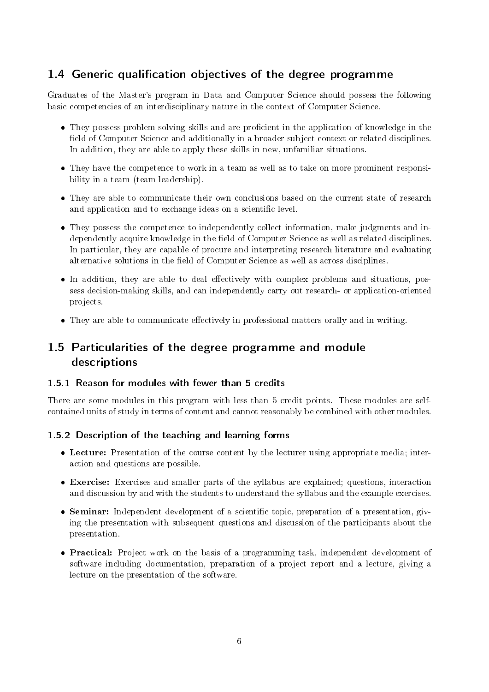### <span id="page-5-0"></span>1.4 Generic qualification objectives of the degree programme

Graduates of the Master's program in Data and Computer Science should possess the following basic competencies of an interdisciplinary nature in the context of Computer Science.

- They possess problem-solving skills and are proficient in the application of knowledge in the field of Computer Science and additionally in a broader subject context or related disciplines. In addition, they are able to apply these skills in new, unfamiliar situations.
- They have the competence to work in a team as well as to take on more prominent responsibility in a team (team leadership).
- They are able to communicate their own conclusions based on the current state of research and application and to exchange ideas on a scientific level.
- They possess the competence to independently collect information, make judgments and independently acquire knowledge in the field of Computer Science as well as related disciplines. In particular, they are capable of procure and interpreting research literature and evaluating alternative solutions in the field of Computer Science as well as across disciplines.
- In addition, they are able to deal effectively with complex problems and situations, possess decision-making skills, and can independently carry out research- or application-oriented projects.
- They are able to communicate effectively in professional matters orally and in writing.

### <span id="page-5-1"></span>1.5 Particularities of the degree programme and module descriptions

#### <span id="page-5-2"></span>1.5.1 Reason for modules with fewer than 5 credits

There are some modules in this program with less than 5 credit points. These modules are selfcontained units of study in terms of content and cannot reasonably be combined with other modules.

#### <span id="page-5-3"></span>1.5.2 Description of the teaching and learning forms

- Lecture: Presentation of the course content by the lecturer using appropriate media; interaction and questions are possible.
- Exercise: Exercises and smaller parts of the syllabus are explained; questions, interaction and discussion by and with the students to understand the syllabus and the example exercises.
- Seminar: Independent development of a scientific topic, preparation of a presentation, giving the presentation with subsequent questions and discussion of the participants about the presentation.
- Practical: Project work on the basis of a programming task, independent development of software including documentation, preparation of a project report and a lecture, giving a lecture on the presentation of the software.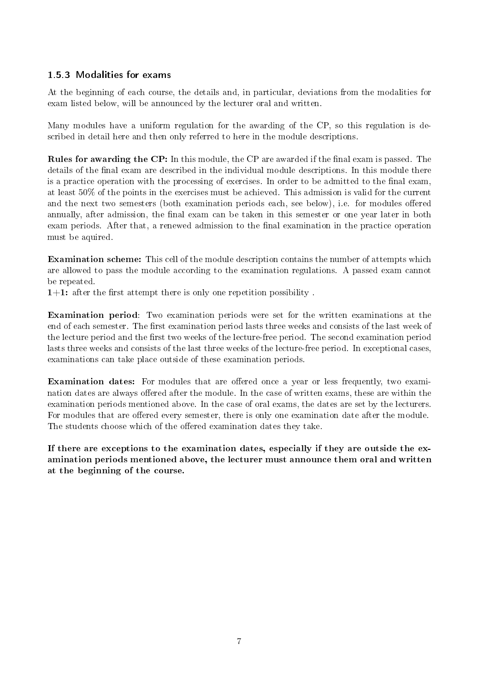#### <span id="page-6-0"></span>1.5.3 Modalities for exams

At the beginning of each course, the details and, in particular, deviations from the modalities for exam listed below, will be announced by the lecturer oral and written.

Many modules have a uniform regulation for the awarding of the CP, so this regulation is described in detail here and then only referred to here in the module descriptions.

Rules for awarding the CP: In this module, the CP are awarded if the final exam is passed. The details of the final exam are described in the individual module descriptions. In this module there is a practice operation with the processing of exercises. In order to be admitted to the final exam, at least 50% of the points in the exercises must be achieved. This admission is valid for the current and the next two semesters (both examination periods each, see below), i.e. for modules offered annually, after admission, the final exam can be taken in this semester or one year later in both exam periods. After that, a renewed admission to the final examination in the practice operation must be aquired.

Examination scheme: This cell of the module description contains the number of attempts which are allowed to pass the module according to the examination regulations. A passed exam cannot be repeated.

 $1+1$ : after the first attempt there is only one repetition possibility.

Examination period: Two examination periods were set for the written examinations at the end of each semester. The first examination period lasts three weeks and consists of the last week of the lecture period and the first two weeks of the lecture-free period. The second examination period lasts three weeks and consists of the last three weeks of the lecture-free period. In exceptional cases, examinations can take place outside of these examination periods.

Examination dates: For modules that are offered once a year or less frequently, two examination dates are always offered after the module. In the case of written exams, these are within the examination periods mentioned above. In the case of oral exams, the dates are set by the lecturers. For modules that are offered every semester, there is only one examination date after the module. The students choose which of the offered examination dates they take.

If there are exceptions to the examination dates, especially if they are outside the examination periods mentioned above, the lecturer must announce them oral and written at the beginning of the course.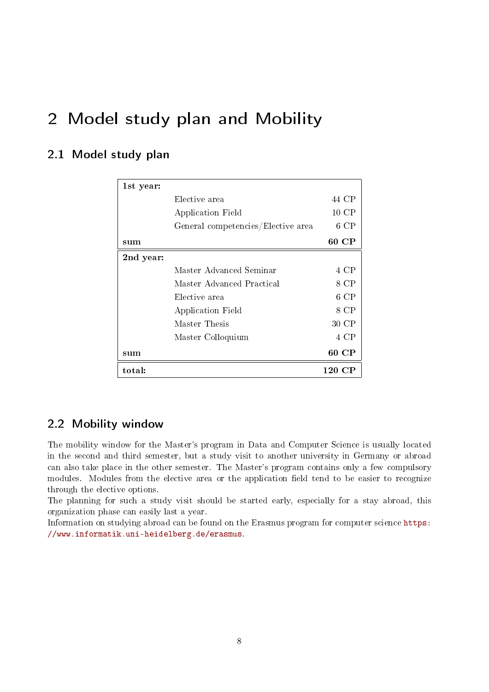# <span id="page-7-0"></span>2 Model study plan and Mobility

### <span id="page-7-1"></span>2.1 Model study plan

| 1st year: |                                    |        |
|-----------|------------------------------------|--------|
|           | Elective area                      | 44 CP  |
|           | Application Field                  | 10 CP  |
|           | General competencies/Elective area | $6$ CP |
| sum       |                                    | 60 CP  |
| 2nd year: |                                    |        |
|           | Master Advanced Seminar            | 4 CP   |
|           | Master Advanced Practical          | 8 CP   |
|           | Elective area                      | 6 CP   |
|           | Application Field                  | 8 CP   |
|           | Master Thesis                      | 30 CP  |
|           | Master Colloquium                  | 4 CP   |
| sum       |                                    | 60 CP  |
| total:    |                                    | 120 CP |

### <span id="page-7-2"></span>2.2 Mobility window

The mobility window for the Master's program in Data and Computer Science is usually located in the second and third semester, but a study visit to another university in Germany or abroad can also take place in the other semester. The Master's program contains only a few compulsory modules. Modules from the elective area or the application field tend to be easier to recognize through the elective options.

The planning for such a study visit should be started early, especially for a stay abroad, this organization phase can easily last a year.

Information on studying abroad can be found on the Erasmus program for computer science [https:](https://www.informatik.uni-heidelberg.de/erasmus) [//www.informatik.uni-heidelberg.de/erasmus.](https://www.informatik.uni-heidelberg.de/erasmus)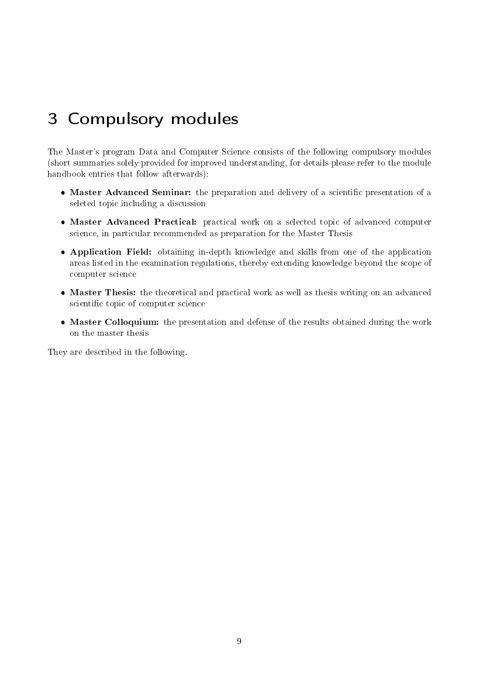# <span id="page-8-0"></span>3 Compulsory modules

The Master's program Data and Computer Science consists of the following compulsory modules (short summaries solely provided for improved understanding, for details please refer to the module handbook entries that follow afterwards):

- Master Advanced Seminar: the preparation and delivery of a scientific presentation of a seleted topic including a discussion
- Master Advanced Practical: practical work on a selected topic of advanced computer science, in particular recommended as preparation for the Master Thesis
- Application Field: obtaining in-depth knowledge and skills from one of the application areas listed in the examination regulations, thereby extending knowledge beyond the scope of computer science
- Master Thesis: the theoretical and practical work as well as thesis writing on an advanced scientific topic of computer science
- Master Colloquium: the presentation and defense of the results obtained during the work on the master thesis

They are described in the following.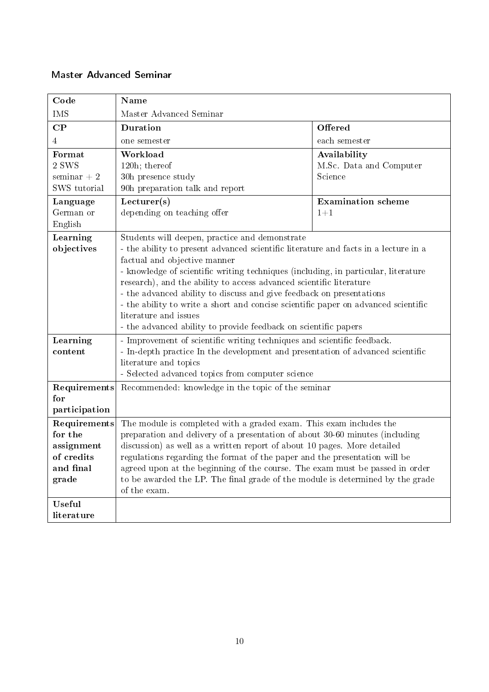#### <span id="page-9-0"></span>Master Advanced Seminar

| Code                                                                                                                                                                                                                                                                                                                                                                                                                                                                                                                | Name                                                                                                                                                      |                           |  |  |  |
|---------------------------------------------------------------------------------------------------------------------------------------------------------------------------------------------------------------------------------------------------------------------------------------------------------------------------------------------------------------------------------------------------------------------------------------------------------------------------------------------------------------------|-----------------------------------------------------------------------------------------------------------------------------------------------------------|---------------------------|--|--|--|
| <b>IMS</b>                                                                                                                                                                                                                                                                                                                                                                                                                                                                                                          | Master Advanced Seminar                                                                                                                                   |                           |  |  |  |
| $\bf CP$                                                                                                                                                                                                                                                                                                                                                                                                                                                                                                            | Duration<br>Offered                                                                                                                                       |                           |  |  |  |
| 4                                                                                                                                                                                                                                                                                                                                                                                                                                                                                                                   | one semester                                                                                                                                              | each semester             |  |  |  |
| Format                                                                                                                                                                                                                                                                                                                                                                                                                                                                                                              | Workload<br>Availability                                                                                                                                  |                           |  |  |  |
| 2 SWS                                                                                                                                                                                                                                                                                                                                                                                                                                                                                                               | 120h; thereof                                                                                                                                             | M.Sc. Data and Computer   |  |  |  |
| $seminar + 2$                                                                                                                                                                                                                                                                                                                                                                                                                                                                                                       | 30h presence study                                                                                                                                        | Science                   |  |  |  |
| SWS tutorial                                                                                                                                                                                                                                                                                                                                                                                                                                                                                                        | 90h preparation talk and report                                                                                                                           |                           |  |  |  |
| Language                                                                                                                                                                                                                                                                                                                                                                                                                                                                                                            | Lecturer(s)                                                                                                                                               | <b>Examination</b> scheme |  |  |  |
| German or                                                                                                                                                                                                                                                                                                                                                                                                                                                                                                           | depending on teaching offer                                                                                                                               | $1 + 1$                   |  |  |  |
| English                                                                                                                                                                                                                                                                                                                                                                                                                                                                                                             |                                                                                                                                                           |                           |  |  |  |
| Learning                                                                                                                                                                                                                                                                                                                                                                                                                                                                                                            | Students will deepen, practice and demonstrate                                                                                                            |                           |  |  |  |
| objectives                                                                                                                                                                                                                                                                                                                                                                                                                                                                                                          | - the ability to present advanced scientific literature and facts in a lecture in a<br>factual and objective manner                                       |                           |  |  |  |
|                                                                                                                                                                                                                                                                                                                                                                                                                                                                                                                     |                                                                                                                                                           |                           |  |  |  |
|                                                                                                                                                                                                                                                                                                                                                                                                                                                                                                                     | - knowledge of scientific writing techniques (including, in particular, literature<br>research), and the ability to access advanced scientific literature |                           |  |  |  |
|                                                                                                                                                                                                                                                                                                                                                                                                                                                                                                                     | - the advanced ability to discuss and give feedback on presentations                                                                                      |                           |  |  |  |
|                                                                                                                                                                                                                                                                                                                                                                                                                                                                                                                     | - the ability to write a short and concise scientific paper on advanced scientific                                                                        |                           |  |  |  |
|                                                                                                                                                                                                                                                                                                                                                                                                                                                                                                                     | literature and issues                                                                                                                                     |                           |  |  |  |
|                                                                                                                                                                                                                                                                                                                                                                                                                                                                                                                     | - the advanced ability to provide feedback on scientific papers                                                                                           |                           |  |  |  |
| - Improvement of scientific writing techniques and scientific feedback.<br>Learning                                                                                                                                                                                                                                                                                                                                                                                                                                 |                                                                                                                                                           |                           |  |  |  |
| - In-depth practice In the development and presentation of advanced scientific<br>content                                                                                                                                                                                                                                                                                                                                                                                                                           |                                                                                                                                                           |                           |  |  |  |
|                                                                                                                                                                                                                                                                                                                                                                                                                                                                                                                     | literature and topics                                                                                                                                     |                           |  |  |  |
|                                                                                                                                                                                                                                                                                                                                                                                                                                                                                                                     | - Selected advanced topics from computer science                                                                                                          |                           |  |  |  |
| Requirements                                                                                                                                                                                                                                                                                                                                                                                                                                                                                                        | Recommended: knowledge in the topic of the seminar                                                                                                        |                           |  |  |  |
|                                                                                                                                                                                                                                                                                                                                                                                                                                                                                                                     |                                                                                                                                                           |                           |  |  |  |
|                                                                                                                                                                                                                                                                                                                                                                                                                                                                                                                     |                                                                                                                                                           |                           |  |  |  |
|                                                                                                                                                                                                                                                                                                                                                                                                                                                                                                                     |                                                                                                                                                           |                           |  |  |  |
|                                                                                                                                                                                                                                                                                                                                                                                                                                                                                                                     | preparation and delivery of a presentation of about 30-60 minutes (including                                                                              |                           |  |  |  |
|                                                                                                                                                                                                                                                                                                                                                                                                                                                                                                                     |                                                                                                                                                           |                           |  |  |  |
|                                                                                                                                                                                                                                                                                                                                                                                                                                                                                                                     |                                                                                                                                                           |                           |  |  |  |
|                                                                                                                                                                                                                                                                                                                                                                                                                                                                                                                     |                                                                                                                                                           |                           |  |  |  |
|                                                                                                                                                                                                                                                                                                                                                                                                                                                                                                                     |                                                                                                                                                           |                           |  |  |  |
| Useful                                                                                                                                                                                                                                                                                                                                                                                                                                                                                                              |                                                                                                                                                           |                           |  |  |  |
| literature                                                                                                                                                                                                                                                                                                                                                                                                                                                                                                          |                                                                                                                                                           |                           |  |  |  |
| for<br>participation<br>Requirements<br>The module is completed with a graded exam. This exam includes the<br>for the<br>discussion) as well as a written report of about 10 pages. More detailed<br>assignment<br>regulations regarding the format of the paper and the presentation will be<br>of credits<br>agreed upon at the beginning of the course. The exam must be passed in order<br>and final<br>to be awarded the LP. The final grade of the module is determined by the grade<br>grade<br>of the exam. |                                                                                                                                                           |                           |  |  |  |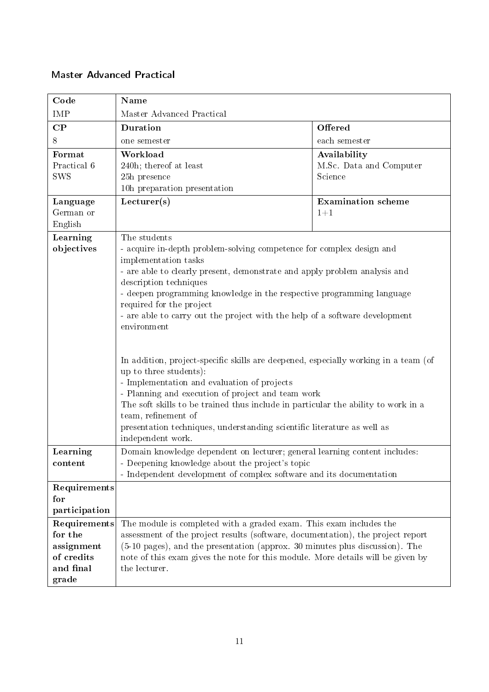#### <span id="page-10-0"></span>Master Advanced Practical

| Code                                                                                                                                                                                                                                                                                                                                                                                                                   | Name                                                                                                                                                                                                                                                                                                      |                                                                                                                                                                                                                                                                                                                                                                                                                                                                                                                                            |  |  |  |
|------------------------------------------------------------------------------------------------------------------------------------------------------------------------------------------------------------------------------------------------------------------------------------------------------------------------------------------------------------------------------------------------------------------------|-----------------------------------------------------------------------------------------------------------------------------------------------------------------------------------------------------------------------------------------------------------------------------------------------------------|--------------------------------------------------------------------------------------------------------------------------------------------------------------------------------------------------------------------------------------------------------------------------------------------------------------------------------------------------------------------------------------------------------------------------------------------------------------------------------------------------------------------------------------------|--|--|--|
| IMP                                                                                                                                                                                                                                                                                                                                                                                                                    | Master Advanced Practical                                                                                                                                                                                                                                                                                 |                                                                                                                                                                                                                                                                                                                                                                                                                                                                                                                                            |  |  |  |
| $\bf CP$                                                                                                                                                                                                                                                                                                                                                                                                               | Duration<br>Offered                                                                                                                                                                                                                                                                                       |                                                                                                                                                                                                                                                                                                                                                                                                                                                                                                                                            |  |  |  |
| 8                                                                                                                                                                                                                                                                                                                                                                                                                      | each semester<br>one semester                                                                                                                                                                                                                                                                             |                                                                                                                                                                                                                                                                                                                                                                                                                                                                                                                                            |  |  |  |
| Format<br>Practical 6<br><b>SWS</b>                                                                                                                                                                                                                                                                                                                                                                                    | Workload<br>Availability<br>M.Sc. Data and Computer<br>240h; thereof at least<br>25h presence<br>Science<br>10h preparation presentation                                                                                                                                                                  |                                                                                                                                                                                                                                                                                                                                                                                                                                                                                                                                            |  |  |  |
| Lecturer(s)<br><b>Examination</b> scheme<br>Language<br>German or<br>$1 + 1$<br>English                                                                                                                                                                                                                                                                                                                                |                                                                                                                                                                                                                                                                                                           |                                                                                                                                                                                                                                                                                                                                                                                                                                                                                                                                            |  |  |  |
| Learning<br>objectives                                                                                                                                                                                                                                                                                                                                                                                                 | The students<br>implementation tasks<br>description techniques<br>required for the project<br>environment<br>up to three students):<br>- Implementation and evaluation of projects<br>team, refinement of<br>presentation techniques, understanding scientific literature as well as<br>independent work. | - acquire in-depth problem-solving competence for complex design and<br>- are able to clearly present, demonstrate and apply problem analysis and<br>- deepen programming knowledge in the respective programming language<br>- are able to carry out the project with the help of a software development<br>In addition, project-specific skills are deepened, especially working in a team (of<br>- Planning and execution of project and team work<br>The soft skills to be trained thus include in particular the ability to work in a |  |  |  |
| Domain knowledge dependent on lecturer; general learning content includes:<br>Learning<br>- Deepening knowledge about the project's topic<br>content<br>- Independent development of complex software and its documentation                                                                                                                                                                                            |                                                                                                                                                                                                                                                                                                           |                                                                                                                                                                                                                                                                                                                                                                                                                                                                                                                                            |  |  |  |
| Requirements<br>for<br>participation                                                                                                                                                                                                                                                                                                                                                                                   |                                                                                                                                                                                                                                                                                                           |                                                                                                                                                                                                                                                                                                                                                                                                                                                                                                                                            |  |  |  |
| The module is completed with a graded exam. This exam includes the<br>Requirements<br>for the<br>assessment of the project results (software, documentation), the project report<br>assignment<br>(5-10 pages), and the presentation (approx. 30 minutes plus discussion). The<br>of credits<br>note of this exam gives the note for this module. More details will be given by<br>and final<br>the lecturer.<br>grade |                                                                                                                                                                                                                                                                                                           |                                                                                                                                                                                                                                                                                                                                                                                                                                                                                                                                            |  |  |  |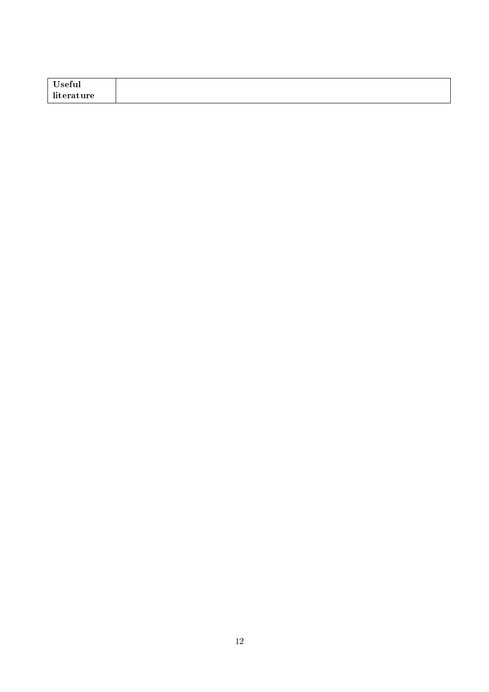| T<br>seful                                   |  |
|----------------------------------------------|--|
| - 70<br>ture.<br>$\sim$ $\sim$ $\sim$<br>. . |  |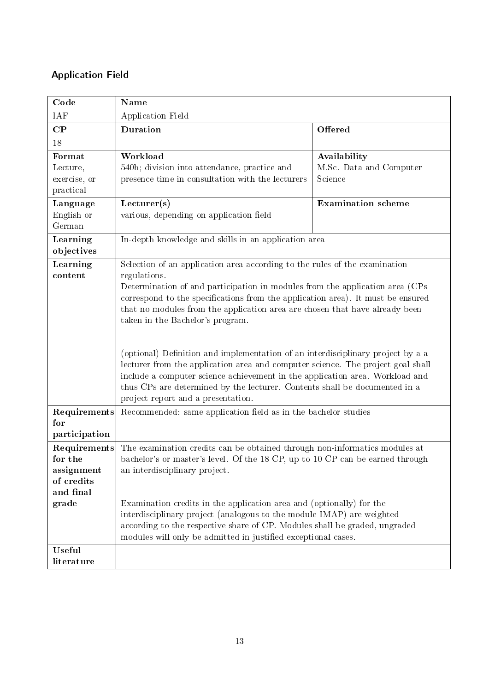# <span id="page-12-0"></span>Application Field

| Code                                                                                                                                                                                                                                                                                                                                                                                                                       | Name                                                                                                                                                                                                                                                                                                                                                                                                                                                                                                                                                                                                                                                                                                                                                       |                                                    |  |  |  |
|----------------------------------------------------------------------------------------------------------------------------------------------------------------------------------------------------------------------------------------------------------------------------------------------------------------------------------------------------------------------------------------------------------------------------|------------------------------------------------------------------------------------------------------------------------------------------------------------------------------------------------------------------------------------------------------------------------------------------------------------------------------------------------------------------------------------------------------------------------------------------------------------------------------------------------------------------------------------------------------------------------------------------------------------------------------------------------------------------------------------------------------------------------------------------------------------|----------------------------------------------------|--|--|--|
| IAF                                                                                                                                                                                                                                                                                                                                                                                                                        | Application Field                                                                                                                                                                                                                                                                                                                                                                                                                                                                                                                                                                                                                                                                                                                                          |                                                    |  |  |  |
| $\bf CP$                                                                                                                                                                                                                                                                                                                                                                                                                   | Duration<br>Offered                                                                                                                                                                                                                                                                                                                                                                                                                                                                                                                                                                                                                                                                                                                                        |                                                    |  |  |  |
| 18                                                                                                                                                                                                                                                                                                                                                                                                                         |                                                                                                                                                                                                                                                                                                                                                                                                                                                                                                                                                                                                                                                                                                                                                            |                                                    |  |  |  |
| Format<br>Lecture,<br>exercise, or<br>practical                                                                                                                                                                                                                                                                                                                                                                            | Workload<br>540h; division into attendance, practice and<br>presence time in consultation with the lecturers                                                                                                                                                                                                                                                                                                                                                                                                                                                                                                                                                                                                                                               | Availability<br>M.Sc. Data and Computer<br>Science |  |  |  |
| Language<br>English or<br>German                                                                                                                                                                                                                                                                                                                                                                                           | Lecturer(s)<br>various, depending on application field                                                                                                                                                                                                                                                                                                                                                                                                                                                                                                                                                                                                                                                                                                     | <b>Examination</b> scheme                          |  |  |  |
| Learning<br>objectives                                                                                                                                                                                                                                                                                                                                                                                                     | In-depth knowledge and skills in an application area                                                                                                                                                                                                                                                                                                                                                                                                                                                                                                                                                                                                                                                                                                       |                                                    |  |  |  |
| Learning<br>content                                                                                                                                                                                                                                                                                                                                                                                                        | Selection of an application area according to the rules of the examination<br>regulations.<br>Determination of and participation in modules from the application area (CPs<br>correspond to the specifications from the application area). It must be ensured<br>that no modules from the application area are chosen that have already been<br>taken in the Bachelor's program.<br>(optional) Definition and implementation of an interdisciplinary project by a a<br>lecturer from the application area and computer science. The project goal shall<br>include a computer science achievement in the application area. Workload and<br>thus CPs are determined by the lecturer. Contents shall be documented in a<br>project report and a presentation. |                                                    |  |  |  |
| Requirements<br>for<br>participation                                                                                                                                                                                                                                                                                                                                                                                       | Recommended: same application field as in the bachelor studies                                                                                                                                                                                                                                                                                                                                                                                                                                                                                                                                                                                                                                                                                             |                                                    |  |  |  |
| The examination credits can be obtained through non-informatics modules at<br>Requirements<br>bachelor's or master's level. Of the 18 CP, up to 10 CP can be earned through<br>for the<br>an interdisciplinary project.<br>assignment<br>of credits<br>and final<br>grade<br>Examination credits in the application area and (optionally) for the<br>interdisciplinary project (analogous to the module IMAP) are weighted |                                                                                                                                                                                                                                                                                                                                                                                                                                                                                                                                                                                                                                                                                                                                                            |                                                    |  |  |  |
| Useful                                                                                                                                                                                                                                                                                                                                                                                                                     | according to the respective share of CP. Modules shall be graded, ungraded<br>modules will only be admitted in justified exceptional cases.                                                                                                                                                                                                                                                                                                                                                                                                                                                                                                                                                                                                                |                                                    |  |  |  |
| literature                                                                                                                                                                                                                                                                                                                                                                                                                 |                                                                                                                                                                                                                                                                                                                                                                                                                                                                                                                                                                                                                                                                                                                                                            |                                                    |  |  |  |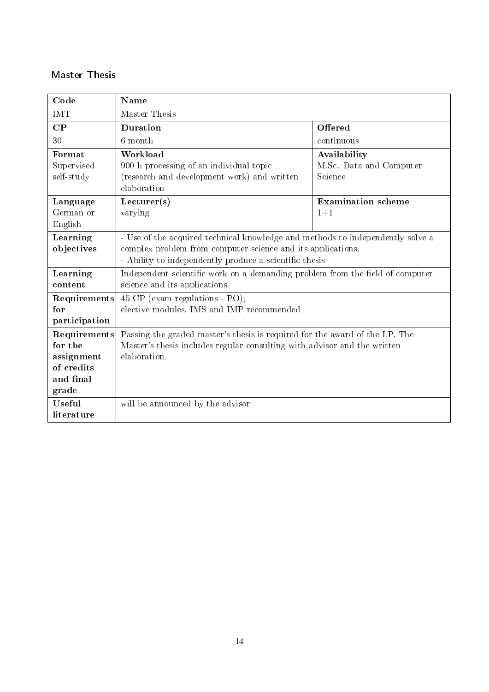#### <span id="page-13-0"></span>Master Thesis

| Code          | <b>Name</b>                                                                    |                           |  |  |  |
|---------------|--------------------------------------------------------------------------------|---------------------------|--|--|--|
| <b>IMT</b>    | Master Thesis                                                                  |                           |  |  |  |
| CP            | Offered<br>Duration                                                            |                           |  |  |  |
| 30            | 6 month                                                                        | continuous                |  |  |  |
| Format        | Workload                                                                       | Availability              |  |  |  |
| Supervised    | 900 h processing of an individual topic                                        | M.Sc. Data and Computer   |  |  |  |
| self-study    | (research and development work) and written                                    | Science                   |  |  |  |
|               | elaboration                                                                    |                           |  |  |  |
| Language      | Lecturer(s)                                                                    | <b>Examination</b> scheme |  |  |  |
| German or     | varying                                                                        | $1+1$                     |  |  |  |
| English       |                                                                                |                           |  |  |  |
| Learning      | - Use of the acquired technical knowledge and methods to independently solve a |                           |  |  |  |
| objectives    | complex problem from computer science and its applications.                    |                           |  |  |  |
|               | - Ability to independently produce a scientific thesis                         |                           |  |  |  |
| Learning      | Independent scientific work on a demanding problem from the field of computer  |                           |  |  |  |
| content       | science and its applications                                                   |                           |  |  |  |
| Requirements  | 45 CP (exam regulations - PO);                                                 |                           |  |  |  |
| for           | elective modules, IMS and IMP recommended                                      |                           |  |  |  |
| participation |                                                                                |                           |  |  |  |
| Requirements  | Passing the graded master's thesis is required for the award of the LP. The    |                           |  |  |  |
| for the       | Master's thesis includes regular consulting with advisor and the written       |                           |  |  |  |
| assignment    | elaboration.                                                                   |                           |  |  |  |
| of credits    |                                                                                |                           |  |  |  |
| and final     |                                                                                |                           |  |  |  |
| grade         |                                                                                |                           |  |  |  |
| Useful        | will be announced by the advisor                                               |                           |  |  |  |
| literature    |                                                                                |                           |  |  |  |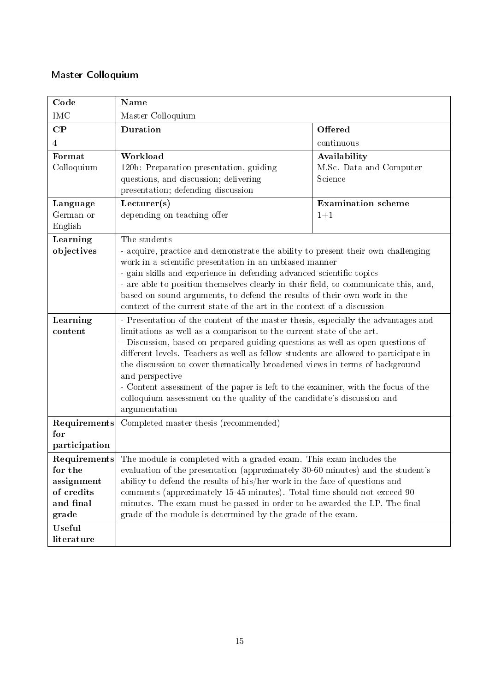### <span id="page-14-0"></span>Master Colloquium

| Code                                                                                                                                                                                                                                                                                                                                                                                                                                                                                                                                       | Name                                                                                                                                                                                                                                                                                                                                                                                                                                                                                                                                                                                                                |                                                    |  |  |  |
|--------------------------------------------------------------------------------------------------------------------------------------------------------------------------------------------------------------------------------------------------------------------------------------------------------------------------------------------------------------------------------------------------------------------------------------------------------------------------------------------------------------------------------------------|---------------------------------------------------------------------------------------------------------------------------------------------------------------------------------------------------------------------------------------------------------------------------------------------------------------------------------------------------------------------------------------------------------------------------------------------------------------------------------------------------------------------------------------------------------------------------------------------------------------------|----------------------------------------------------|--|--|--|
| <b>IMC</b>                                                                                                                                                                                                                                                                                                                                                                                                                                                                                                                                 | Master Colloquium                                                                                                                                                                                                                                                                                                                                                                                                                                                                                                                                                                                                   |                                                    |  |  |  |
| $\bf CP$                                                                                                                                                                                                                                                                                                                                                                                                                                                                                                                                   | <b>Duration</b><br>Offered                                                                                                                                                                                                                                                                                                                                                                                                                                                                                                                                                                                          |                                                    |  |  |  |
| $\overline{4}$                                                                                                                                                                                                                                                                                                                                                                                                                                                                                                                             |                                                                                                                                                                                                                                                                                                                                                                                                                                                                                                                                                                                                                     | continuous                                         |  |  |  |
| Format<br>Colloquium                                                                                                                                                                                                                                                                                                                                                                                                                                                                                                                       | Workload<br>120h: Preparation presentation, guiding<br>questions, and discussion; delivering<br>presentation; defending discussion                                                                                                                                                                                                                                                                                                                                                                                                                                                                                  | Availability<br>M.Sc. Data and Computer<br>Science |  |  |  |
| Lecturer(s)<br><b>Examination</b> scheme<br>Language<br>German or<br>depending on teaching offer<br>$1 + 1$<br>English                                                                                                                                                                                                                                                                                                                                                                                                                     |                                                                                                                                                                                                                                                                                                                                                                                                                                                                                                                                                                                                                     |                                                    |  |  |  |
| Learning<br>objectives                                                                                                                                                                                                                                                                                                                                                                                                                                                                                                                     | The students<br>- acquire, practice and demonstrate the ability to present their own challenging<br>work in a scientific presentation in an unbiased manner<br>- gain skills and experience in defending advanced scientific topics<br>- are able to position themselves clearly in their field, to communicate this, and,<br>based on sound arguments, to defend the results of their own work in the<br>context of the current state of the art in the context of a discussion                                                                                                                                    |                                                    |  |  |  |
| Learning<br>content                                                                                                                                                                                                                                                                                                                                                                                                                                                                                                                        | - Presentation of the content of the master thesis, especially the advantages and<br>limitations as well as a comparison to the current state of the art.<br>- Discussion, based on prepared guiding questions as well as open questions of<br>different levels. Teachers as well as fellow students are allowed to participate in<br>the discussion to cover thematically broadened views in terms of background<br>and perspective<br>- Content assessment of the paper is left to the examiner, with the focus of the<br>colloquium assessment on the quality of the candidate's discussion and<br>argumentation |                                                    |  |  |  |
| Requirements<br>for<br>participation                                                                                                                                                                                                                                                                                                                                                                                                                                                                                                       | Completed master thesis (recommended)                                                                                                                                                                                                                                                                                                                                                                                                                                                                                                                                                                               |                                                    |  |  |  |
| <b>Requirements</b> The module is completed with a graded exam. This exam includes the<br>evaluation of the presentation (approximately 30-60 minutes) and the student's<br>for the<br>ability to defend the results of his/her work in the face of questions and<br>assignment<br>of credits<br>comments (approximately 15-45 minutes). Total time should not exceed 90<br>and final<br>minutes. The exam must be passed in order to be awarded the LP. The final<br>grade of the module is determined by the grade of the exam.<br>grade |                                                                                                                                                                                                                                                                                                                                                                                                                                                                                                                                                                                                                     |                                                    |  |  |  |
| <b>Useful</b><br>literature                                                                                                                                                                                                                                                                                                                                                                                                                                                                                                                |                                                                                                                                                                                                                                                                                                                                                                                                                                                                                                                                                                                                                     |                                                    |  |  |  |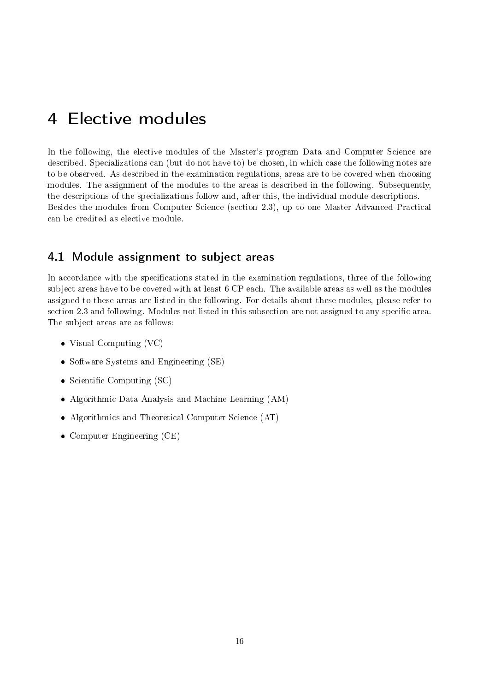# <span id="page-15-0"></span>4 Elective modules

In the following, the elective modules of the Master's program Data and Computer Science are described. Specializations can (but do not have to) be chosen, in which case the following notes are to be observed. As described in the examination regulations, areas are to be covered when choosing modules. The assignment of the modules to the areas is described in the following. Subsequently, the descriptions of the specializations follow and, after this, the individual module descriptions. Besides the modules from Computer Science (section 2.3), up to one Master Advanced Practical can be credited as elective module.

#### <span id="page-15-1"></span>4.1 Module assignment to subject areas

In accordance with the specifications stated in the examination regulations, three of the following subject areas have to be covered with at least 6 CP each. The available areas as well as the modules assigned to these areas are listed in the following. For details about these modules, please refer to section 2.3 and following. Modules not listed in this subsection are not assigned to any specific area. The subject areas are as follows:

- Visual Computing (VC)
- Software Systems and Engineering (SE)
- Scientific Computing  $SC)$
- Algorithmic Data Analysis and Machine Learning (AM)
- Algorithmics and Theoretical Computer Science (AT)
- Computer Engineering (CE)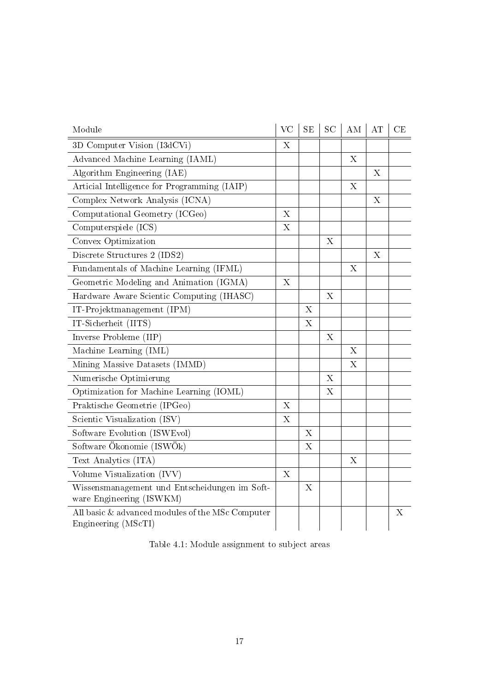| Module                                                                    | <b>VC</b>                 | SE                        | <b>SC</b>   | AM                        | AT          | CE |
|---------------------------------------------------------------------------|---------------------------|---------------------------|-------------|---------------------------|-------------|----|
| 3D Computer Vision (I3dCVi)                                               | X                         |                           |             |                           |             |    |
| Advanced Machine Learning (IAML)                                          |                           |                           |             | X                         |             |    |
| Algorithm Engineering (IAE)                                               |                           |                           |             |                           | $\mathbf X$ |    |
| Articial Intelligence for Programming (IAIP)                              |                           |                           |             | X                         |             |    |
| Complex Network Analysis (ICNA)                                           |                           |                           |             |                           | $\mathbf X$ |    |
| Computational Geometry (ICGeo)                                            | $\boldsymbol{\mathrm{X}}$ |                           |             |                           |             |    |
| Computerspiele (ICS)                                                      | $\mathbf X$               |                           |             |                           |             |    |
| Convex Optimization                                                       |                           |                           | X           |                           |             |    |
| Discrete Structures 2 (IDS2)                                              |                           |                           |             |                           | X           |    |
| Fundamentals of Machine Learning (IFML)                                   |                           |                           |             | X                         |             |    |
| Geometric Modeling and Animation (IGMA)                                   | $\boldsymbol{\mathrm{X}}$ |                           |             |                           |             |    |
| Hardware Aware Scientic Computing (IHASC)                                 |                           |                           | X           |                           |             |    |
| IT-Projektmanagement (IPM)                                                |                           | $\boldsymbol{\mathrm{X}}$ |             |                           |             |    |
| IT-Sicherheit (IITS)                                                      |                           | $\boldsymbol{\mathrm{X}}$ |             |                           |             |    |
| Inverse Probleme (IIP)                                                    |                           |                           | X           |                           |             |    |
| Machine Learning (IML)                                                    |                           |                           |             | $\mathbf X$               |             |    |
| Mining Massive Datasets (IMMD)                                            |                           |                           |             | $\boldsymbol{\mathrm{X}}$ |             |    |
| Numerische Optimierung                                                    |                           |                           | $\mathbf X$ |                           |             |    |
| Optimization for Machine Learning (IOML)                                  |                           |                           | X           |                           |             |    |
| Praktische Geometrie (IPGeo)                                              | $\overline{X}$            |                           |             |                           |             |    |
| Scientic Visualization (ISV)                                              | $\mathbf X$               |                           |             |                           |             |    |
| Software Evolution (ISWEvol)                                              |                           | $\boldsymbol{\mathrm{X}}$ |             |                           |             |    |
| Software Ökonomie (ISWÖk)                                                 |                           | X                         |             |                           |             |    |
| Text Analytics (ITA)                                                      |                           |                           |             | X                         |             |    |
| Volume Visualization (IVV)                                                | X                         |                           |             |                           |             |    |
| Wissensmanagement und Entscheidungen im Soft-<br>ware Engineering (ISWKM) |                           | $\boldsymbol{\mathrm{X}}$ |             |                           |             |    |
| All basic & advanced modules of the MSc Computer<br>Engineering (MScTI)   |                           |                           |             |                           |             | X  |

Table 4.1: Module assignment to subject areas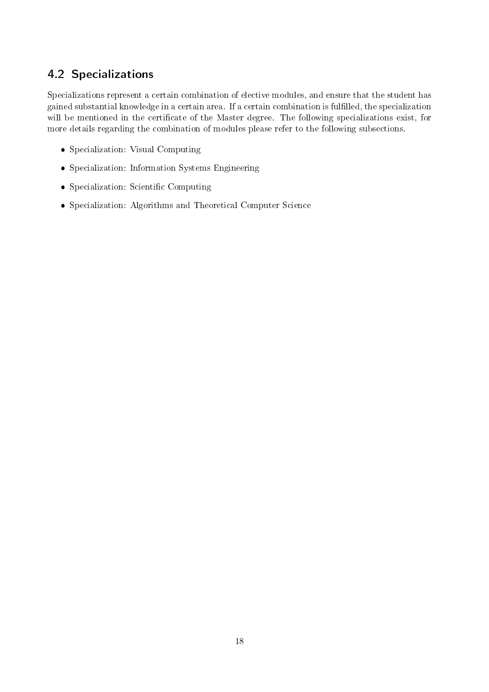# <span id="page-17-0"></span>4.2 Specializations

Specializations represent a certain combination of elective modules, and ensure that the student has gained substantial knowledge in a certain area. If a certain combination is fullled, the specialization will be mentioned in the certificate of the Master degree. The following specializations exist, for more details regarding the combination of modules please refer to the following subsections.

- Specialization: Visual Computing
- Specialization: Information Systems Engineering
- Specialization: Scientific Computing
- Specialization: Algorithms and Theoretical Computer Science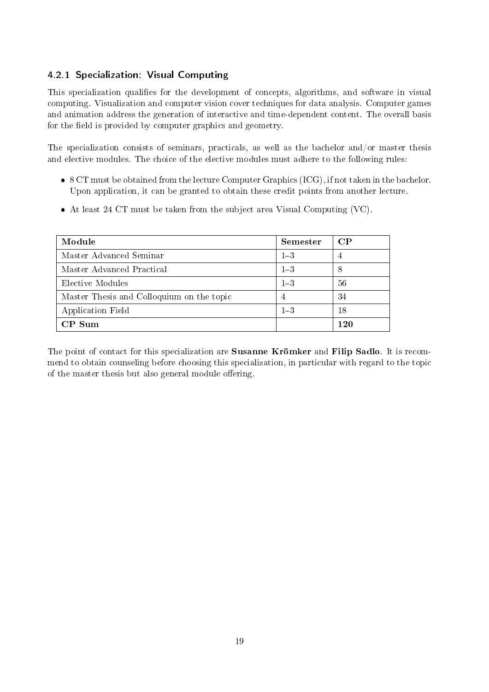#### <span id="page-18-0"></span>4.2.1 Specialization: Visual Computing

This specialization qualifies for the development of concepts, algorithms, and software in visual computing. Visualization and computer vision cover techniques for data analysis. Computer games and animation address the generation of interactive and time-dependent content. The overall basis for the field is provided by computer graphics and geometry.

The specialization consists of seminars, practicals, as well as the bachelor and/or master thesis and elective modules. The choice of the elective modules must adhere to the following rules:

- 8 CT must be obtained from the lecture Computer Graphics (ICG), if not taken in the bachelor. Upon application, it can be granted to obtain these credit points from another lecture.
- At least 24 CT must be taken from the subject area Visual Computing (VC).

| Module                                    | Semester | $\bf CP$       |
|-------------------------------------------|----------|----------------|
| Master Advanced Seminar                   | $1 - 3$  | $\overline{4}$ |
| Master Advanced Practical                 | $1 - 3$  | 8              |
| Elective Modules                          | $1 - 3$  | 56             |
| Master Thesis and Colloquium on the topic | 4        | 34             |
| Application Field                         | $1 - 3$  | 18             |
| $CP$ Sum                                  |          | 1 20           |

The point of contact for this specialization are **Susanne Krömker** and **Filip Sadlo**. It is recommend to obtain counseling before choosing this specialization, in particular with regard to the topic of the master thesis but also general module offering.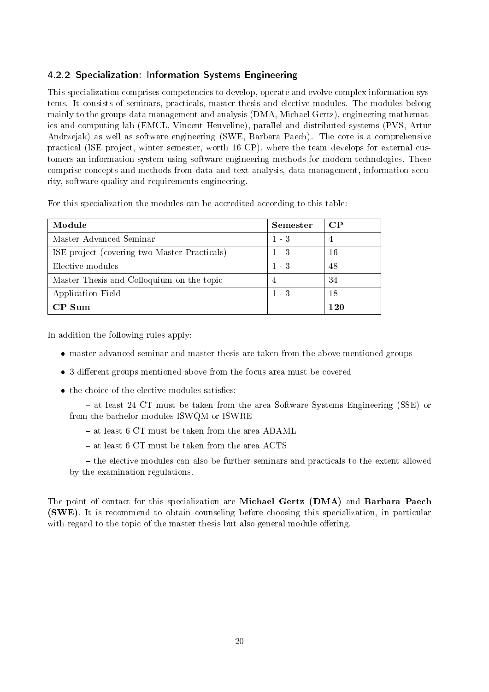#### <span id="page-19-0"></span>4.2.2 Specialization: Information Systems Engineering

This specialization comprises competencies to develop, operate and evolve complex information systems. It consists of seminars, practicals, master thesis and elective modules. The modules belong mainly to the groups data management and analysis (DMA, Michael Gertz), engineering mathematics and computing lab (EMCL, Vincent Heuveline), parallel and distributed systems (PVS, Artur Andrzejak) as well as software engineering (SWE, Barbara Paech). The core is a comprehensive practical (ISE project, winter semester, worth 16 CP), where the team develops for external customers an information system using software engineering methods for modern technologies. These comprise concepts and methods from data and text analysis, data management, information security, software quality and requirements engineering.

| For this specialization the modules can be accredited according to this table: |  |  |  |  |
|--------------------------------------------------------------------------------|--|--|--|--|
|--------------------------------------------------------------------------------|--|--|--|--|

| Module                                       | Semester    | $\bf CP$ |
|----------------------------------------------|-------------|----------|
| Master Advanced Seminar                      | $1 - 3$     | 4        |
| ISE project (covering two Master Practicals) | $1 - 3$     | 16       |
| Elective modules                             | $1 \quad 3$ | 48       |
| Master Thesis and Colloquium on the topic    | 4           | 34       |
| Application Field                            | $1 \quad 3$ | 18       |
| $CP$ Sum                                     |             | 1 20     |

In addition the following rules apply:

- master advanced seminar and master thesis are taken from the above mentioned groups
- 3 different groups mentioned above from the focus area must be covered
- the choice of the elective modules satisfies:

 at least 24 CT must be taken from the area Software Systems Engineering (SSE) or from the bachelor modules ISWQM or ISWRE

- at least 6 CT must be taken from the area ADAML
- at least 6 CT must be taken from the area ACTS

- the elective modules can also be further seminars and practicals to the extent allowed by the examination regulations.

The point of contact for this specialization are Michael Gertz (DMA) and Barbara Paech (SWE). It is recommend to obtain counseling before choosing this specialization, in particular with regard to the topic of the master thesis but also general module offering.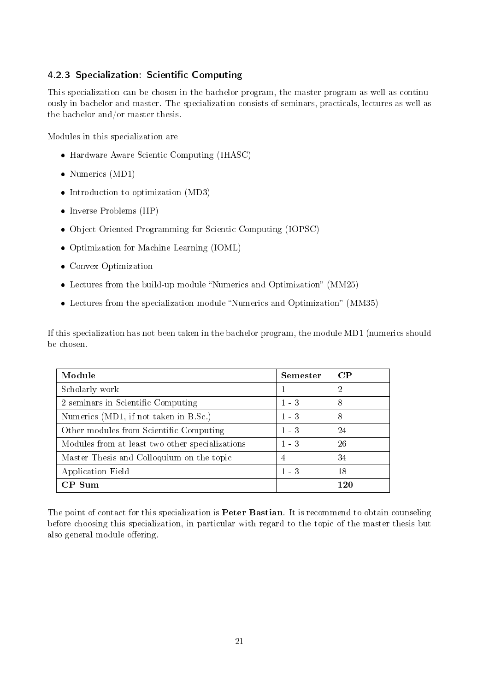#### <span id="page-20-0"></span>4.2.3 Specialization: Scientific Computing

This specialization can be chosen in the bachelor program, the master program as well as continuously in bachelor and master. The specialization consists of seminars, practicals, lectures as well as the bachelor and/or master thesis.

Modules in this specialization are

- Hardware Aware Scientic Computing (IHASC)
- Numerics (MD1)
- Introduction to optimization (MD3)
- Inverse Problems (IIP)
- Object-Oriented Programming for Scientic Computing (IOPSC)
- Optimization for Machine Learning (IOML)
- Convex Optimization
- $\bullet$  Lectures from the build-up module "Numerics and Optimization" (MM25)
- $\bullet$  Lectures from the specialization module "Numerics and Optimization" (MM35)

If this specialization has not been taken in the bachelor program, the module MD1 (numerics should be chosen.

| Module                                          | <b>Semester</b> | $\bf CP$ |
|-------------------------------------------------|-----------------|----------|
| Scholarly work                                  |                 | 2        |
| 2 seminars in Scientific Computing              | $1 - 3$         | 8        |
| Numerics (MD1, if not taken in B.Sc.)           | $1 - 3$         | 8        |
| Other modules from Scientific Computing         | $1 - 3$         | 24       |
| Modules from at least two other specializations | $1 - 3$         | 26       |
| Master Thesis and Colloquium on the topic       | 4               | 34       |
| Application Field                               | $1 \quad 3$     | 18       |
| $CP$ Sum                                        |                 | 1 20     |

The point of contact for this specialization is **Peter Bastian**. It is recommend to obtain counseling before choosing this specialization, in particular with regard to the topic of the master thesis but also general module offering.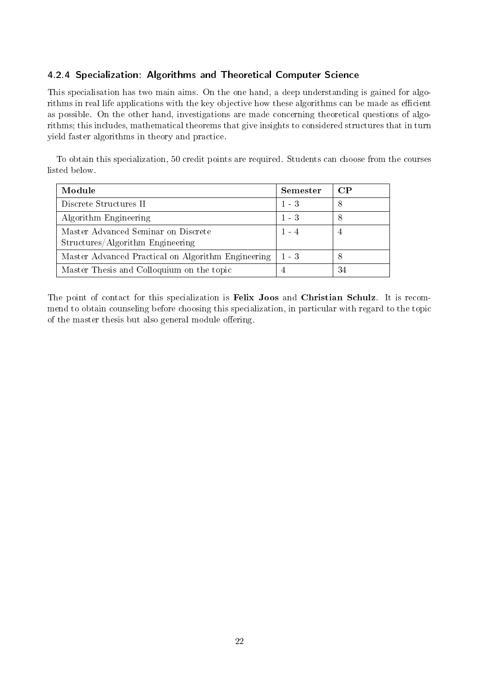#### <span id="page-21-0"></span>4.2.4 Specialization: Algorithms and Theoretical Computer Science

This specialisation has two main aims. On the one hand, a deep understanding is gained for algorithms in real life applications with the key objective how these algorithms can be made as efficient as possible. On the other hand, investigations are made concerning theoretical questions of algorithms; this includes, mathematical theorems that give insights to considered structures that in turn yield faster algorithms in theory and practice.

To obtain this specialization, 50 credit points are required. Students can choose from the courses listed below.

| Module                                             | <b>Semester</b> | $\bf CP$ |
|----------------------------------------------------|-----------------|----------|
| Discrete Structures II                             | $1 - 3$         | 8        |
| Algorithm Engineering                              | $1 - 3$         | 8        |
| Master Advanced Seminar on Discrete                | $1 - 4$         | 4        |
| Structures/Algorithm Engineering                   |                 |          |
| Master Advanced Practical on Algorithm Engineering | $1 - 3$         | 8        |
| Master Thesis and Colloquium on the topic          |                 | 34       |

The point of contact for this specialization is Felix Joos and Christian Schulz. It is recommend to obtain counseling before choosing this specialization, in particular with regard to the topic of the master thesis but also general module offering.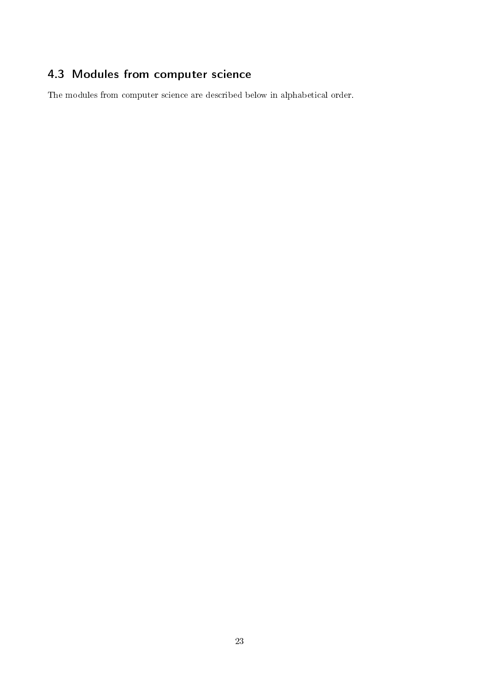# <span id="page-22-0"></span>4.3 Modules from computer science

The modules from computer science are described below in alphabetical order.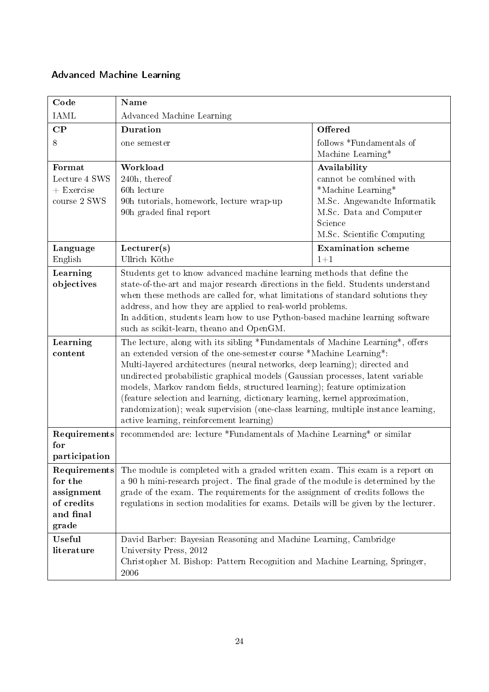### <span id="page-23-0"></span>Advanced Machine Learning

| Code                                                                      | Name                                                                                                                                                                                                                                                                                                                                                                                                                                                                                                                                                                                                             |                                                                                                                                                                  |
|---------------------------------------------------------------------------|------------------------------------------------------------------------------------------------------------------------------------------------------------------------------------------------------------------------------------------------------------------------------------------------------------------------------------------------------------------------------------------------------------------------------------------------------------------------------------------------------------------------------------------------------------------------------------------------------------------|------------------------------------------------------------------------------------------------------------------------------------------------------------------|
| <b>IAML</b>                                                               | Advanced Machine Learning                                                                                                                                                                                                                                                                                                                                                                                                                                                                                                                                                                                        |                                                                                                                                                                  |
| $\mathbf{CP}$                                                             | <b>Duration</b>                                                                                                                                                                                                                                                                                                                                                                                                                                                                                                                                                                                                  | Offered                                                                                                                                                          |
| 8                                                                         | one semester                                                                                                                                                                                                                                                                                                                                                                                                                                                                                                                                                                                                     | follows *Fundamentals of<br>Machine Learning*                                                                                                                    |
| Format<br>Lecture 4 SWS<br>$+$ Exercise<br>course 2 SWS                   | Workload<br>240h, thereof<br>60h lecture<br>90h tutorials, homework, lecture wrap-up<br>90h graded final report                                                                                                                                                                                                                                                                                                                                                                                                                                                                                                  | Availability<br>cannot be combined with<br>*Machine Learning*<br>M.Sc. Angewandte Informatik<br>M.Sc. Data and Computer<br>Science<br>M.Sc. Scientific Computing |
| Language<br>English                                                       | Lecturer(s)<br>Ullrich Köthe                                                                                                                                                                                                                                                                                                                                                                                                                                                                                                                                                                                     | <b>Examination</b> scheme<br>$1 + 1$                                                                                                                             |
| Learning<br>objectives                                                    | Students get to know advanced machine learning methods that define the<br>state-of-the-art and major research directions in the field. Students understand<br>when these methods are called for, what limitations of standard solutions they<br>address, and how they are applied to real-world problems.<br>In addition, students learn how to use Python-based machine learning software<br>such as scikit-learn, the ano and OpenGM.                                                                                                                                                                          |                                                                                                                                                                  |
| Learning<br>content                                                       | The lecture, along with its sibling *Fundamentals of Machine Learning*, offers<br>an extended version of the one-semester course *Machine Learning*:<br>Multi-layered architectures (neural networks, deep learning); directed and<br>undirected probabilistic graphical models (Gaussian processes, latent variable<br>models, Markov random fields, structured learning); feature optimization<br>(feature selection and learning, dictionary learning, kernel approximation,<br>randomization); weak supervision (one-class learning, multiple instance learning,<br>active learning, reinforcement learning) |                                                                                                                                                                  |
| Requirements<br>for<br>participation                                      | recommended are: lecture *Fundamentals of Machine Learning* or similar                                                                                                                                                                                                                                                                                                                                                                                                                                                                                                                                           |                                                                                                                                                                  |
| Requirements<br>for the<br>assignment<br>of credits<br>and final<br>grade | The module is completed with a graded written exam. This exam is a report on<br>a 90 h mini-research project. The final grade of the module is determined by the<br>grade of the exam. The requirements for the assignment of credits follows the<br>regulations in section modalities for exams. Details will be given by the lecturer.                                                                                                                                                                                                                                                                         |                                                                                                                                                                  |
| Useful<br>literature                                                      | David Barber: Bayesian Reasoning and Machine Learning, Cambridge<br>University Press, 2012<br>Christopher M. Bishop: Pattern Recognition and Machine Learning, Springer,<br>2006                                                                                                                                                                                                                                                                                                                                                                                                                                 |                                                                                                                                                                  |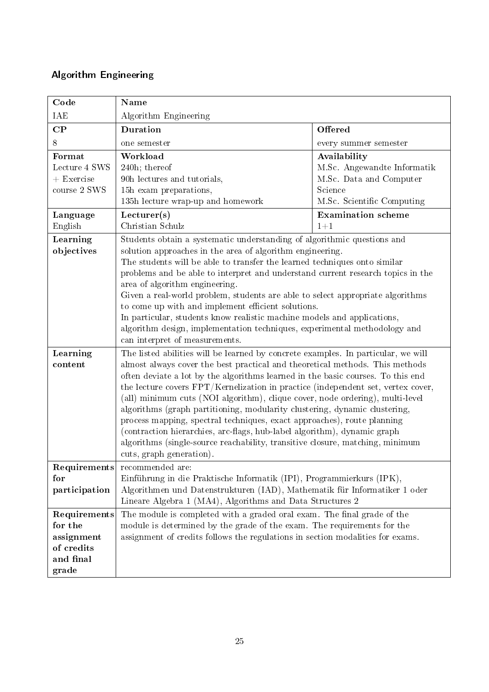### <span id="page-24-0"></span>Algorithm Engineering

| Code                                                                      | Name                                                                                                                                                                                                                                                                                                                                                                                                                                                                                                                                                                                                                                                                                                                                                                        |                                                                                                                 |
|---------------------------------------------------------------------------|-----------------------------------------------------------------------------------------------------------------------------------------------------------------------------------------------------------------------------------------------------------------------------------------------------------------------------------------------------------------------------------------------------------------------------------------------------------------------------------------------------------------------------------------------------------------------------------------------------------------------------------------------------------------------------------------------------------------------------------------------------------------------------|-----------------------------------------------------------------------------------------------------------------|
| IAE                                                                       | Algorithm Engineering                                                                                                                                                                                                                                                                                                                                                                                                                                                                                                                                                                                                                                                                                                                                                       |                                                                                                                 |
| $\bf CP$                                                                  | <b>Duration</b>                                                                                                                                                                                                                                                                                                                                                                                                                                                                                                                                                                                                                                                                                                                                                             | Offered                                                                                                         |
| 8                                                                         | one semester                                                                                                                                                                                                                                                                                                                                                                                                                                                                                                                                                                                                                                                                                                                                                                | every summer semester                                                                                           |
| Format<br>Lecture 4 SWS<br>$+$ Exercise<br>course 2 SWS                   | Workload<br>240h; thereof<br>90h lectures and tutorials,<br>15h exam preparations,<br>135h lecture wrap-up and homework                                                                                                                                                                                                                                                                                                                                                                                                                                                                                                                                                                                                                                                     | Availability<br>M.Sc. Angewandte Informatik<br>M.Sc. Data and Computer<br>Science<br>M.Sc. Scientific Computing |
| Language<br>English                                                       | Lecturer(s)<br>Christian Schulz                                                                                                                                                                                                                                                                                                                                                                                                                                                                                                                                                                                                                                                                                                                                             | <b>Examination</b> scheme<br>$1 + 1$                                                                            |
| Learning<br>objectives                                                    | Students obtain a systematic understanding of algorithmic questions and<br>solution approaches in the area of algorithm engineering.<br>The students will be able to transfer the learned techniques onto similar<br>problems and be able to interpret and understand current research topics in the<br>area of algorithm engineering.<br>Given a real-world problem, students are able to select appropriate algorithms<br>to come up with and implement efficient solutions.<br>In particular, students know realistic machine models and applications,<br>algorithm design, implementation techniques, experimental methodology and<br>can interpret of measurements.                                                                                                    |                                                                                                                 |
| Learning<br>content                                                       | The listed abilities will be learned by concrete examples. In particular, we will<br>almost always cover the best practical and theoretical methods. This methods<br>often deviate a lot by the algorithms learned in the basic courses. To this end<br>the lecture covers FPT/Kernelization in practice (independent set, vertex cover,<br>(all) minimum cuts (NOI algorithm), clique cover, node ordering), multi-level<br>algorithms (graph partitioning, modularity clustering, dynamic clustering,<br>process mapping, spectral techniques, exact approaches), route planning<br>(contraction hierarchies, arc-flags, hub-label algorithm), dynamic graph<br>algorithms (single-source reachability, transitive closure, matching, minimum<br>cuts, graph generation). |                                                                                                                 |
| Requirements<br>for<br>participation                                      | recommended are:<br>Einführung in die Praktische Informatik (IPI), Programmierkurs (IPK),<br>Algorithmen und Datenstrukturen (IAD), Mathematik für Informatiker 1 oder<br>Lineare Algebra 1 (MA4), Algorithms and Data Structures 2                                                                                                                                                                                                                                                                                                                                                                                                                                                                                                                                         |                                                                                                                 |
| Requirements<br>for the<br>assignment<br>of credits<br>and final<br>grade | The module is completed with a graded oral exam. The final grade of the<br>module is determined by the grade of the exam. The requirements for the<br>assignment of credits follows the regulations in section modalities for exams.                                                                                                                                                                                                                                                                                                                                                                                                                                                                                                                                        |                                                                                                                 |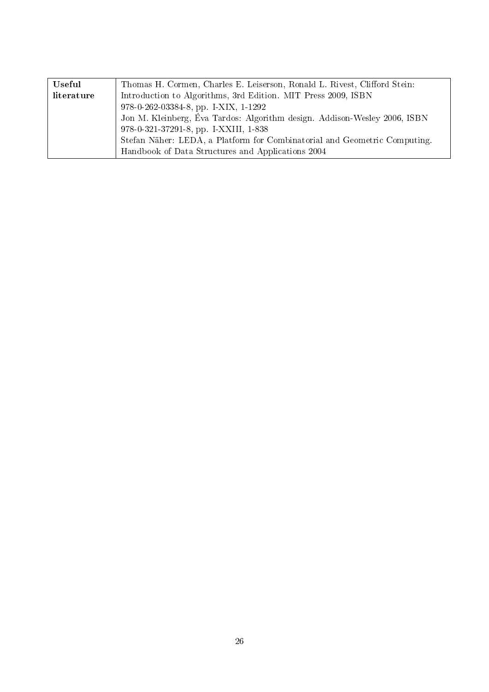| Useful     | Thomas H. Cormen, Charles E. Leiserson, Ronald L. Rivest, Clifford Stein: |
|------------|---------------------------------------------------------------------------|
| literature | Introduction to Algorithms, 3rd Edition. MIT Press 2009, ISBN             |
|            | 978-0-262-03384-8, pp. I-XIX, 1-1292                                      |
|            | Jon M. Kleinberg, Éva Tardos: Algorithm design. Addison-Wesley 2006, ISBN |
|            | 978-0-321-37291-8, pp. I-XXIII, 1-838                                     |
|            | Stefan Näher: LEDA, a Platform for Combinatorial and Geometric Computing. |
|            | Handbook of Data Structures and Applications 2004                         |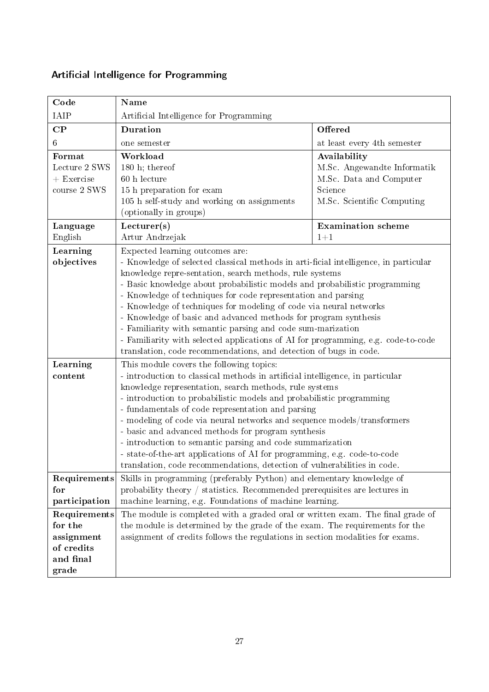| Code                                                                      | <b>Name</b>                                                                                                                                                                                                                                                                                                                                                                                                                                                                                                                                                                                                                                                                                         |                                                                                                                 |
|---------------------------------------------------------------------------|-----------------------------------------------------------------------------------------------------------------------------------------------------------------------------------------------------------------------------------------------------------------------------------------------------------------------------------------------------------------------------------------------------------------------------------------------------------------------------------------------------------------------------------------------------------------------------------------------------------------------------------------------------------------------------------------------------|-----------------------------------------------------------------------------------------------------------------|
| IAIP                                                                      | Artificial Intelligence for Programming                                                                                                                                                                                                                                                                                                                                                                                                                                                                                                                                                                                                                                                             |                                                                                                                 |
| $\bf CP$                                                                  | <b>Duration</b>                                                                                                                                                                                                                                                                                                                                                                                                                                                                                                                                                                                                                                                                                     | Offered                                                                                                         |
| 6                                                                         | one semester                                                                                                                                                                                                                                                                                                                                                                                                                                                                                                                                                                                                                                                                                        | at least every 4th semester                                                                                     |
| Format<br>Lecture 2 SWS<br>$+$ Exercise<br>course 2 SWS                   | Workload<br>180 h; thereof<br>60 h lecture<br>15 h preparation for exam<br>105 h self-study and working on assignments<br>(optionally in groups)                                                                                                                                                                                                                                                                                                                                                                                                                                                                                                                                                    | Availability<br>M.Sc. Angewandte Informatik<br>M.Sc. Data and Computer<br>Science<br>M.Sc. Scientific Computing |
| Language<br>English                                                       | Lecturer(s)<br>Artur Andrzejak                                                                                                                                                                                                                                                                                                                                                                                                                                                                                                                                                                                                                                                                      | <b>Examination</b> scheme<br>$1 + 1$                                                                            |
| Learning<br>objectives                                                    | Expected learning outcomes are:<br>- Knowledge of selected classical methods in arti-ficial intelligence, in particular<br>knowledge repre-sentation, search methods, rule systems<br>- Basic knowledge about probabilistic models and probabilistic programming<br>- Knowledge of techniques for code representation and parsing<br>- Knowledge of techniques for modeling of code via neural networks<br>- Knowledge of basic and advanced methods for program synthesis<br>- Familiarity with semantic parsing and code sum-marization<br>- Familiarity with selected applications of AI for programming, e.g. code-to-code<br>translation, code recommendations, and detection of bugs in code. |                                                                                                                 |
| Learning<br>content                                                       | This module covers the following topics:<br>- introduction to classical methods in artificial intelligence, in particular<br>knowledge representation, search methods, rule systems<br>- introduction to probabilistic models and probabilistic programming<br>- fundamentals of code representation and parsing<br>- modeling of code via neural networks and sequence models/transformers<br>- basic and advanced methods for program synthesis<br>- introduction to semantic parsing and code summarization<br>- state-of-the-art applications of AI for programming, e.g. code-to-code<br>translation, code recommendations, detection of vulnerabilities in code.                              |                                                                                                                 |
| Requirements<br>for<br>participation                                      | Skills in programming (preferably Python) and elementary knowledge of<br>probability theory $/$ statistics. Recommended prerequisites are lectures in<br>machine learning, e.g. Foundations of machine learning.                                                                                                                                                                                                                                                                                                                                                                                                                                                                                    |                                                                                                                 |
| Requirements<br>for the<br>assignment<br>of credits<br>and final<br>grade | The module is completed with a graded oral or written exam. The final grade of<br>the module is determined by the grade of the exam. The requirements for the<br>assignment of credits follows the regulations in section modalities for exams.                                                                                                                                                                                                                                                                                                                                                                                                                                                     |                                                                                                                 |

# <span id="page-26-0"></span>Artificial Intelligence for Programming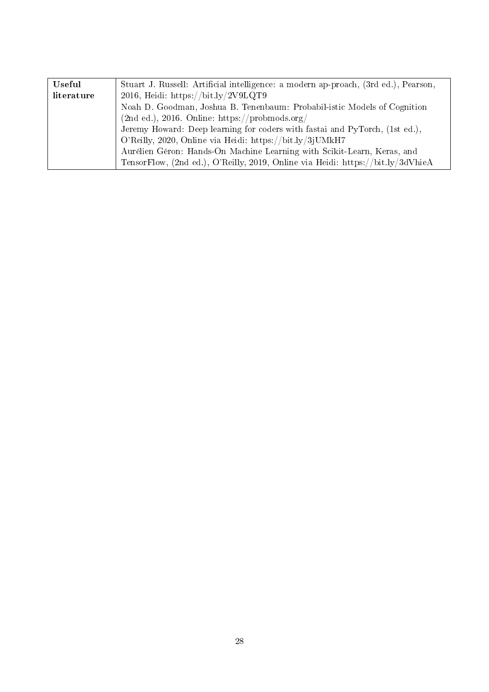| Useful     | Stuart J. Russell: Artificial intelligence: a modern ap-proach, (3rd ed.), Pearson, |  |
|------------|-------------------------------------------------------------------------------------|--|
| literature | 2016, Heidi: https://bit.ly/2V9LQT9                                                 |  |
|            | Noah D. Goodman, Joshua B. Tenenbaum: Probabil-istic Models of Cognition            |  |
|            | $(2nd ed.), 2016. Online: https://probmods.org/)$                                   |  |
|            | Jeremy Howard: Deep learning for coders with fastai and PyTorch, (1st ed.),         |  |
|            | O'Reilly, 2020, Online via Heidi: https://bit.ly/3jUMkH7                            |  |
|            | Aurélien Géron: Hands-On Machine Learning with Scikit-Learn, Keras, and             |  |
|            | TensorFlow, (2nd ed.), O'Reilly, 2019, Online via Heidi: https://bit.ly/3dVhieA     |  |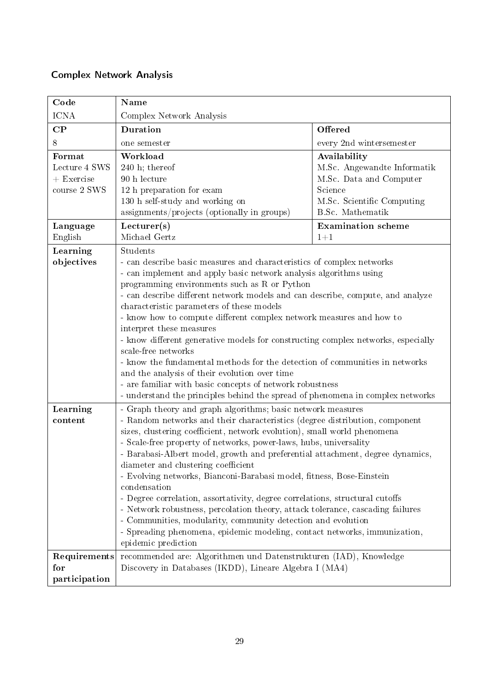### <span id="page-28-0"></span>Complex Network Analysis

| Code                                                    | Name                                                                                                                                                                                                                                                                                                                                                                                                                                                                                                                                                                                                                                                                                                                                                                                                                                              |                                                                                                                                     |
|---------------------------------------------------------|---------------------------------------------------------------------------------------------------------------------------------------------------------------------------------------------------------------------------------------------------------------------------------------------------------------------------------------------------------------------------------------------------------------------------------------------------------------------------------------------------------------------------------------------------------------------------------------------------------------------------------------------------------------------------------------------------------------------------------------------------------------------------------------------------------------------------------------------------|-------------------------------------------------------------------------------------------------------------------------------------|
| <b>ICNA</b>                                             | Complex Network Analysis                                                                                                                                                                                                                                                                                                                                                                                                                                                                                                                                                                                                                                                                                                                                                                                                                          |                                                                                                                                     |
| $\bf CP$                                                | Duration                                                                                                                                                                                                                                                                                                                                                                                                                                                                                                                                                                                                                                                                                                                                                                                                                                          | Offered                                                                                                                             |
| 8                                                       | one semester                                                                                                                                                                                                                                                                                                                                                                                                                                                                                                                                                                                                                                                                                                                                                                                                                                      | every 2nd wintersemester                                                                                                            |
| Format<br>Lecture 4 SWS<br>$+$ Exercise<br>course 2 SWS | Workload<br>$240$ h; thereof<br>90 h lecture<br>12 h preparation for exam<br>130 h self-study and working on<br>assignments/projects (optionally in groups)                                                                                                                                                                                                                                                                                                                                                                                                                                                                                                                                                                                                                                                                                       | Availability<br>M.Sc. Angewandte Informatik<br>M.Sc. Data and Computer<br>Science<br>M.Sc. Scientific Computing<br>B.Sc. Mathematik |
| Language<br>English                                     | Lecturer(s)<br>Michael Gertz                                                                                                                                                                                                                                                                                                                                                                                                                                                                                                                                                                                                                                                                                                                                                                                                                      | <b>Examination</b> scheme<br>$1 + 1$                                                                                                |
| Learning<br>objectives                                  | Students<br>- can describe basic measures and characteristics of complex networks<br>- can implement and apply basic network analysis algorithms using<br>programming environments such as R or Python<br>- can describe different network models and can describe, compute, and analyze<br>characteristic parameters of these models<br>- know how to compute different complex network measures and how to<br>interpret these measures<br>- know different generative models for constructing complex networks, especially<br>scale-free networks<br>- know the fundamental methods for the detection of communities in networks<br>and the analysis of their evolution over time<br>- are familiar with basic concepts of network robustness<br>- understand the principles behind the spread of phenomena in complex networks                 |                                                                                                                                     |
| Learning<br>content                                     | - Graph theory and graph algorithms; basic network measures<br>- Random networks and their characteristics (degree distribution, component<br>sizes, clustering coefficient, network evolution), small world phenomena<br>- Scale-free property of networks, power-laws, hubs, universality<br>- Barabasi-Albert model, growth and preferential attachment, degree dynamics,<br>diameter and clustering coefficient<br>- Evolving networks, Bianconi-Barabasi model, fitness, Bose-Einstein<br>condensation<br>- Degree correlation, assortativity, degree correlations, structural cutoffs<br>- Network robustness, percolation theory, attack tolerance, cascading failures<br>- Communities, modularity, community detection and evolution<br>- Spreading phenomena, epidemic modeling, contact networks, immunization,<br>epidemic prediction |                                                                                                                                     |
| Requirements<br>for<br>participation                    | recommended are: Algorithmen und Datenstrukturen (IAD), Knowledge<br>Discovery in Databases (IKDD), Lineare Algebra I (MA4)                                                                                                                                                                                                                                                                                                                                                                                                                                                                                                                                                                                                                                                                                                                       |                                                                                                                                     |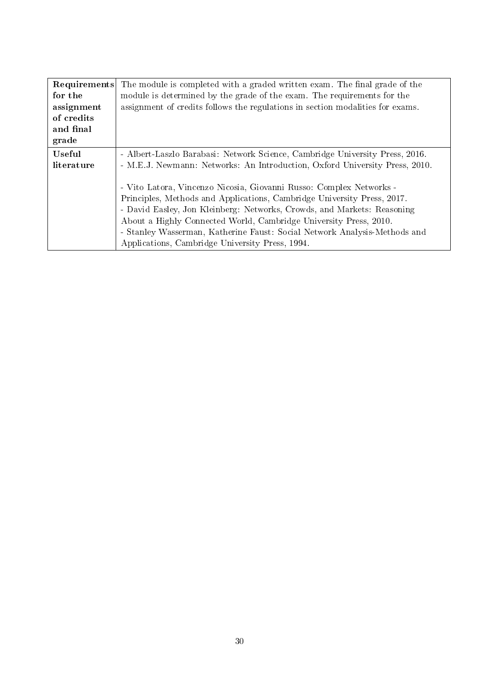| Requirements  | The module is completed with a graded written exam. The final grade of the                                                                                                                                                                                                                                                                                                                                                     |  |
|---------------|--------------------------------------------------------------------------------------------------------------------------------------------------------------------------------------------------------------------------------------------------------------------------------------------------------------------------------------------------------------------------------------------------------------------------------|--|
| for the       | module is determined by the grade of the exam. The requirements for the                                                                                                                                                                                                                                                                                                                                                        |  |
| assignment    | assignment of credits follows the regulations in section modalities for exams.                                                                                                                                                                                                                                                                                                                                                 |  |
| of credits    |                                                                                                                                                                                                                                                                                                                                                                                                                                |  |
| and final     |                                                                                                                                                                                                                                                                                                                                                                                                                                |  |
| grade         |                                                                                                                                                                                                                                                                                                                                                                                                                                |  |
| <b>Useful</b> | - Albert-Laszlo Barabasi: Network Science, Cambridge University Press, 2016.                                                                                                                                                                                                                                                                                                                                                   |  |
| literature    | - M.E.J. Newmann: Networks: An Introduction, Oxford University Press, 2010.                                                                                                                                                                                                                                                                                                                                                    |  |
|               | - Vito Latora, Vincenzo Nicosia, Giovanni Russo: Complex Networks -<br>Principles, Methods and Applications, Cambridge University Press, 2017.<br>- David Easley, Jon Kleinberg: Networks, Crowds, and Markets: Reasoning<br>About a Highly Connected World, Cambridge University Press, 2010.<br>- Stanley Wasserman, Katherine Faust: Social Network Analysis-Methods and<br>Applications, Cambridge University Press, 1994. |  |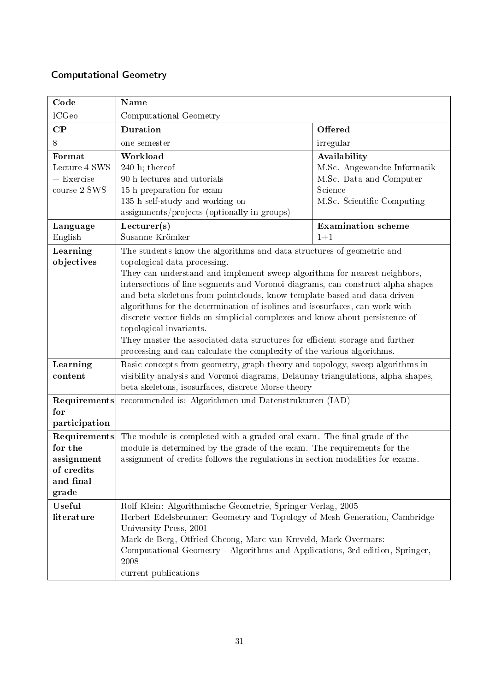# <span id="page-30-0"></span>Computational Geometry

| Code                                                                      | Name                                                                                                                                                                                                                                                                                                                                                                                                                                                                                                                                                                                                                                                                                                  |                                                                                                                 |
|---------------------------------------------------------------------------|-------------------------------------------------------------------------------------------------------------------------------------------------------------------------------------------------------------------------------------------------------------------------------------------------------------------------------------------------------------------------------------------------------------------------------------------------------------------------------------------------------------------------------------------------------------------------------------------------------------------------------------------------------------------------------------------------------|-----------------------------------------------------------------------------------------------------------------|
| <b>ICGeo</b>                                                              | Computational Geometry                                                                                                                                                                                                                                                                                                                                                                                                                                                                                                                                                                                                                                                                                |                                                                                                                 |
| $\bf CP$                                                                  | Duration                                                                                                                                                                                                                                                                                                                                                                                                                                                                                                                                                                                                                                                                                              | Offered                                                                                                         |
| 8                                                                         | one semester                                                                                                                                                                                                                                                                                                                                                                                                                                                                                                                                                                                                                                                                                          | irregular                                                                                                       |
| Format<br>Lecture 4 SWS<br>$+$ Exercise<br>course 2 SWS                   | Workload<br>$240$ h; thereof<br>90 h lectures and tutorials<br>15 h preparation for exam<br>135 h self-study and working on<br>assignments/projects (optionally in groups)                                                                                                                                                                                                                                                                                                                                                                                                                                                                                                                            | Availability<br>M.Sc. Angewandte Informatik<br>M.Sc. Data and Computer<br>Science<br>M.Sc. Scientific Computing |
| Language<br>English                                                       | Lecturer(s)<br>Susanne Krömker                                                                                                                                                                                                                                                                                                                                                                                                                                                                                                                                                                                                                                                                        | <b>Examination</b> scheme<br>$1+1$                                                                              |
| Learning<br>objectives                                                    | The students know the algorithms and data structures of geometric and<br>topological data processing.<br>They can understand and implement sweep algorithms for nearest neighbors,<br>intersections of line segments and Voronoi diagrams, can construct alpha shapes<br>and beta skeletons from pointclouds, know template-based and data-driven<br>algorithms for the determination of isolines and isosurfaces, can work with<br>discrete vector fields on simplicial complexes and know about persistence of<br>topological invariants.<br>They master the associated data structures for efficient storage and further<br>processing and can calculate the complexity of the various algorithms. |                                                                                                                 |
| Learning<br>content                                                       | Basic concepts from geometry, graph theory and topology, sweep algorithms in<br>visibility analysis and Voronoi diagrams, Delaunay triangulations, alpha shapes,<br>beta skeletons, isosurfaces, discrete Morse theory                                                                                                                                                                                                                                                                                                                                                                                                                                                                                |                                                                                                                 |
| Requirements<br>for<br>participation                                      | recommended is: Algorithmen und Datenstrukturen (IAD)                                                                                                                                                                                                                                                                                                                                                                                                                                                                                                                                                                                                                                                 |                                                                                                                 |
| Requirements<br>for the<br>assignment<br>of credits<br>and final<br>grade | The module is completed with a graded oral exam. The final grade of the<br>module is determined by the grade of the exam. The requirements for the<br>assignment of credits follows the regulations in section modalities for exams.                                                                                                                                                                                                                                                                                                                                                                                                                                                                  |                                                                                                                 |
| <b>Useful</b><br>literature                                               | Rolf Klein: Algorithmische Geometrie, Springer Verlag, 2005<br>Herbert Edelsbrunner: Geometry and Topology of Mesh Generation, Cambridge<br>University Press, 2001<br>Mark de Berg, Otfried Cheong, Marc van Kreveld, Mark Overmars:<br>Computational Geometry - Algorithms and Applications, 3rd edition, Springer,<br>2008<br>current publications                                                                                                                                                                                                                                                                                                                                                  |                                                                                                                 |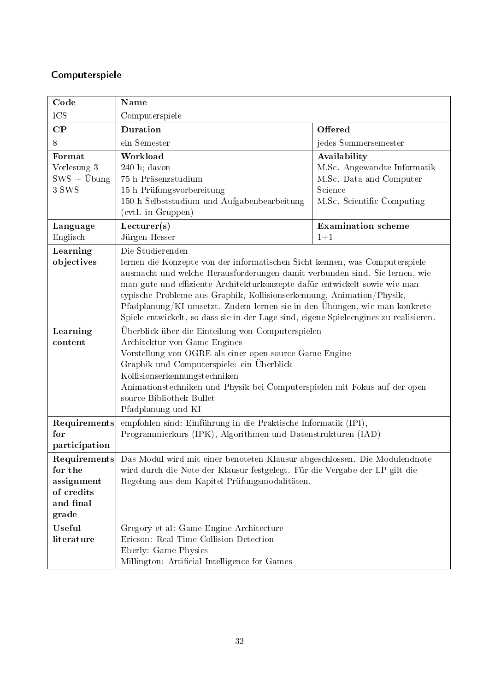### <span id="page-31-0"></span>Computerspiele

| Code                                                      | Name                                                                                                                                                                                                                                                                                                                                                                                                                                                                                                        |                                                                                                                 |
|-----------------------------------------------------------|-------------------------------------------------------------------------------------------------------------------------------------------------------------------------------------------------------------------------------------------------------------------------------------------------------------------------------------------------------------------------------------------------------------------------------------------------------------------------------------------------------------|-----------------------------------------------------------------------------------------------------------------|
| ICS                                                       | Computerspiele                                                                                                                                                                                                                                                                                                                                                                                                                                                                                              |                                                                                                                 |
| $\bf CP$                                                  | <b>Duration</b>                                                                                                                                                                                                                                                                                                                                                                                                                                                                                             | Offered                                                                                                         |
| 8                                                         | ein Semester                                                                                                                                                                                                                                                                                                                                                                                                                                                                                                | jedes Sommersemester                                                                                            |
| Format<br>Vorlesung 3<br>$SWS + \ddot{U}$ bung<br>3 SWS   | Workload<br>$240$ h; davon<br>75 h Präsenzstudium<br>15 h Prüfungsvorbereitung<br>150 h Selbststudium und Aufgabenbearbeitung<br>(evtl. in Gruppen)                                                                                                                                                                                                                                                                                                                                                         | Availability<br>M.Sc. Angewandte Informatik<br>M.Sc. Data and Computer<br>Science<br>M.Sc. Scientific Computing |
| Language<br>Englisch                                      | Lecturer(s)<br>Jürgen Hesser                                                                                                                                                                                                                                                                                                                                                                                                                                                                                | <b>Examination</b> scheme<br>$1 + 1$                                                                            |
| Learning<br>objectives                                    | Die Studierenden<br>lernen die Konzepte von der informatischen Sicht kennen, was Computerspiele<br>ausmacht und welche Herausforderungen damit verbunden sind. Sie lernen, wie<br>man gute und effiziente Architekturkonzepte dafür entwickelt sowie wie man<br>typische Probleme aus Graphik, Kollisionserkennung, Animation/Physik,<br>Pfadplanung/KI umsetzt. Zudem lernen sie in den Übungen, wie man konkrete<br>Spiele entwickelt, so dass sie in der Lage sind, eigene Spieleengines zu realisieren. |                                                                                                                 |
| Learning<br>content                                       | Überblick über die Einteilung von Computerspielen<br>Architektur von Game Engines<br>Vorstellung von OGRE als einer open-source Game Engine<br>Graphik und Computerspiele: ein Überblick<br>Kollisionserkennungstechniken<br>Animationstechniken und Physik bei Computerspielen mit Fokus auf der open<br>source Bibliothek Bullet<br>Pfadplanung und KI                                                                                                                                                    |                                                                                                                 |
| Requirements<br>for<br>participation                      | empfohlen sind: Einführung in die Praktische Informatik (IPI),<br>Programmierkurs (IPK), Algorithmen und Datenstrukturen (IAD)                                                                                                                                                                                                                                                                                                                                                                              |                                                                                                                 |
| for the<br>assignment<br>of credits<br>and final<br>grade | <b>Requirements</b> Das Modul wird mit einer benoteten Klausur abgeschlossen. Die Modulendnote<br>wird durch die Note der Klausur festgelegt. Für die Vergabe der LP gilt die<br>Regelung aus dem Kapitel Prüfungsmodalitäten.                                                                                                                                                                                                                                                                              |                                                                                                                 |
| <b>Useful</b><br>literature                               | Gregory et al: Game Engine Architecture<br>Ericson: Real-Time Collision Detection<br>Eberly: Game Physics<br>Millington: Artificial Intelligence for Games                                                                                                                                                                                                                                                                                                                                                  |                                                                                                                 |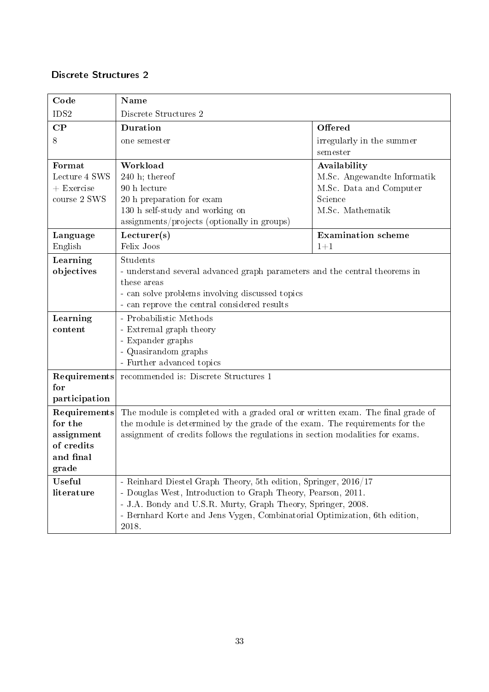#### <span id="page-32-0"></span>Discrete Structures 2

| Code                          | Name                                                                                                                                      |                                    |  |
|-------------------------------|-------------------------------------------------------------------------------------------------------------------------------------------|------------------------------------|--|
| IDS2                          | Discrete Structures 2                                                                                                                     |                                    |  |
| $\bf CP$                      | Duration                                                                                                                                  | Offered                            |  |
| 8                             | one semester                                                                                                                              | irregularly in the summer          |  |
|                               |                                                                                                                                           | semester                           |  |
| Format                        | Workload                                                                                                                                  | Availability                       |  |
| Lecture 4 SWS<br>$+$ Exercise | $240$ h; thereof<br>90 h lecture                                                                                                          | M.Sc. Angewandte Informatik        |  |
| course 2 SWS                  | 20 h preparation for exam                                                                                                                 | M.Sc. Data and Computer<br>Science |  |
|                               | 130 h self-study and working on                                                                                                           | M.Sc. Mathematik                   |  |
|                               | assignments/projects (optionally in groups)                                                                                               |                                    |  |
| Language                      | Lecturer(s)                                                                                                                               | <b>Examination</b> scheme          |  |
| English                       | Felix Joos                                                                                                                                | $1 + 1$                            |  |
| Learning                      | Students                                                                                                                                  |                                    |  |
| objectives                    | - understand several advanced graph parameters and the central theorems in                                                                |                                    |  |
|                               | these areas                                                                                                                               |                                    |  |
|                               | - can solve problems involving discussed topics                                                                                           |                                    |  |
|                               | - can reprove the central considered results                                                                                              |                                    |  |
| Learning                      | - Probabilistic Methods                                                                                                                   |                                    |  |
| content                       | - Extremal graph theory                                                                                                                   |                                    |  |
|                               | - Expander graphs<br>- Quasirandom graphs                                                                                                 |                                    |  |
|                               | - Further advanced topics                                                                                                                 |                                    |  |
| Requirements                  | recommended is: Discrete Structures 1                                                                                                     |                                    |  |
| for                           |                                                                                                                                           |                                    |  |
| participation                 |                                                                                                                                           |                                    |  |
| Requirements                  | The module is completed with a graded oral or written exam. The final grade of                                                            |                                    |  |
| for the                       | the module is determined by the grade of the exam. The requirements for the                                                               |                                    |  |
| assignment                    | assignment of credits follows the regulations in section modalities for exams.                                                            |                                    |  |
| of credits                    |                                                                                                                                           |                                    |  |
| and final                     |                                                                                                                                           |                                    |  |
| grade                         |                                                                                                                                           |                                    |  |
| Useful                        | - Reinhard Diestel Graph Theory, 5th edition, Springer, 2016/17                                                                           |                                    |  |
| literature                    | - Douglas West, Introduction to Graph Theory, Pearson, 2011.                                                                              |                                    |  |
|                               | - J.A. Bondy and U.S.R. Murty, Graph Theory, Springer, 2008.<br>- Bernhard Korte and Jens Vygen, Combinatorial Optimization, 6th edition, |                                    |  |
|                               | 2018.                                                                                                                                     |                                    |  |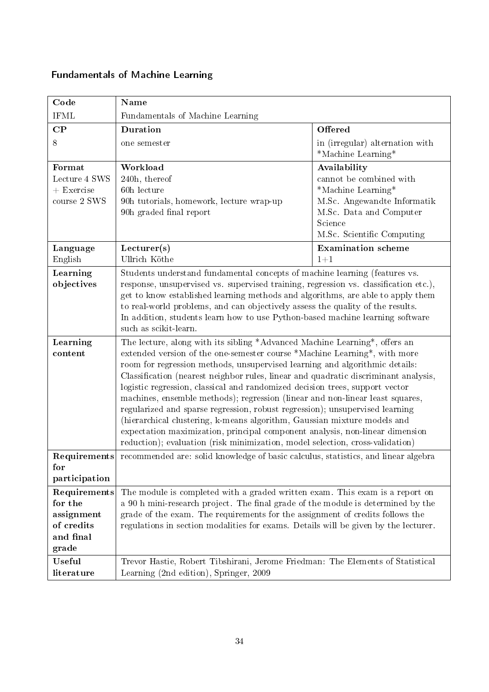# <span id="page-33-0"></span>Fundamentals of Machine Learning

| Code                                                                      | <b>Name</b>                                                                                                                                                                                                                                                                                                                                                                                                                                                                                                                                                                                                                                                                                                                                                                                                                 |                                                                                                                                                                  |  |
|---------------------------------------------------------------------------|-----------------------------------------------------------------------------------------------------------------------------------------------------------------------------------------------------------------------------------------------------------------------------------------------------------------------------------------------------------------------------------------------------------------------------------------------------------------------------------------------------------------------------------------------------------------------------------------------------------------------------------------------------------------------------------------------------------------------------------------------------------------------------------------------------------------------------|------------------------------------------------------------------------------------------------------------------------------------------------------------------|--|
| <b>IFML</b>                                                               | Fundamentals of Machine Learning                                                                                                                                                                                                                                                                                                                                                                                                                                                                                                                                                                                                                                                                                                                                                                                            |                                                                                                                                                                  |  |
| $\mathbf{CP}$                                                             | <b>Duration</b>                                                                                                                                                                                                                                                                                                                                                                                                                                                                                                                                                                                                                                                                                                                                                                                                             | Offered                                                                                                                                                          |  |
| 8                                                                         | one semester                                                                                                                                                                                                                                                                                                                                                                                                                                                                                                                                                                                                                                                                                                                                                                                                                | in (irregular) alternation with<br>*Machine Learning*                                                                                                            |  |
| Format<br>Lecture 4 SWS<br>$+$ Exercise<br>$\frac{1}{2}$ course 2 SWS     | Workload<br>240h, thereof<br>60h lecture<br>90h tutorials, homework, lecture wrap-up<br>90h graded final report                                                                                                                                                                                                                                                                                                                                                                                                                                                                                                                                                                                                                                                                                                             | Availability<br>cannot be combined with<br>*Machine Learning*<br>M.Sc. Angewandte Informatik<br>M.Sc. Data and Computer<br>Science<br>M.Sc. Scientific Computing |  |
| Language<br>English                                                       | Lecturer(s)<br>Ullrich Köthe                                                                                                                                                                                                                                                                                                                                                                                                                                                                                                                                                                                                                                                                                                                                                                                                | <b>Examination</b> scheme<br>$1 + 1$                                                                                                                             |  |
| Learning<br>objectives                                                    | Students understand fundamental concepts of machine learning (features vs.<br>response, unsupervised vs. supervised training, regression vs. classification etc.),<br>get to know established learning methods and algorithms, are able to apply them<br>to real-world problems, and can objectively assess the quality of the results.<br>In addition, students learn how to use Python-based machine learning software<br>such as scikit-learn.                                                                                                                                                                                                                                                                                                                                                                           |                                                                                                                                                                  |  |
| Learning<br>content                                                       | The lecture, along with its sibling *Advanced Machine Learning*, offers an<br>extended version of the one-semester course *Machine Learning*, with more<br>room for regression methods, unsupervised learning and algorithmic details:<br>Classification (nearest neighbor rules, linear and quadratic discriminant analysis,<br>logistic regression, classical and randomized decision trees, support vector<br>machines, ensemble methods); regression (linear and non-linear least squares,<br>regularized and sparse regression, robust regression); unsupervised learning<br>(hierarchical clustering, k-means algorithm, Gaussian mixture models and<br>expectation maximization, principal component analysis, non-linear dimension<br>reduction); evaluation (risk minimization, model selection, cross-validation) |                                                                                                                                                                  |  |
| for<br>participation                                                      | Requirements recommended are: solid knowledge of basic calculus, statistics, and linear algebra                                                                                                                                                                                                                                                                                                                                                                                                                                                                                                                                                                                                                                                                                                                             |                                                                                                                                                                  |  |
| Requirements<br>for the<br>assignment<br>of credits<br>and final<br>grade | The module is completed with a graded written exam. This exam is a report on<br>a 90 h mini-research project. The final grade of the module is determined by the<br>grade of the exam. The requirements for the assignment of credits follows the<br>regulations in section modalities for exams. Details will be given by the lecturer.                                                                                                                                                                                                                                                                                                                                                                                                                                                                                    |                                                                                                                                                                  |  |
| Useful<br>literature                                                      | Trevor Hastie, Robert Tibshirani, Jerome Friedman: The Elements of Statistical<br>Learning (2nd edition), Springer, 2009                                                                                                                                                                                                                                                                                                                                                                                                                                                                                                                                                                                                                                                                                                    |                                                                                                                                                                  |  |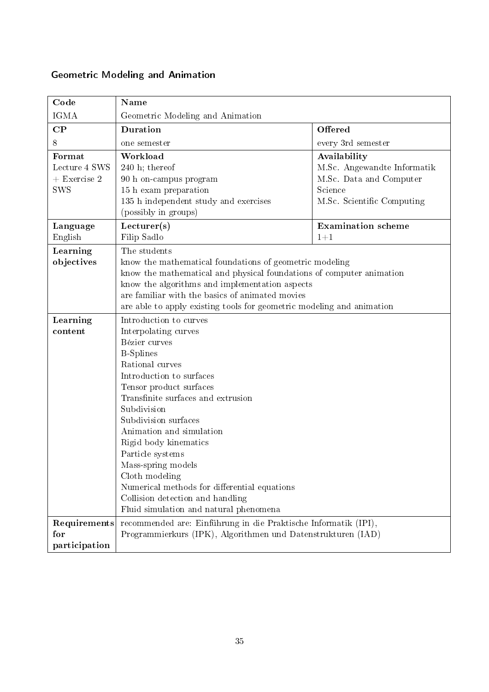### <span id="page-34-0"></span>Geometric Modeling and Animation

| Code                                                    | Name                                                                                                                                                                                                                                                                                                                                                                                                                                                                                                                                                               |                                                                                                                 |
|---------------------------------------------------------|--------------------------------------------------------------------------------------------------------------------------------------------------------------------------------------------------------------------------------------------------------------------------------------------------------------------------------------------------------------------------------------------------------------------------------------------------------------------------------------------------------------------------------------------------------------------|-----------------------------------------------------------------------------------------------------------------|
| <b>IGMA</b>                                             | Geometric Modeling and Animation                                                                                                                                                                                                                                                                                                                                                                                                                                                                                                                                   |                                                                                                                 |
| $\bf CP$                                                | Duration                                                                                                                                                                                                                                                                                                                                                                                                                                                                                                                                                           | Offered                                                                                                         |
| 8                                                       | one semester                                                                                                                                                                                                                                                                                                                                                                                                                                                                                                                                                       | every 3rd semester                                                                                              |
| Format<br>Lecture 4 SWS<br>$+$ Exercise 2<br><b>SWS</b> | Workload<br>$240$ h; thereof<br>90 h on-campus program<br>15 h exam preparation<br>135 h independent study and exercises<br>(possibly in groups)                                                                                                                                                                                                                                                                                                                                                                                                                   | Availability<br>M.Sc. Angewandte Informatik<br>M.Sc. Data and Computer<br>Science<br>M.Sc. Scientific Computing |
| Language<br>English                                     | Lecturer(s)<br>Filip Sadlo                                                                                                                                                                                                                                                                                                                                                                                                                                                                                                                                         | <b>Examination</b> scheme<br>$1 + 1$                                                                            |
| Learning<br>objectives                                  | The students<br>know the mathematical foundations of geometric modeling<br>know the mathematical and physical foundations of computer animation<br>know the algorithms and implementation aspects<br>are familiar with the basics of animated movies                                                                                                                                                                                                                                                                                                               |                                                                                                                 |
| Learning<br>content                                     | are able to apply existing tools for geometric modeling and animation<br>Introduction to curves<br>Interpolating curves<br>Bézier curves<br><b>B-Splines</b><br>Rational curves<br>Introduction to surfaces<br>Tensor product surfaces<br>Transfinite surfaces and extrusion<br>Subdivision<br>Subdivision surfaces<br>Animation and simulation<br>Rigid body kinematics<br>Particle systems<br>Mass-spring models<br>Cloth modeling<br>Numerical methods for differential equations<br>Collision detection and handling<br>Fluid simulation and natural phenomena |                                                                                                                 |
| Requirements                                            | recommended are: Einführung in die Praktische Informatik (IPI),                                                                                                                                                                                                                                                                                                                                                                                                                                                                                                    |                                                                                                                 |
| for                                                     | Programmierkurs (IPK), Algorithmen und Datenstrukturen (IAD)                                                                                                                                                                                                                                                                                                                                                                                                                                                                                                       |                                                                                                                 |
| participation                                           |                                                                                                                                                                                                                                                                                                                                                                                                                                                                                                                                                                    |                                                                                                                 |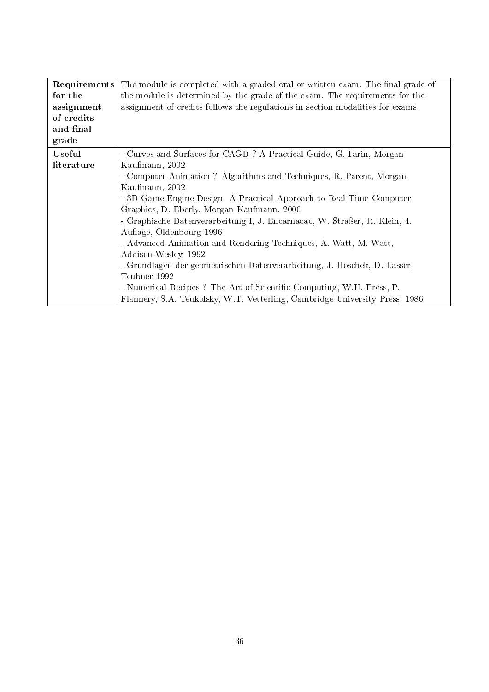| Requirements | The module is completed with a graded oral or written exam. The final grade of |  |  |
|--------------|--------------------------------------------------------------------------------|--|--|
| for the      | the module is determined by the grade of the exam. The requirements for the    |  |  |
| assignment   | assignment of credits follows the regulations in section modalities for exams. |  |  |
| of credits   |                                                                                |  |  |
| and final    |                                                                                |  |  |
| grade        |                                                                                |  |  |
| Useful       | - Curves and Surfaces for CAGD? A Practical Guide, G. Farin, Morgan            |  |  |
| literature   | Kaufmann, 2002                                                                 |  |  |
|              | - Computer Animation ? Algorithms and Techniques, R. Parent, Morgan            |  |  |
|              | Kaufmann, 2002                                                                 |  |  |
|              | - 3D Game Engine Design: A Practical Approach to Real-Time Computer            |  |  |
|              | Graphics, D. Eberly, Morgan Kaufmann, 2000                                     |  |  |
|              | - Graphische Datenverarbeitung I, J. Encarnacao, W. Straßer, R. Klein, 4.      |  |  |
|              | Auflage, Oldenbourg 1996                                                       |  |  |
|              | - Advanced Animation and Rendering Techniques, A. Watt, M. Watt,               |  |  |
|              | Addison-Wesley, 1992                                                           |  |  |
|              | - Grundlagen der geometrischen Datenverarbeitung, J. Hoschek, D. Lasser,       |  |  |
|              | Teubner 1992                                                                   |  |  |
|              | - Numerical Recipes ? The Art of Scientific Computing, W.H. Press, P.          |  |  |
|              | Flannery, S.A. Teukolsky, W.T. Vetterling, Cambridge University Press, 1986    |  |  |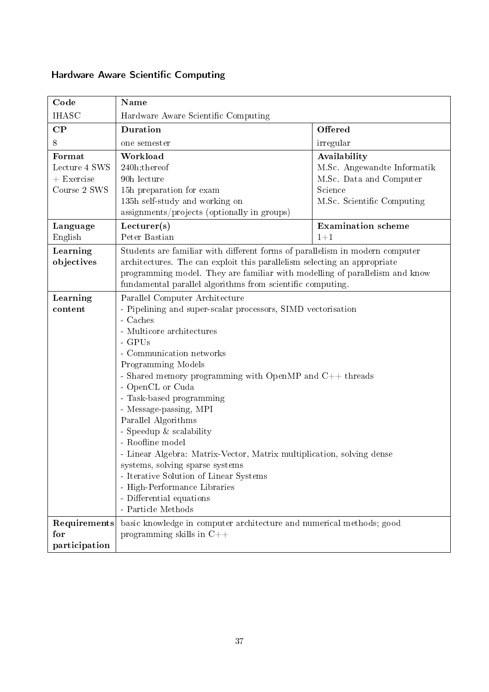| Code          | <b>Name</b>                                                                  |                             |  |
|---------------|------------------------------------------------------------------------------|-----------------------------|--|
|               |                                                                              |                             |  |
| <b>IHASC</b>  | Hardware Aware Scientific Computing                                          |                             |  |
| $\bf CP$      | <b>Duration</b>                                                              | Offered                     |  |
| 8             | one semester                                                                 | irregular                   |  |
| Format        | Workload                                                                     | Availability                |  |
| Lecture 4 SWS | 240h;thereof                                                                 | M.Sc. Angewandte Informatik |  |
| $+$ Exercise  | 90h lecture                                                                  | M.Sc. Data and Computer     |  |
| Course 2 SWS  | 15h preparation for exam                                                     | Science                     |  |
|               | 135h self-study and working on                                               | M.Sc. Scientific Computing  |  |
|               | assignments/projects (optionally in groups)                                  |                             |  |
| Language      | Lecturer(s)                                                                  | <b>Examination</b> scheme   |  |
| English       | Peter Bastian                                                                | $1 + 1$                     |  |
| Learning      | Students are familiar with different forms of parallelism in modern computer |                             |  |
| objectives    | architectures. The can exploit this parallelism selecting an appropriate     |                             |  |
|               | programming model. They are familiar with modelling of parallelism and know  |                             |  |
|               | fundamental parallel algorithms from scientific computing.                   |                             |  |
| Learning      | Parallel Computer Architecture                                               |                             |  |
| content       | - Pipelining and super-scalar processors, SIMD vectorisation                 |                             |  |
|               | - Caches                                                                     |                             |  |
|               | - Multicore architectures                                                    |                             |  |
|               | - GPUs                                                                       |                             |  |
|               | - Communication networks                                                     |                             |  |
|               | Programming Models                                                           |                             |  |
|               | - Shared memory programming with OpenMP and $C++$ threads                    |                             |  |
|               | - OpenCL or Cuda                                                             |                             |  |
|               | - Task-based programming<br>- Message-passing, MPI                           |                             |  |
|               | Parallel Algorithms                                                          |                             |  |
|               | - Speedup $&$ scalability                                                    |                             |  |
|               | - Roofline model                                                             |                             |  |
|               | - Linear Algebra: Matrix-Vector, Matrix multiplication, solving dense        |                             |  |
|               | systems, solving sparse systems                                              |                             |  |
|               | - Iterative Solution of Linear Systems                                       |                             |  |
|               | - High-Performance Libraries                                                 |                             |  |
|               | - Differential equations                                                     |                             |  |
|               | - Particle Methods                                                           |                             |  |
| Requirements  | basic knowledge in computer architecture and numerical methods; good         |                             |  |
| for           | programming skills in $C++$                                                  |                             |  |
| participation |                                                                              |                             |  |

# <span id="page-36-0"></span>Hardware Aware Scientific Computing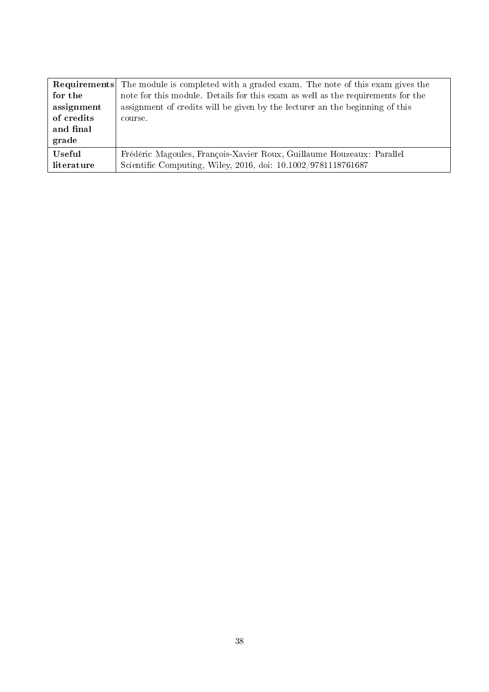|            | <b>Requirements</b> The module is completed with a graded exam. The note of this exam gives the |
|------------|-------------------------------------------------------------------------------------------------|
| for the    | note for this module. Details for this exam as well as the requirements for the                 |
| assignment | assignment of credits will be given by the lecturer an the beginning of this                    |
| of credits | course.                                                                                         |
| and final  |                                                                                                 |
| grade      |                                                                                                 |
| Useful     | Frédéric Magoules, François-Xavier Roux, Guillaume Houzeaux: Parallel                           |
| literature | Scientific Computing, Wiley, 2016, doi: 10.1002/9781118761687                                   |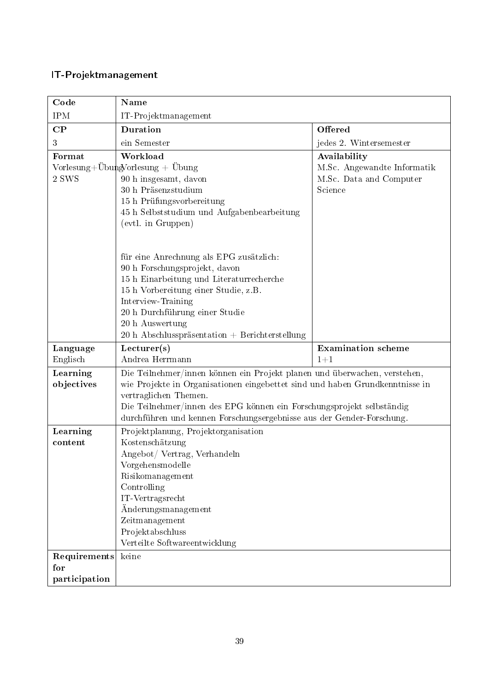### <span id="page-38-0"></span>IT-Projektmanagement

| Code                                 | <b>Name</b>                                                                                                                                                                                                                                                                                                                                       |                                                                   |
|--------------------------------------|---------------------------------------------------------------------------------------------------------------------------------------------------------------------------------------------------------------------------------------------------------------------------------------------------------------------------------------------------|-------------------------------------------------------------------|
| <b>IPM</b>                           | IT-Projektmanagement                                                                                                                                                                                                                                                                                                                              |                                                                   |
| $\bf CP$                             | <b>Duration</b>                                                                                                                                                                                                                                                                                                                                   | Offered                                                           |
| 3                                    | ein Semester                                                                                                                                                                                                                                                                                                                                      | jedes 2. Wintersemester                                           |
| Format                               | Workload                                                                                                                                                                                                                                                                                                                                          | Availability                                                      |
| 2 SWS                                | Vorlesung+ÜbungVorlesung + Übung<br>90 h insgesamt, davon<br>30 h Präsenzstudium<br>15 h Prüfungsvorbereitung<br>45 h Selbststudium und Aufgabenbearbeitung<br>(evtl. in Gruppen)<br>für eine Anrechnung als EPG zusätzlich:<br>90 h Forschungsprojekt, davon<br>15 h Einarbeitung und Literaturrecherche<br>15 h Vorbereitung einer Studie, z.B. | M.Sc. Angewandte Informatik<br>M.Sc. Data and Computer<br>Science |
| Language                             | Interview-Training<br>20 h Durchführung einer Studie<br>20 h Auswertung<br>20 h Abschlusspräsentation + Berichterstellung<br>Lecturer(s)                                                                                                                                                                                                          | <b>Examination</b> scheme                                         |
| Englisch                             | Andrea Herrmann                                                                                                                                                                                                                                                                                                                                   | $1 + 1$                                                           |
| Learning<br>objectives               | Die Teilnehmer/innen können ein Projekt planen und überwachen, verstehen,<br>wie Projekte in Organisationen eingebettet sind und haben Grundkenntnisse in<br>vertraglichen Themen.<br>Die Teilnehmer/innen des EPG können ein Forschungsprojekt selbständig<br>durchführen und kennen Forschungsergebnisse aus der Gender-Forschung.              |                                                                   |
| Learning<br>content                  | Projektplanung, Projektorganisation<br>Kostenschätzung<br>Angebot/ Vertrag, Verhandeln<br>Vorgehensmodelle<br>Risikomanagement<br>Controlling<br>IT-Vertragsrecht<br>Änderungsmanagement<br>Zeitmanagement<br>Projektabschluss<br>Verteilte Softwareentwicklung                                                                                   |                                                                   |
| Requirements<br>for<br>participation | keine                                                                                                                                                                                                                                                                                                                                             |                                                                   |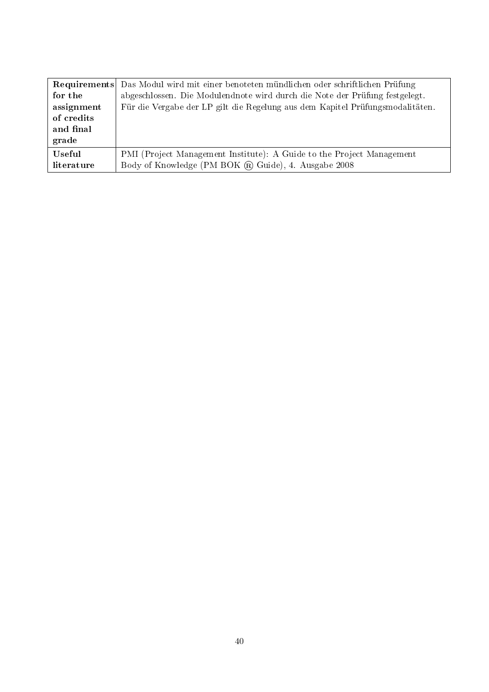|            | Requirements Das Modul wird mit einer benoteten mündlichen oder schriftlichen Prüfung |
|------------|---------------------------------------------------------------------------------------|
| for the    | abgeschlossen. Die Modulendnote wird durch die Note der Prüfung festgelegt.           |
| assignment | Für die Vergabe der LP gilt die Regelung aus dem Kapitel Prüfungsmodalitäten.         |
| of credits |                                                                                       |
| and final  |                                                                                       |
| grade      |                                                                                       |
| Useful     | PMI (Project Management Institute): A Guide to the Project Management                 |
| literature | Body of Knowledge (PM BOK ® Guide), 4. Ausgabe 2008                                   |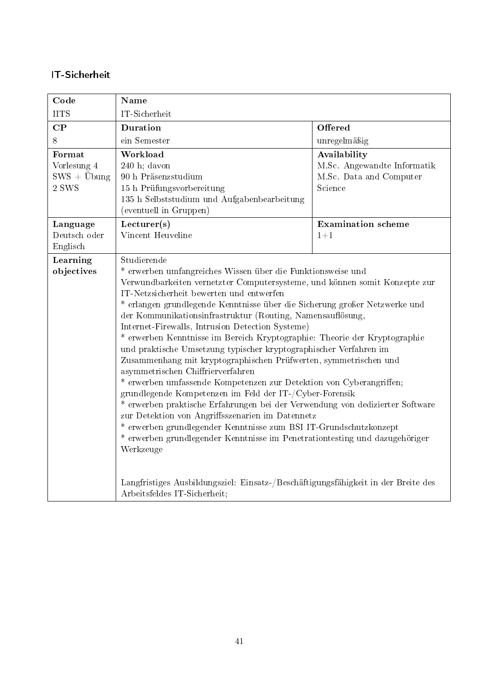#### <span id="page-40-0"></span>IT-Sicherheit

| Code                                                    | <b>Name</b>                                                                                                                                                                                                                                                                                                                                                                                                                                                                                                                                                                                                                                                                                                                                                                                                                                                                                                                                                                                                                                                                                             |                                                                                   |
|---------------------------------------------------------|---------------------------------------------------------------------------------------------------------------------------------------------------------------------------------------------------------------------------------------------------------------------------------------------------------------------------------------------------------------------------------------------------------------------------------------------------------------------------------------------------------------------------------------------------------------------------------------------------------------------------------------------------------------------------------------------------------------------------------------------------------------------------------------------------------------------------------------------------------------------------------------------------------------------------------------------------------------------------------------------------------------------------------------------------------------------------------------------------------|-----------------------------------------------------------------------------------|
| <b>IITS</b>                                             | IT-Sicherheit                                                                                                                                                                                                                                                                                                                                                                                                                                                                                                                                                                                                                                                                                                                                                                                                                                                                                                                                                                                                                                                                                           |                                                                                   |
| $\bf CP$                                                | <b>Duration</b>                                                                                                                                                                                                                                                                                                                                                                                                                                                                                                                                                                                                                                                                                                                                                                                                                                                                                                                                                                                                                                                                                         | Offered                                                                           |
| 8                                                       | ein Semester                                                                                                                                                                                                                                                                                                                                                                                                                                                                                                                                                                                                                                                                                                                                                                                                                                                                                                                                                                                                                                                                                            | unregelmäßig                                                                      |
| Format<br>Vorlesung 4<br>$SWS + \ddot{U}$ bung<br>2 SWS | Workload<br>$240$ h; davon<br>90 h Präsenzstudium<br>15 h Prüfungsvorbereitung<br>135 h Selbststudium und Aufgabenbearbeitung<br>(eventuell in Gruppen)                                                                                                                                                                                                                                                                                                                                                                                                                                                                                                                                                                                                                                                                                                                                                                                                                                                                                                                                                 | Availability<br>M.Sc. Angewandte Informatik<br>M.Sc. Data and Computer<br>Science |
| Language<br>Deutsch oder<br>Englisch                    | Lecturer(s)<br>Vincent Heuveline                                                                                                                                                                                                                                                                                                                                                                                                                                                                                                                                                                                                                                                                                                                                                                                                                                                                                                                                                                                                                                                                        | <b>Examination</b> scheme<br>$1 + 1$                                              |
| Learning<br>objectives                                  | Studierende<br>* erwerben umfangreiches Wissen über die Funktionsweise und<br>Verwundbarkeiten vernetzter Computersysteme, und können somit Konzepte zur<br>IT-Netzsicherheit bewerten und entwerfen<br>* erlangen grundlegende Kenntnisse über die Sicherung großer Netzwerke und<br>der Kommunikationsinfrastruktur (Routing, Namensauflösung,<br>Internet-Firewalls, Intrusion Detection Systeme)<br>* erwerben Kenntnisse im Bereich Kryptographie: Theorie der Kryptographie<br>und praktische Umsetzung typischer kryptographischer Verfahren im<br>Zusammenhang mit kryptographischen Prüfwerten, symmetrischen und<br>asymmetrischen Chiffrierverfahren<br>* erwerben umfassende Kompetenzen zur Detektion von Cyberangriffen;<br>grundlegende Kompetenzen im Feld der IT-/Cyber-Forensik<br>* erwerben praktische Erfahrungen bei der Verwendung von dedizierter Software<br>zur Detektion von Angriffsszenarien im Datennetz<br>* erwerben grundlegender Kenntnisse zum BSI IT-Grundschutzkonzept<br>* erwerben grundlegender Kenntnisse im Penetrationtesting und dazugehöriger<br>Werkzeuge |                                                                                   |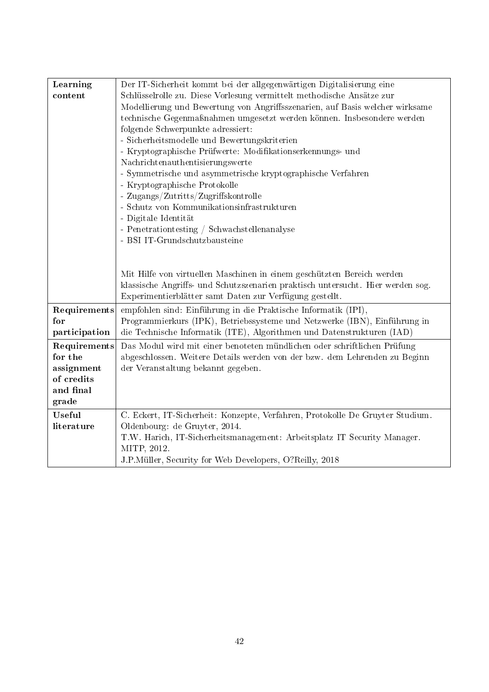| Learning      | Der IT-Sicherheit kommt bei der allgegenwärtigen Digitalisierung eine           |  |
|---------------|---------------------------------------------------------------------------------|--|
| content       | Schlüsselrolle zu. Diese Vorlesung vermittelt methodische Ansätze zur           |  |
|               | Modellierung und Bewertung von Angriffsszenarien, auf Basis welcher wirksame    |  |
|               | technische Gegenmaßnahmen umgesetzt werden können. Insbesondere werden          |  |
|               | folgende Schwerpunkte adressiert:                                               |  |
|               | - Sicherheitsmodelle und Bewertungskriterien                                    |  |
|               | - Kryptographische Prüfwerte: Modifikationserkennungs- und                      |  |
|               | Nachrichtenauthentisierungswerte                                                |  |
|               | - Symmetrische und asymmetrische kryptographische Verfahren                     |  |
|               | - Kryptographische Protokolle                                                   |  |
|               | Zugangs/Zutritts/Zugriffskontrolle                                              |  |
|               | Schutz von Kommunikationsinfrastrukturen                                        |  |
|               | - Digitale Identität                                                            |  |
|               | - Penetrationtesting / Schwachstellenanalyse                                    |  |
|               | - BSI IT-Grundschutzbausteine                                                   |  |
|               |                                                                                 |  |
|               |                                                                                 |  |
|               | Mit Hilfe von virtuellen Maschinen in einem geschützten Bereich werden          |  |
|               | klassische Angriffs- und Schutzszenarien praktisch untersucht. Hier werden sog. |  |
|               | Experimentierblätter samt Daten zur Verfügung gestellt.                         |  |
| Requirements  | empfohlen sind: Einführung in die Praktische Informatik (IPI),                  |  |
| for           | Programmierkurs (IPK), Betriebssysteme und Netzwerke (IBN), Einführung in       |  |
| participation | die Technische Informatik (ITE), Algorithmen und Datenstrukturen (IAD)          |  |
| Requirements  | Das Modul wird mit einer benoteten mündlichen oder schriftlichen Prüfung        |  |
| for the       | abgeschlossen. Weitere Details werden von der bzw. dem Lehrenden zu Beginn      |  |
| assignment    | der Veranstaltung bekannt gegeben.                                              |  |
| of credits    |                                                                                 |  |
| and final     |                                                                                 |  |
| grade         |                                                                                 |  |
| <b>Useful</b> | C. Eckert, IT-Sicherheit: Konzepte, Verfahren, Protokolle De Gruyter Studium.   |  |
| literature    | Oldenbourg: de Gruyter, 2014.                                                   |  |
|               | T.W. Harich, IT-Sicherheitsmanagement: Arbeitsplatz IT Security Manager.        |  |
|               | MITP, 2012.                                                                     |  |
|               | J.P.Müller, Security for Web Developers, O?Reilly, 2018                         |  |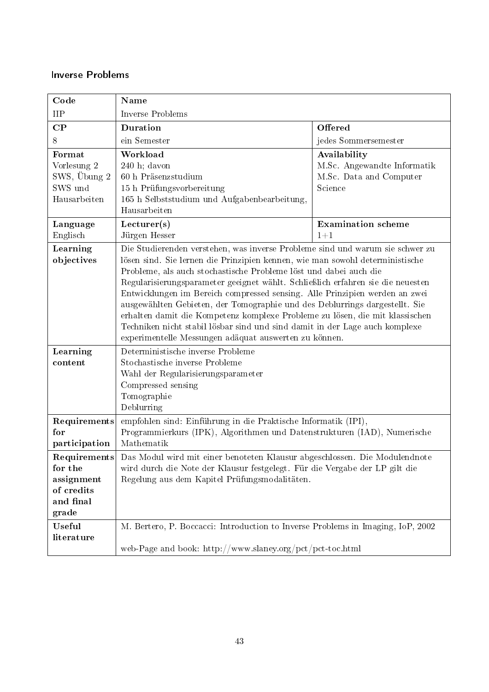#### <span id="page-42-0"></span>Inverse Problems

| Code                                 | Name                                                                                                                                                                                                                                                                                                                                                                               |                                                        |
|--------------------------------------|------------------------------------------------------------------------------------------------------------------------------------------------------------------------------------------------------------------------------------------------------------------------------------------------------------------------------------------------------------------------------------|--------------------------------------------------------|
| <b>IIP</b>                           | Inverse Problems                                                                                                                                                                                                                                                                                                                                                                   |                                                        |
| $\bf CP$                             | Duration                                                                                                                                                                                                                                                                                                                                                                           | Offered                                                |
| 8                                    | ein Semester                                                                                                                                                                                                                                                                                                                                                                       | jedes Sommersemester                                   |
| Format                               | Workload                                                                                                                                                                                                                                                                                                                                                                           | Availability                                           |
| Vorlesung 2<br>SWS, Übung 2          | $240$ h; davon<br>60 h Präsenzstudium                                                                                                                                                                                                                                                                                                                                              | M.Sc. Angewandte Informatik<br>M.Sc. Data and Computer |
| SWS und                              | 15 h Prüfungsvorbereitung                                                                                                                                                                                                                                                                                                                                                          | Science                                                |
| Hausarbeiten                         | 165 h Selbststudium und Aufgabenbearbeitung,                                                                                                                                                                                                                                                                                                                                       |                                                        |
|                                      | Hausarbeiten                                                                                                                                                                                                                                                                                                                                                                       |                                                        |
| Language                             | Lecturer(s)                                                                                                                                                                                                                                                                                                                                                                        | <b>Examination</b> scheme                              |
| Englisch                             | Jürgen Hesser                                                                                                                                                                                                                                                                                                                                                                      | $1 + 1$                                                |
| Learning<br>objectives               | Die Studierenden verstehen, was inverse Probleme sind und warum sie schwer zu<br>lösen sind. Sie lernen die Prinzipien kennen, wie man sowohl deterministische<br>Probleme, als auch stochastische Probleme löst und dabei auch die<br>Regularisierungsparameter geeignet wählt. Schließlich erfahren sie die neuesten                                                             |                                                        |
|                                      | Entwicklungen im Bereich compressed sensing. Alle Prinzipien werden an zwei<br>ausgewählten Gebieten, der Tomographie und des Deblurrings dargestellt. Sie<br>erhalten damit die Kompetenz komplexe Probleme zu lösen, die mit klassischen<br>Techniken nicht stabil lösbar sind und sind damit in der Lage auch komplexe<br>experimentelle Messungen adäquat auswerten zu können. |                                                        |
| Learning                             | Deterministische inverse Probleme                                                                                                                                                                                                                                                                                                                                                  |                                                        |
| content                              | Stochastische inverse Probleme                                                                                                                                                                                                                                                                                                                                                     |                                                        |
|                                      | Wahl der Regularisierungsparameter                                                                                                                                                                                                                                                                                                                                                 |                                                        |
|                                      | Compressed sensing<br>Tomographie                                                                                                                                                                                                                                                                                                                                                  |                                                        |
|                                      | Deblurring                                                                                                                                                                                                                                                                                                                                                                         |                                                        |
| Requirements<br>for<br>participation | empfohlen sind: Einführung in die Praktische Informatik (IPI),<br>Programmierkurs (IPK), Algorithmen und Datenstrukturen (IAD), Numerische<br>Mathematik                                                                                                                                                                                                                           |                                                        |
|                                      | <b>Requirements</b> Das Modul wird mit einer benoteten Klausur abgeschlossen. Die Modulendnote                                                                                                                                                                                                                                                                                     |                                                        |
| for the                              | wird durch die Note der Klausur festgelegt. Für die Vergabe der LP gilt die                                                                                                                                                                                                                                                                                                        |                                                        |
| assignment                           | Regelung aus dem Kapitel Prüfungsmodalitäten.                                                                                                                                                                                                                                                                                                                                      |                                                        |
| of credits<br>and final              |                                                                                                                                                                                                                                                                                                                                                                                    |                                                        |
| grade                                |                                                                                                                                                                                                                                                                                                                                                                                    |                                                        |
| Useful                               | M. Bertero, P. Boccacci: Introduction to Inverse Problems in Imaging, IoP, 2002                                                                                                                                                                                                                                                                                                    |                                                        |
| literature                           |                                                                                                                                                                                                                                                                                                                                                                                    |                                                        |
|                                      | web-Page and book: http://www.slaney.org/pct/pct-toc.html                                                                                                                                                                                                                                                                                                                          |                                                        |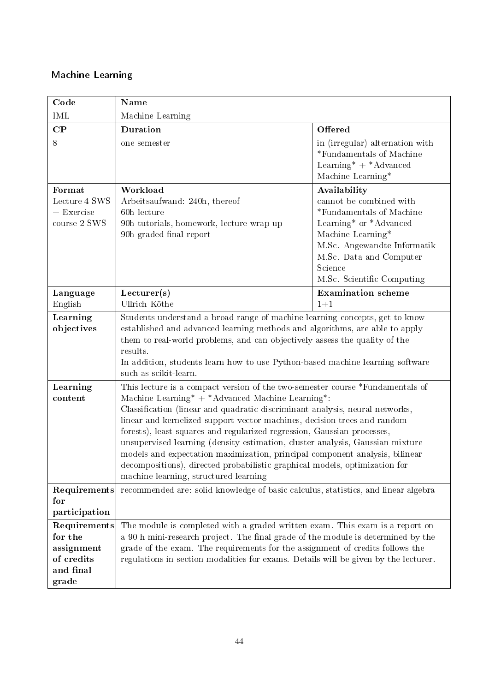### <span id="page-43-0"></span>Machine Learning

| Code                                                                      | Name                                                                                                                                                                                                                                                                                                                                                                                                                                                                                                                                                                                                                                                            |                                                                                                                                                                                                                       |
|---------------------------------------------------------------------------|-----------------------------------------------------------------------------------------------------------------------------------------------------------------------------------------------------------------------------------------------------------------------------------------------------------------------------------------------------------------------------------------------------------------------------------------------------------------------------------------------------------------------------------------------------------------------------------------------------------------------------------------------------------------|-----------------------------------------------------------------------------------------------------------------------------------------------------------------------------------------------------------------------|
| <b>IML</b>                                                                | Machine Learning                                                                                                                                                                                                                                                                                                                                                                                                                                                                                                                                                                                                                                                |                                                                                                                                                                                                                       |
| $\bf CP$                                                                  | <b>Duration</b>                                                                                                                                                                                                                                                                                                                                                                                                                                                                                                                                                                                                                                                 | Offered                                                                                                                                                                                                               |
| 8                                                                         | one semester                                                                                                                                                                                                                                                                                                                                                                                                                                                                                                                                                                                                                                                    | in (irregular) alternation with<br>*Fundamentals of Machine<br>Learning* $+$ *Advanced<br>Machine Learning*                                                                                                           |
| Format<br>Lecture 4 SWS<br>$+$ Exercise<br>course 2 SWS                   | Workload<br>Arbeitsaufwand: 240h, thereof<br>60h lecture<br>90h tutorials, homework, lecture wrap-up<br>90h graded final report                                                                                                                                                                                                                                                                                                                                                                                                                                                                                                                                 | Availability<br>cannot be combined with<br>*Fundamentals of Machine<br>Learning* or *Advanced<br>Machine Learning*<br>M.Sc. Angewandte Informatik<br>M.Sc. Data and Computer<br>Science<br>M.Sc. Scientific Computing |
| Language<br>English                                                       | Lecturer(s)<br>Ullrich Köthe                                                                                                                                                                                                                                                                                                                                                                                                                                                                                                                                                                                                                                    | <b>Examination</b> scheme<br>$1 + 1$                                                                                                                                                                                  |
| Learning<br>objectives                                                    | Students understand a broad range of machine learning concepts, get to know<br>established and advanced learning methods and algorithms, are able to apply<br>them to real-world problems, and can objectively assess the quality of the<br>results.<br>In addition, students learn how to use Python-based machine learning software<br>such as scikit-learn.                                                                                                                                                                                                                                                                                                  |                                                                                                                                                                                                                       |
| Learning<br>content                                                       | This lecture is a compact version of the two-semester course *Fundamentals of<br>Machine Learning* + *Advanced Machine Learning*:<br>Classification (linear and quadratic discriminant analysis, neural networks,<br>linear and kernelized support vector machines, decision trees and random<br>forests), least squares and regularized regression, Gaussian processes,<br>unsupervised learning (density estimation, cluster analysis, Gaussian mixture<br>models and expectation maximization, principal component analysis, bilinear<br>decompositions), directed probabilistic graphical models, optimization for<br>machine learning, structured learning |                                                                                                                                                                                                                       |
| Requirements<br>for<br>participation                                      | recommended are: solid knowledge of basic calculus, statistics, and linear algebra                                                                                                                                                                                                                                                                                                                                                                                                                                                                                                                                                                              |                                                                                                                                                                                                                       |
| Requirements<br>for the<br>assignment<br>of credits<br>and final<br>grade | The module is completed with a graded written exam. This exam is a report on<br>a 90 h mini-research project. The final grade of the module is determined by the<br>grade of the exam. The requirements for the assignment of credits follows the<br>regulations in section modalities for exams. Details will be given by the lecturer.                                                                                                                                                                                                                                                                                                                        |                                                                                                                                                                                                                       |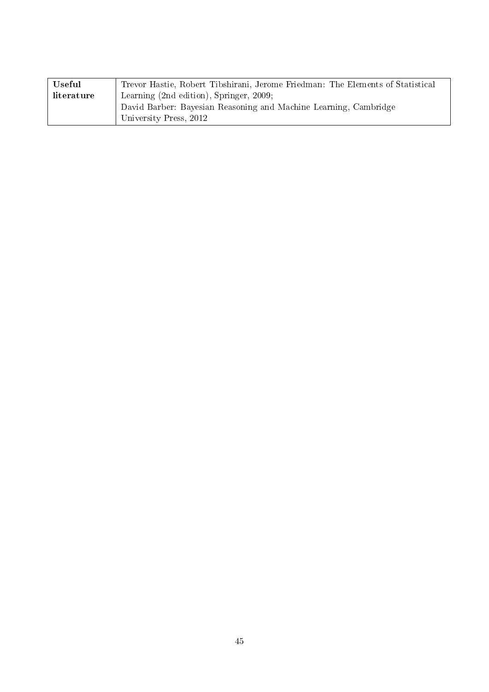| Useful     | Trevor Hastie, Robert Tibshirani, Jerome Friedman: The Elements of Statistical |  |
|------------|--------------------------------------------------------------------------------|--|
| literature | Learning (2nd edition), Springer, 2009;                                        |  |
|            | David Barber: Bayesian Reasoning and Machine Learning, Cambridge               |  |
|            | University Press, 2012                                                         |  |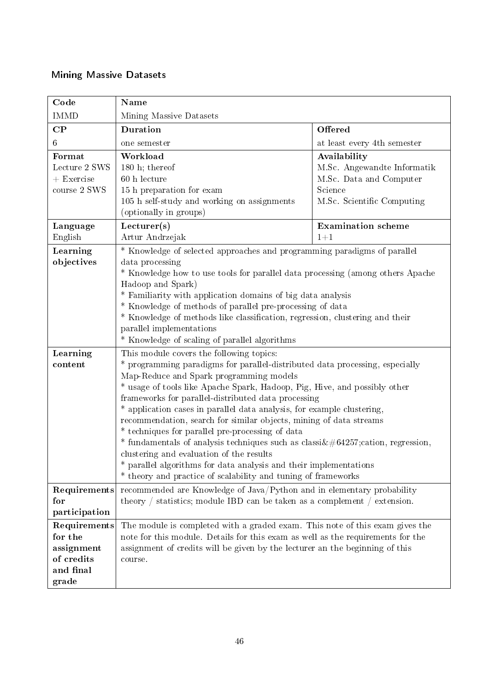### <span id="page-45-0"></span>Mining Massive Datasets

| Code                                                                      | Name                                                                                                                                                                                                                                                                                                                                                                                                                                                                                                                                                                                                                                                                                                                                                                                  |                                                                                                                 |  |
|---------------------------------------------------------------------------|---------------------------------------------------------------------------------------------------------------------------------------------------------------------------------------------------------------------------------------------------------------------------------------------------------------------------------------------------------------------------------------------------------------------------------------------------------------------------------------------------------------------------------------------------------------------------------------------------------------------------------------------------------------------------------------------------------------------------------------------------------------------------------------|-----------------------------------------------------------------------------------------------------------------|--|
| <b>IMMD</b>                                                               | Mining Massive Datasets                                                                                                                                                                                                                                                                                                                                                                                                                                                                                                                                                                                                                                                                                                                                                               |                                                                                                                 |  |
| $\bf CP$                                                                  | Duration                                                                                                                                                                                                                                                                                                                                                                                                                                                                                                                                                                                                                                                                                                                                                                              | Offered                                                                                                         |  |
| $6\phantom{.}6$                                                           | one semester                                                                                                                                                                                                                                                                                                                                                                                                                                                                                                                                                                                                                                                                                                                                                                          | at least every 4th semester                                                                                     |  |
| Format<br>Lecture 2 SWS<br>$+$ Exercise<br>course 2 SWS                   | Workload<br>180 h; thereof<br>60 h lecture<br>15 h preparation for exam<br>105 h self-study and working on assignments<br>(optionally in groups)                                                                                                                                                                                                                                                                                                                                                                                                                                                                                                                                                                                                                                      | Availability<br>M.Sc. Angewandte Informatik<br>M.Sc. Data and Computer<br>Science<br>M.Sc. Scientific Computing |  |
| Language<br>English                                                       | Lecturer(s)<br>Artur Andrzejak                                                                                                                                                                                                                                                                                                                                                                                                                                                                                                                                                                                                                                                                                                                                                        | <b>Examination</b> scheme<br>$1 + 1$                                                                            |  |
| Learning<br>objectives                                                    | * Knowledge of selected approaches and programming paradigms of parallel<br>data processing<br>* Knowledge how to use tools for parallel data processing (among others Apache<br>Hadoop and Spark)<br>* Familiarity with application domains of big data analysis<br>* Knowledge of methods of parallel pre-processing of data<br>* Knowledge of methods like classification, regression, clustering and their<br>parallel implementations<br>* Knowledge of scaling of parallel algorithms                                                                                                                                                                                                                                                                                           |                                                                                                                 |  |
| Learning<br>content                                                       | This module covers the following topics:<br>* programming paradigms for parallel-distributed data processing, especially<br>Map-Reduce and Spark programming models<br>* usage of tools like Apache Spark, Hadoop, Pig, Hive, and possibly other<br>frameworks for parallel-distributed data processing<br>* application cases in parallel data analysis, for example clustering,<br>recommendation, search for similar objects, mining of data streams<br>* techniques for parallel pre-processing of data<br>* fundamentals of analysis techniques such as classi $\&\#64257$ ; cation, regression,<br>clustering and evaluation of the results<br>parallel algorithms for data analysis and their implementations<br>* theory and practice of scalability and tuning of frameworks |                                                                                                                 |  |
| Requirements<br>for<br>participation                                      | recommended are Knowledge of Java/Python and in elementary probability<br>theory / statistics; module IBD can be taken as a complement / extension.                                                                                                                                                                                                                                                                                                                                                                                                                                                                                                                                                                                                                                   |                                                                                                                 |  |
| Requirements<br>for the<br>assignment<br>of credits<br>and final<br>grade | The module is completed with a graded exam. This note of this exam gives the<br>note for this module. Details for this exam as well as the requirements for the<br>assignment of credits will be given by the lecturer an the beginning of this<br>course.                                                                                                                                                                                                                                                                                                                                                                                                                                                                                                                            |                                                                                                                 |  |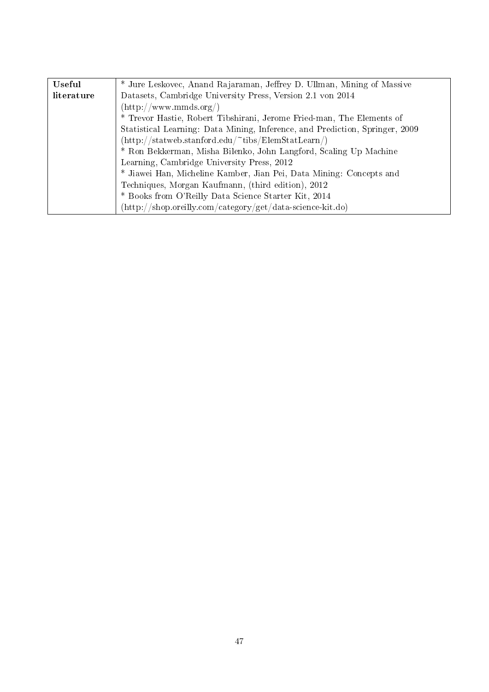| <b>Useful</b> | * Jure Leskovec, Anand Rajaraman, Jeffrey D. Ullman, Mining of Massive       |  |
|---------------|------------------------------------------------------------------------------|--|
| literature    | Datasets, Cambridge University Press, Version 2.1 von 2014                   |  |
|               | $(\text{http://www.mmds.org/})$                                              |  |
|               | * Trevor Hastie, Robert Tibshirani, Jerome Fried-man, The Elements of        |  |
|               | Statistical Learning: Data Mining, Inference, and Prediction, Springer, 2009 |  |
|               | $(\text{http://statweb.stanford.edu/~tibs/ElemStatLearn/})$                  |  |
|               | * Ron Bekkerman, Misha Bilenko, John Langford, Scaling Up Machine            |  |
|               | Learning, Cambridge University Press, 2012                                   |  |
|               | * Jiawei Han, Micheline Kamber, Jian Pei, Data Mining: Concepts and          |  |
|               | Techniques, Morgan Kaufmann, (third edition), 2012                           |  |
|               | * Books from O'Reilly Data Science Starter Kit, 2014                         |  |
|               | (http://shop.oreilly.com/category/get/data-science-kit.do)                   |  |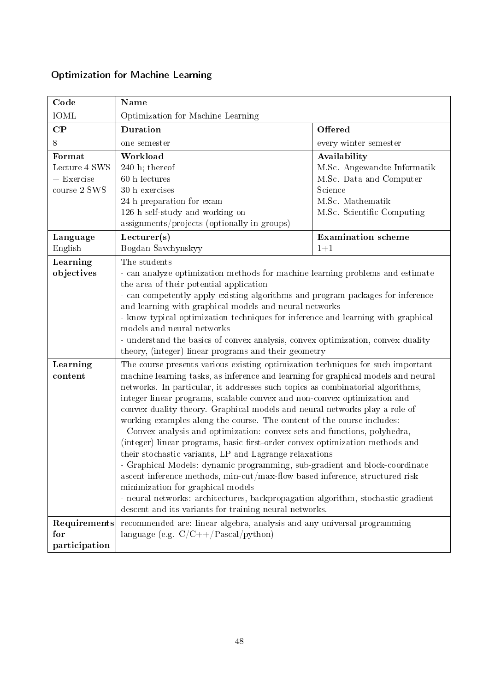| Code              | Name                                                                                                                                       |                                   |  |  |
|-------------------|--------------------------------------------------------------------------------------------------------------------------------------------|-----------------------------------|--|--|
| IOML              | Optimization for Machine Learning                                                                                                          |                                   |  |  |
| $\bf CP$          | Duration<br>Offered                                                                                                                        |                                   |  |  |
| 8                 | one semester                                                                                                                               | every winter semester             |  |  |
| Format            | Workload                                                                                                                                   | Availability                      |  |  |
| Lecture 4 SWS     | $240$ h; thereof                                                                                                                           | M.Sc. Angewandte Informatik       |  |  |
| $+$ Exercise $\,$ | 60 h lectures                                                                                                                              | M.Sc. Data and Computer           |  |  |
| course 2 SWS      | 30 h exercises                                                                                                                             | Science                           |  |  |
|                   | 24 h preparation for exam                                                                                                                  | M.Sc. Mathematik                  |  |  |
|                   | 126 h self-study and working on                                                                                                            | M.Sc. Scientific Computing        |  |  |
|                   | assignments/projects (optionally in groups)                                                                                                |                                   |  |  |
| Language          | Lecturer(s)                                                                                                                                | <b>Examination</b> scheme         |  |  |
| English           | Bogdan Savchynskyy                                                                                                                         | $1 + 1$                           |  |  |
| Learning          | The students                                                                                                                               |                                   |  |  |
| objectives        | - can analyze optimization methods for machine learning problems and estimate                                                              |                                   |  |  |
|                   | the area of their potential application                                                                                                    |                                   |  |  |
|                   | - can competently apply existing algorithms and program packages for inference                                                             |                                   |  |  |
|                   | and learning with graphical models and neural networks                                                                                     |                                   |  |  |
|                   | - know typical optimization techniques for inference and learning with graphical<br>models and neural networks                             |                                   |  |  |
|                   | - understand the basics of convex analysis, convex optimization, convex duality                                                            |                                   |  |  |
|                   | theory, (integer) linear programs and their geometry                                                                                       |                                   |  |  |
| Learning          | The course presents various existing optimization techniques for such important                                                            |                                   |  |  |
| content           | machine learning tasks, as inference and learning for graphical models and neural                                                          |                                   |  |  |
|                   | networks. In particular, it addresses such topics as combinatorial algorithms,                                                             |                                   |  |  |
|                   | integer linear programs, scalable convex and non-convex optimization and                                                                   |                                   |  |  |
|                   | convex duality theory. Graphical models and neural networks play a role of                                                                 |                                   |  |  |
|                   | working examples along the course. The content of the course includes:                                                                     |                                   |  |  |
|                   | - Convex analysis and optimization: convex sets and functions, polyhedra,                                                                  |                                   |  |  |
|                   | (integer) linear programs, basic first-order convex optimization methods and                                                               |                                   |  |  |
|                   | their stochastic variants, LP and Lagrange relaxations                                                                                     |                                   |  |  |
|                   | - Graphical Models: dynamic programming, sub-gradient and block-coordinate                                                                 |                                   |  |  |
|                   | ascent inference methods, min-cut/max-flow based inference, structured risk                                                                |                                   |  |  |
|                   |                                                                                                                                            | minimization for graphical models |  |  |
|                   | - neural networks: architectures, backpropagation algorithm, stochastic gradient<br>descent and its variants for training neural networks. |                                   |  |  |
| Requirements      | recommended are: linear algebra, analysis and any universal programming                                                                    |                                   |  |  |
| for               | language (e.g. $C/C++/Pascal/python)$                                                                                                      |                                   |  |  |
| participation     |                                                                                                                                            |                                   |  |  |

# <span id="page-47-0"></span>Optimization for Machine Learning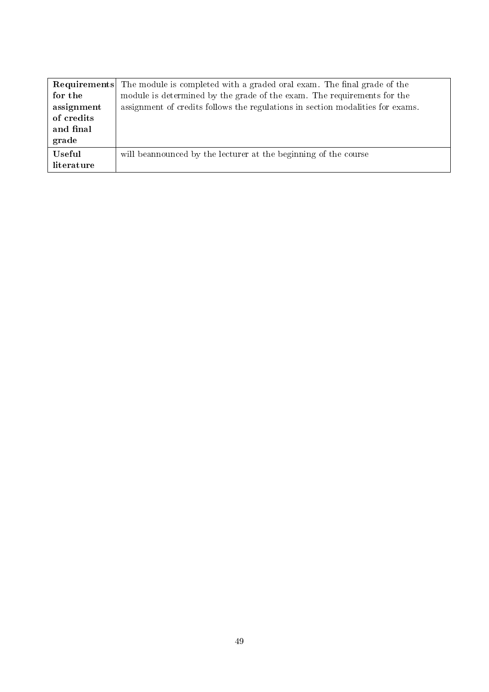|            | <b>Requirements</b> The module is completed with a graded oral exam. The final grade of the |
|------------|---------------------------------------------------------------------------------------------|
| for the    | module is determined by the grade of the exam. The requirements for the                     |
| assignment | assignment of credits follows the regulations in section modalities for exams.              |
| of credits |                                                                                             |
| and final  |                                                                                             |
| grade      |                                                                                             |
| Useful     | will be announced by the lecturer at the beginning of the course                            |
| literature |                                                                                             |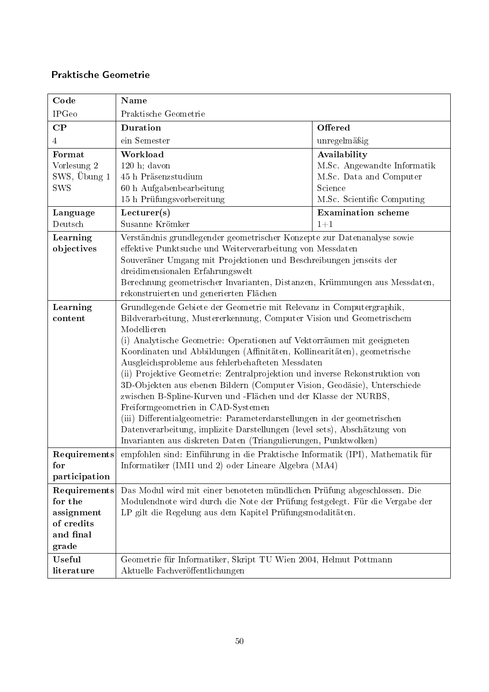### <span id="page-49-0"></span>Praktische Geometrie

| Code                                                                      | <b>Name</b>                                                                                                                                                                                                                                                                                                                                                                                                                                                                                                                                                                                                                                                                                                                                                                                                                                                          |                                                                                                                 |  |
|---------------------------------------------------------------------------|----------------------------------------------------------------------------------------------------------------------------------------------------------------------------------------------------------------------------------------------------------------------------------------------------------------------------------------------------------------------------------------------------------------------------------------------------------------------------------------------------------------------------------------------------------------------------------------------------------------------------------------------------------------------------------------------------------------------------------------------------------------------------------------------------------------------------------------------------------------------|-----------------------------------------------------------------------------------------------------------------|--|
| <b>IPGeo</b>                                                              | Praktische Geometrie                                                                                                                                                                                                                                                                                                                                                                                                                                                                                                                                                                                                                                                                                                                                                                                                                                                 |                                                                                                                 |  |
| $\bf CP$                                                                  | Duration                                                                                                                                                                                                                                                                                                                                                                                                                                                                                                                                                                                                                                                                                                                                                                                                                                                             | Offered                                                                                                         |  |
| 4                                                                         | ein Semester                                                                                                                                                                                                                                                                                                                                                                                                                                                                                                                                                                                                                                                                                                                                                                                                                                                         | unregelmäßig                                                                                                    |  |
| Format<br>Vorlesung 2<br>SWS, Übung 1<br><b>SWS</b>                       | Workload<br>$120$ h; davon<br>45 h Präsenzstudium<br>60 h Aufgabenbearbeitung<br>15 h Prüfungsvorbereitung                                                                                                                                                                                                                                                                                                                                                                                                                                                                                                                                                                                                                                                                                                                                                           | Availability<br>M.Sc. Angewandte Informatik<br>M.Sc. Data and Computer<br>Science<br>M.Sc. Scientific Computing |  |
| Language<br>Deutsch                                                       | Lecturer(s)<br>Susanne Krömker                                                                                                                                                                                                                                                                                                                                                                                                                                                                                                                                                                                                                                                                                                                                                                                                                                       | <b>Examination</b> scheme<br>$1+1$                                                                              |  |
| Learning<br>objectives                                                    | Verständnis grundlegender geometrischer Konzepte zur Datenanalyse sowie<br>effektive Punktsuche und Weiterverarbeitung von Messdaten<br>Souveräner Umgang mit Projektionen und Beschreibungen jenseits der<br>dreidimensionalen Erfahrungswelt<br>Berechnung geometrischer Invarianten, Distanzen, Krümmungen aus Messdaten,<br>rekonstruierten und generierten Flächen                                                                                                                                                                                                                                                                                                                                                                                                                                                                                              |                                                                                                                 |  |
| Learning<br>content                                                       | Grundlegende Gebiete der Geometrie mit Relevanz in Computergraphik,<br>Bildverarbeitung, Mustererkennung, Computer Vision und Geometrischem<br>Modellieren<br>(i) Analytische Geometrie: Operationen auf Vektorräumen mit geeigneten<br>Koordinaten und Abbildungen (Affinitäten, Kollinearitäten), geometrische<br>Ausgleichsprobleme aus fehlerbehafteten Messdaten<br>(ii) Projektive Geometrie: Zentralprojektion und inverse Rekonstruktion von<br>3D-Objekten aus ebenen Bildern (Computer Vision, Geodäsie), Unterschiede<br>zwischen B-Spline-Kurven und -Flächen und der Klasse der NURBS,<br>Freiformgeometrien in CAD-Systemen<br>(iii) Differentialgeometrie: Parameterdarstellungen in der geometrischen<br>Datenverarbeitung, implizite Darstellungen (level sets), Abschätzung von<br>Invarianten aus diskreten Daten (Triangulierungen, Punktwolken) |                                                                                                                 |  |
| Requirements<br>for<br>participation                                      | empfohlen sind: Einführung in die Praktische Informatik (IPI), Mathematik für<br>Informatiker (IMI1 und 2) oder Lineare Algebra (MA4)                                                                                                                                                                                                                                                                                                                                                                                                                                                                                                                                                                                                                                                                                                                                |                                                                                                                 |  |
| Requirements<br>for the<br>assignment<br>of credits<br>and final<br>grade | Das Modul wird mit einer benoteten mündlichen Prüfung abgeschlossen. Die<br>Modulendnote wird durch die Note der Prüfung festgelegt. Für die Vergabe der<br>LP gilt die Regelung aus dem Kapitel Prüfungsmodalitäten.                                                                                                                                                                                                                                                                                                                                                                                                                                                                                                                                                                                                                                                |                                                                                                                 |  |
| Useful<br>literature                                                      | Geometrie für Informatiker, Skript TU Wien 2004, Helmut Pottmann<br>Aktuelle Fachveröffentlichungen                                                                                                                                                                                                                                                                                                                                                                                                                                                                                                                                                                                                                                                                                                                                                                  |                                                                                                                 |  |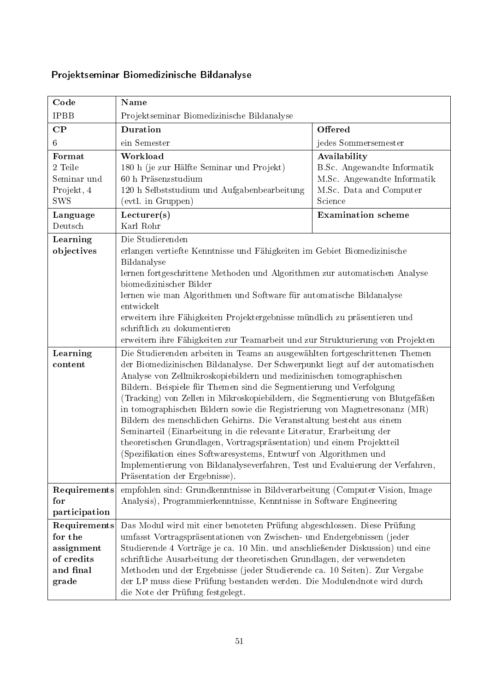| Code                                                                      | Name                                                                                                                                                                                                                                                                                                                                                                                                                                                                                                                                                                                                                                                                                                                                                                                                                                                                                          |                                                                                                                  |  |
|---------------------------------------------------------------------------|-----------------------------------------------------------------------------------------------------------------------------------------------------------------------------------------------------------------------------------------------------------------------------------------------------------------------------------------------------------------------------------------------------------------------------------------------------------------------------------------------------------------------------------------------------------------------------------------------------------------------------------------------------------------------------------------------------------------------------------------------------------------------------------------------------------------------------------------------------------------------------------------------|------------------------------------------------------------------------------------------------------------------|--|
| <b>IPBB</b>                                                               | Projektseminar Biomedizinische Bildanalyse                                                                                                                                                                                                                                                                                                                                                                                                                                                                                                                                                                                                                                                                                                                                                                                                                                                    |                                                                                                                  |  |
| $\bf CP$                                                                  | Duration<br>Offered                                                                                                                                                                                                                                                                                                                                                                                                                                                                                                                                                                                                                                                                                                                                                                                                                                                                           |                                                                                                                  |  |
| 6                                                                         | ein Semester                                                                                                                                                                                                                                                                                                                                                                                                                                                                                                                                                                                                                                                                                                                                                                                                                                                                                  | jedes Sommersemester                                                                                             |  |
| Format<br>2 Teile<br>Seminar und<br>Projekt, 4<br><b>SWS</b>              | Workload<br>180 h (je zur Hälfte Seminar und Projekt)<br>60 h Präsenzstudium<br>120 h Selbststudium und Aufgabenbearbeitung<br>(evtl. in Gruppen)                                                                                                                                                                                                                                                                                                                                                                                                                                                                                                                                                                                                                                                                                                                                             | Availability<br>B.Sc. Angewandte Informatik<br>M.Sc. Angewandte Informatik<br>M.Sc. Data and Computer<br>Science |  |
| Language<br>Deutsch                                                       | Lecturer(s)<br>Karl Rohr                                                                                                                                                                                                                                                                                                                                                                                                                                                                                                                                                                                                                                                                                                                                                                                                                                                                      | <b>Examination</b> scheme                                                                                        |  |
| Learning<br>objectives                                                    | Die Studierenden<br>erlangen vertiefte Kenntnisse und Fähigkeiten im Gebiet Biomedizinische<br>Bildanalyse<br>lernen fortgeschrittene Methoden und Algorithmen zur automatischen Analyse<br>biomedizinischer Bilder<br>lernen wie man Algorithmen und Software für automatische Bildanalyse<br>entwickelt<br>erweitern ihre Fähigkeiten Projektergebnisse mündlich zu präsentieren und<br>schriftlich zu dokumentieren<br>erweitern ihre Fähigkeiten zur Teamarbeit und zur Strukturierung von Projekten                                                                                                                                                                                                                                                                                                                                                                                      |                                                                                                                  |  |
| Learning<br>content                                                       | Die Studierenden arbeiten in Teams an ausgewählten fortgeschrittenen Themen<br>der Biomedizinischen Bildanalyse. Der Schwerpunkt liegt auf der automatischen<br>Analyse von Zellmikroskopiebildern und medizinischen tomographischen<br>Bildern. Beispiele für Themen sind die Segmentierung und Verfolgung<br>(Tracking) von Zellen in Mikroskopiebildern, die Segmentierung von Blutgefäßen<br>in tomographischen Bildern sowie die Registrierung von Magnetresonanz (MR)<br>Bildern des menschlichen Gehirns. Die Veranstaltung besteht aus einem<br>Seminarteil (Einarbeitung in die relevante Literatur, Erarbeitung der<br>theoretischen Grundlagen, Vortragspräsentation) und einem Projektteil<br>(Spezifikation eines Softwaresystems, Entwurf von Algorithmen und<br>Implementierung von Bildanalyseverfahren, Test und Evaluierung der Verfahren,<br>Präsentation der Ergebnisse). |                                                                                                                  |  |
| Requirements<br>for<br>participation                                      | empfohlen sind: Grundkenntnisse in Bildverarbeitung (Computer Vision, Image<br>Analysis), Programmierkenntnisse, Kenntnisse in Software Engineering                                                                                                                                                                                                                                                                                                                                                                                                                                                                                                                                                                                                                                                                                                                                           |                                                                                                                  |  |
| Requirements<br>for the<br>assignment<br>of credits<br>and final<br>grade | Das Modul wird mit einer benoteten Prüfung abgeschlossen. Diese Prüfung<br>umfasst Vortragspräsentationen von Zwischen- und Endergebnissen (jeder<br>Studierende 4 Vorträge je ca. 10 Min. und anschließender Diskussion) und eine<br>schriftliche Ausarbeitung der theoretischen Grundlagen, der verwendeten<br>Methoden und der Ergebnisse (jeder Studierende ca. 10 Seiten). Zur Vergabe<br>der LP muss diese Prüfung bestanden werden. Die Modulendnote wird durch<br>die Note der Prüfung festgelegt.                                                                                                                                                                                                                                                                                                                                                                                    |                                                                                                                  |  |

# <span id="page-50-0"></span>Projektseminar Biomedizinische Bildanalyse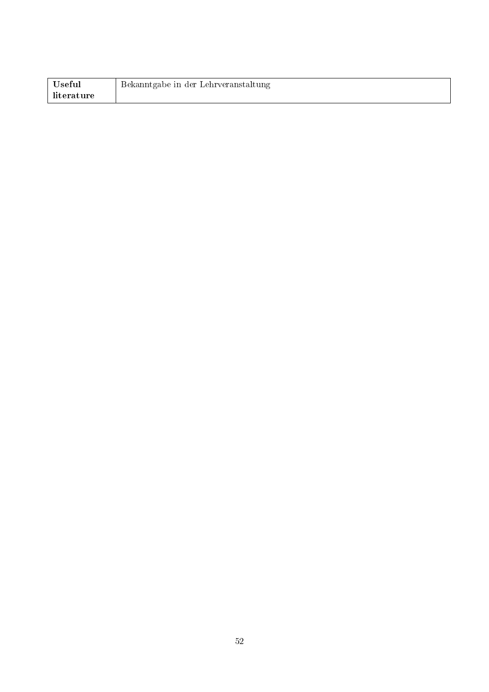| Useful     | Bekanntgabe in der Lehrveranstaltung |
|------------|--------------------------------------|
| literature |                                      |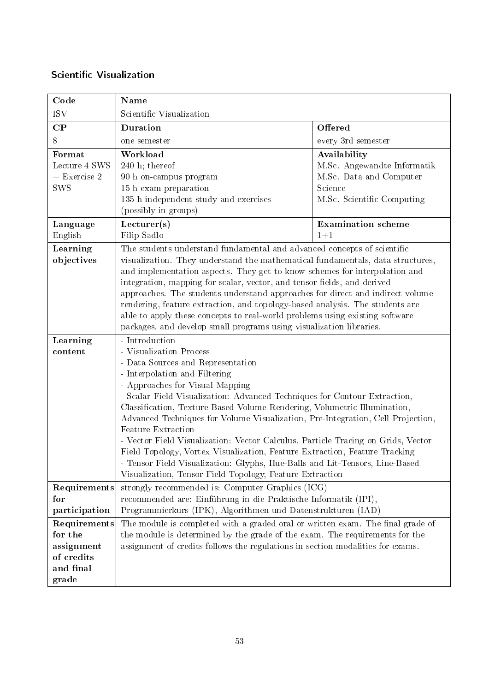### <span id="page-52-0"></span>Scientific Visualization

| Code                                                                      | Name                                                                                                                                                                                                                                                                                                                                                                                                                                                                                                                                                                                                                                                                                                                              |                                                                                                                 |  |
|---------------------------------------------------------------------------|-----------------------------------------------------------------------------------------------------------------------------------------------------------------------------------------------------------------------------------------------------------------------------------------------------------------------------------------------------------------------------------------------------------------------------------------------------------------------------------------------------------------------------------------------------------------------------------------------------------------------------------------------------------------------------------------------------------------------------------|-----------------------------------------------------------------------------------------------------------------|--|
| <b>ISV</b>                                                                | Scientific Visualization                                                                                                                                                                                                                                                                                                                                                                                                                                                                                                                                                                                                                                                                                                          |                                                                                                                 |  |
| $\bf CP$                                                                  | Duration                                                                                                                                                                                                                                                                                                                                                                                                                                                                                                                                                                                                                                                                                                                          | Offered                                                                                                         |  |
| 8                                                                         | one semester                                                                                                                                                                                                                                                                                                                                                                                                                                                                                                                                                                                                                                                                                                                      | every 3rd semester                                                                                              |  |
| Format<br>Lecture 4 SWS<br>$+$ Exercise 2<br><b>SWS</b>                   | Workload<br>$240$ h; thereof<br>90 h on-campus program<br>15 h exam preparation<br>135 h independent study and exercises<br>(possibly in groups)                                                                                                                                                                                                                                                                                                                                                                                                                                                                                                                                                                                  | Availability<br>M.Sc. Angewandte Informatik<br>M.Sc. Data and Computer<br>Science<br>M.Sc. Scientific Computing |  |
| Language<br>English                                                       | Lecturer(s)<br>Filip Sadlo                                                                                                                                                                                                                                                                                                                                                                                                                                                                                                                                                                                                                                                                                                        | <b>Examination</b> scheme<br>$1 + 1$                                                                            |  |
| Learning<br>objectives                                                    | The students understand fundamental and advanced concepts of scientific<br>visualization. They understand the mathematical fundamentals, data structures,<br>and implementation aspects. They get to know schemes for interpolation and<br>integration, mapping for scalar, vector, and tensor fields, and derived<br>approaches. The students understand approaches for direct and indirect volume<br>rendering, feature extraction, and topology-based analysis. The students are<br>able to apply these concepts to real-world problems using existing software<br>packages, and develop small programs using visualization libraries.                                                                                         |                                                                                                                 |  |
| Learning<br>content                                                       | - Introduction<br>- Visualization Process<br>- Data Sources and Representation<br>- Interpolation and Filtering<br>- Approaches for Visual Mapping<br>- Scalar Field Visualization: Advanced Techniques for Contour Extraction,<br>Classification, Texture-Based Volume Rendering, Volumetric Illumination,<br>Advanced Techniques for Volume Visualization, Pre-Integration, Cell Projection,<br>Feature Extraction<br>- Vector Field Visualization: Vector Calculus, Particle Tracing on Grids, Vector<br>Field Topology, Vortex Visualization, Feature Extraction, Feature Tracking<br>- Tensor Field Visualization: Glyphs, Hue-Balls and Lit-Tensors, Line-Based<br>Visualization, Tensor Field Topology, Feature Extraction |                                                                                                                 |  |
| Requirements<br>for<br>participation                                      | strongly recommended is: Computer Graphics (ICG)<br>recommended are: Einführung in die Praktische Informatik (IPI),<br>Programmierkurs (IPK), Algorithmen und Datenstrukturen (IAD)                                                                                                                                                                                                                                                                                                                                                                                                                                                                                                                                               |                                                                                                                 |  |
| Requirements<br>for the<br>assignment<br>of credits<br>and final<br>grade | The module is completed with a graded oral or written exam. The final grade of<br>the module is determined by the grade of the exam. The requirements for the<br>assignment of credits follows the regulations in section modalities for exams.                                                                                                                                                                                                                                                                                                                                                                                                                                                                                   |                                                                                                                 |  |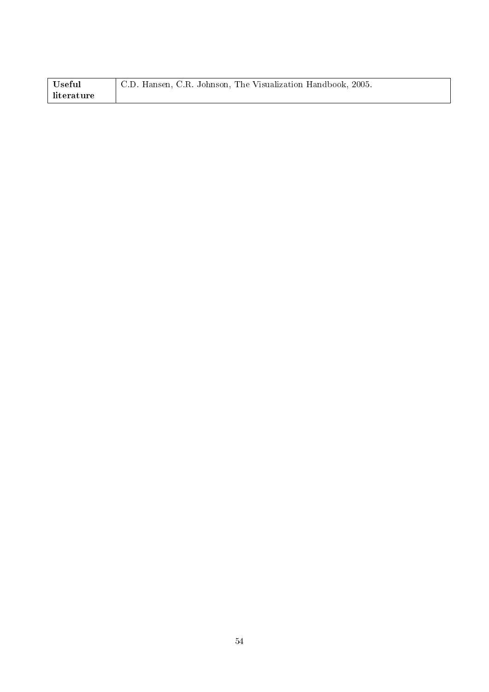| Useful     | C.D. Hansen, C.R. Johnson, The Visualization Handbook, 2005. |
|------------|--------------------------------------------------------------|
| literature |                                                              |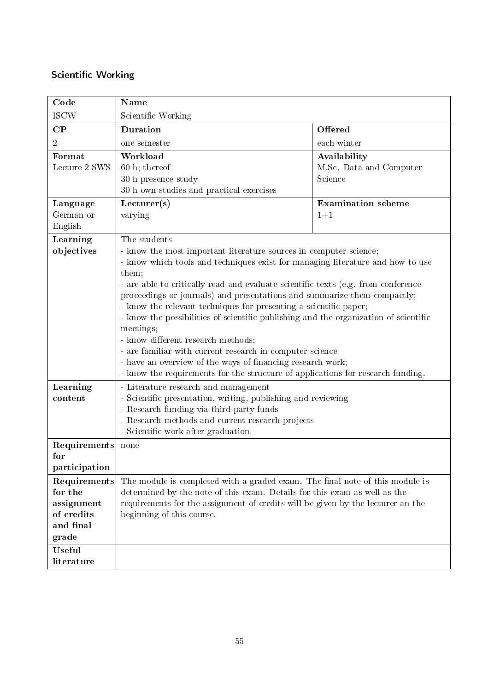# <span id="page-54-0"></span>Scientific Working

| Code                                                                      | Name                                                                                                                                                                                                                                                                                                                                                                                                                                                                                                                                                                                                                                                                                                                                                                       |                                                    |  |
|---------------------------------------------------------------------------|----------------------------------------------------------------------------------------------------------------------------------------------------------------------------------------------------------------------------------------------------------------------------------------------------------------------------------------------------------------------------------------------------------------------------------------------------------------------------------------------------------------------------------------------------------------------------------------------------------------------------------------------------------------------------------------------------------------------------------------------------------------------------|----------------------------------------------------|--|
| <b>ISCW</b>                                                               | Scientific Working                                                                                                                                                                                                                                                                                                                                                                                                                                                                                                                                                                                                                                                                                                                                                         |                                                    |  |
| $\bf CP$                                                                  | <b>Duration</b>                                                                                                                                                                                                                                                                                                                                                                                                                                                                                                                                                                                                                                                                                                                                                            | Offered                                            |  |
| $\overline{2}$                                                            | one semester                                                                                                                                                                                                                                                                                                                                                                                                                                                                                                                                                                                                                                                                                                                                                               | each winter                                        |  |
| Format<br>Lecture 2 SWS                                                   | Workload<br>$60$ h; thereof<br>30 h presence study<br>30 h own studies and practical exercises                                                                                                                                                                                                                                                                                                                                                                                                                                                                                                                                                                                                                                                                             | Availability<br>M.Sc. Data and Computer<br>Science |  |
| Language<br>German or<br>English                                          | Lecturer(s)<br>varying                                                                                                                                                                                                                                                                                                                                                                                                                                                                                                                                                                                                                                                                                                                                                     | <b>Examination</b> scheme<br>$1 + 1$               |  |
| Learning<br>objectives                                                    | The students<br>- know the most important literature sources in computer science;<br>- know which tools and techniques exist for managing literature and how to use<br>them;<br>- are able to critically read and evaluate scientific texts (e.g. from conference<br>proceedings or journals) and presentations and summarize them compactly;<br>- know the relevant techniques for presenting a scientific paper;<br>- know the possibilities of scientific publishing and the organization of scientific<br>meetings;<br>- know different research methods;<br>- are familiar with current research in computer science<br>- have an overview of the ways of financing research work;<br>- know the requirements for the structure of applications for research funding. |                                                    |  |
| Learning<br>content                                                       | - Literature research and management<br>- Scientific presentation, writing, publishing and reviewing<br>- Research funding via third-party funds<br>- Research methods and current research projects<br>- Scientific work after graduation                                                                                                                                                                                                                                                                                                                                                                                                                                                                                                                                 |                                                    |  |
| Requirements<br>for<br>participation                                      | none                                                                                                                                                                                                                                                                                                                                                                                                                                                                                                                                                                                                                                                                                                                                                                       |                                                    |  |
| Requirements<br>for the<br>assignment<br>of credits<br>and final<br>grade | The module is completed with a graded exam. The final note of this module is<br>determined by the note of this exam. Details for this exam as well as the<br>requirements for the assignment of credits will be given by the lecturer an the<br>beginning of this course.                                                                                                                                                                                                                                                                                                                                                                                                                                                                                                  |                                                    |  |
| <b>Useful</b><br>literature                                               |                                                                                                                                                                                                                                                                                                                                                                                                                                                                                                                                                                                                                                                                                                                                                                            |                                                    |  |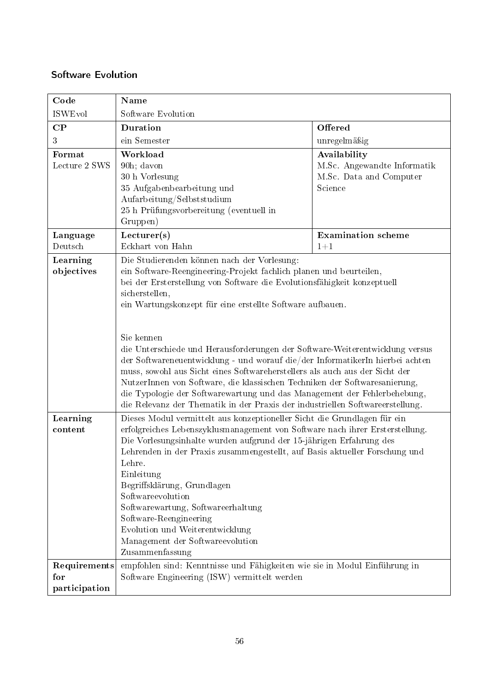### <span id="page-55-0"></span>Software Evolution

| Code                    | Name                                                                                                                                                                                                                                                                                                                                                                                                                                                                                                                                                                                                                                                                                                                                                                                 |                                                                                   |  |
|-------------------------|--------------------------------------------------------------------------------------------------------------------------------------------------------------------------------------------------------------------------------------------------------------------------------------------------------------------------------------------------------------------------------------------------------------------------------------------------------------------------------------------------------------------------------------------------------------------------------------------------------------------------------------------------------------------------------------------------------------------------------------------------------------------------------------|-----------------------------------------------------------------------------------|--|
| <b>ISWEvol</b>          | Software Evolution                                                                                                                                                                                                                                                                                                                                                                                                                                                                                                                                                                                                                                                                                                                                                                   |                                                                                   |  |
| $\bf CP$                | <b>Duration</b>                                                                                                                                                                                                                                                                                                                                                                                                                                                                                                                                                                                                                                                                                                                                                                      | Offered                                                                           |  |
| 3                       | ein Semester                                                                                                                                                                                                                                                                                                                                                                                                                                                                                                                                                                                                                                                                                                                                                                         | unregelmäßig                                                                      |  |
| Format<br>Lecture 2 SWS | Workload<br>90h; davon<br>30 h Vorlesung<br>35 Aufgabenbearbeitung und<br>Aufarbeitung/Selbststudium<br>25 h Prüfungsvorbereitung (eventuell in<br>Gruppen)                                                                                                                                                                                                                                                                                                                                                                                                                                                                                                                                                                                                                          | Availability<br>M.Sc. Angewandte Informatik<br>M.Sc. Data and Computer<br>Science |  |
| Language                | Lecturer(s)                                                                                                                                                                                                                                                                                                                                                                                                                                                                                                                                                                                                                                                                                                                                                                          | <b>Examination</b> scheme                                                         |  |
| Deutsch                 | Eckhart von Hahn                                                                                                                                                                                                                                                                                                                                                                                                                                                                                                                                                                                                                                                                                                                                                                     | $1 + 1$                                                                           |  |
| Learning<br>objectives  | Die Studierenden können nach der Vorlesung:<br>ein Software-Reengineering-Projekt fachlich planen und beurteilen,<br>bei der Ersterstellung von Software die Evolutionsfähigkeit konzeptuell<br>sicherstellen,<br>ein Wartungskonzept für eine erstellte Software aufbauen.<br>Sie kennen<br>die Unterschiede und Herausforderungen der Software-Weiterentwicklung versus<br>der Softwareneuentwicklung - und worauf die/der InformatikerIn hierbei achten<br>muss, sowohl aus Sicht eines Softwareherstellers als auch aus der Sicht der<br>NutzerInnen von Software, die klassischen Techniken der Softwaresanierung,<br>die Typologie der Softwarewartung und das Management der Fehlerbehebung,<br>die Relevanz der Thematik in der Praxis der industriellen Softwareerstellung. |                                                                                   |  |
| Learning<br>content     | Dieses Modul vermittelt aus konzeptioneller Sicht die Grundlagen für ein<br>erfolgreiches Lebenszyklusmanagement von Software nach ihrer Ersterstellung.<br>Die Vorlesungsinhalte wurden aufgrund der 15-jährigen Erfahrung des<br>Lehrenden in der Praxis zusammengestellt, auf Basis aktueller Forschung und<br>Lehre.<br>Einleitung<br>Begriffsklärung, Grundlagen<br>Softwareevolution<br>Softwarewartung, Softwareerhaltung<br>Software-Reengineering<br>Evolution und Weiterentwicklung<br>Management der Softwareevolution<br>Zusammenfassung                                                                                                                                                                                                                                 |                                                                                   |  |
| Requirements            | empfohlen sind: Kenntnisse und Fähigkeiten wie sie in Modul Einführung in                                                                                                                                                                                                                                                                                                                                                                                                                                                                                                                                                                                                                                                                                                            |                                                                                   |  |
| for                     | Software Engineering (ISW) vermittelt werden                                                                                                                                                                                                                                                                                                                                                                                                                                                                                                                                                                                                                                                                                                                                         |                                                                                   |  |
| participation           |                                                                                                                                                                                                                                                                                                                                                                                                                                                                                                                                                                                                                                                                                                                                                                                      |                                                                                   |  |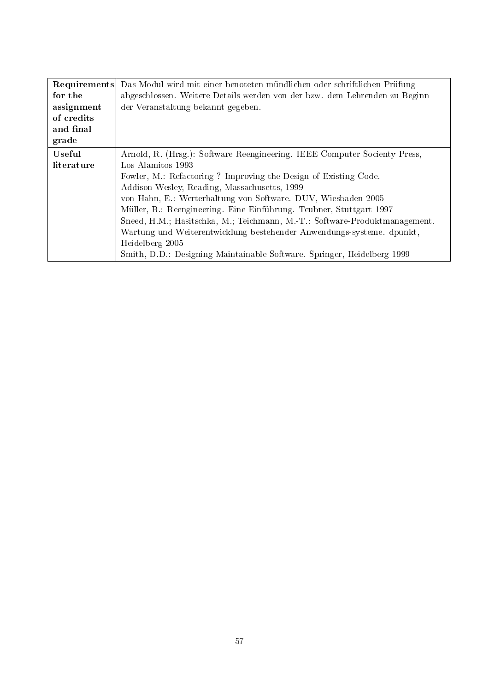| Requirements | Das Modul wird mit einer benoteten mündlichen oder schriftlichen Prüfung   |  |
|--------------|----------------------------------------------------------------------------|--|
| for the      | abgeschlossen. Weitere Details werden von der bzw. dem Lehrenden zu Beginn |  |
| assignment   | der Veranstaltung bekannt gegeben.                                         |  |
| of credits   |                                                                            |  |
| and final    |                                                                            |  |
| grade        |                                                                            |  |
| Useful       | Arnold, R. (Hrsg.): Software Reengineering. IEEE Computer Socienty Press,  |  |
| literature   | Los Alamitos 1993                                                          |  |
|              | Fowler, M.: Refactoring ? Improving the Design of Existing Code.           |  |
|              | Addison-Wesley, Reading, Massachusetts, 1999                               |  |
|              | von Hahn, E.: Werterhaltung von Software. DUV, Wiesbaden 2005              |  |
|              | Müller, B.: Reengineering. Eine Einführung. Teubner, Stuttgart 1997        |  |
|              | Sneed, H.M.; Hasitschka, M.; Teichmann, M.-T.: Software-Produktmanagement. |  |
|              | Wartung und Weiterentwicklung bestehender Anwendungs-systeme. dpunkt,      |  |
|              | Heidelberg 2005                                                            |  |
|              | Smith, D.D.: Designing Maintainable Software. Springer, Heidelberg 1999    |  |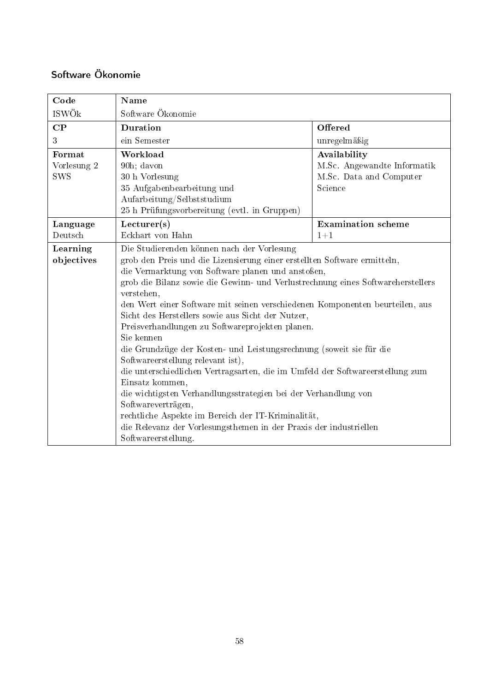# <span id="page-57-0"></span>Software Ökonomie

| Code                                | Name                                                                                                                                                                                                                                                                                                                                                                                                                                                                               |                                                                                   |
|-------------------------------------|------------------------------------------------------------------------------------------------------------------------------------------------------------------------------------------------------------------------------------------------------------------------------------------------------------------------------------------------------------------------------------------------------------------------------------------------------------------------------------|-----------------------------------------------------------------------------------|
| ISWÖk                               | Software Ökonomie                                                                                                                                                                                                                                                                                                                                                                                                                                                                  |                                                                                   |
| $\bf CP$                            | <b>Duration</b>                                                                                                                                                                                                                                                                                                                                                                                                                                                                    | Offered                                                                           |
| 3                                   | ein Semester                                                                                                                                                                                                                                                                                                                                                                                                                                                                       | unregelmäßig                                                                      |
| Format<br>Vorlesung 2<br><b>SWS</b> | Workload<br>90h; davon<br>30 h Vorlesung<br>35 Aufgabenbearbeitung und<br>Aufarbeitung/Selbststudium<br>25 h Prüfungsvorbereitung (evtl. in Gruppen)                                                                                                                                                                                                                                                                                                                               | Availability<br>M.Sc. Angewandte Informatik<br>M.Sc. Data and Computer<br>Science |
| Language                            | Lecturer(s)                                                                                                                                                                                                                                                                                                                                                                                                                                                                        | <b>Examination</b> scheme                                                         |
| Deutsch                             | Eckhart von Hahn                                                                                                                                                                                                                                                                                                                                                                                                                                                                   | $1 + 1$                                                                           |
| Learning<br>objectives              | Die Studierenden können nach der Vorlesung<br>grob den Preis und die Lizensierung einer erstellten Software ermitteln,<br>die Vermarktung von Software planen und anstoßen,<br>grob die Bilanz sowie die Gewinn- und Verlustrechnung eines Softwareherstellers<br>verstehen,<br>den Wert einer Software mit seinen verschiedenen Komponenten beurteilen, aus<br>Sicht des Herstellers sowie aus Sicht der Nutzer,<br>Preisverhandlungen zu Softwareprojekten planen.<br>Sie kennen |                                                                                   |
|                                     | die Grundzüge der Kosten- und Leistungsrechnung (soweit sie für die<br>Softwareerstellung relevant ist),<br>die unterschiedlichen Vertragsarten, die im Umfeld der Softwareerstellung zum<br>Einsatz kommen,<br>die wichtigsten Verhandlungsstrategien bei der Verhandlung von<br>Softwareverträgen,<br>rechtliche Aspekte im Bereich der IT-Kriminalität,<br>die Relevanz der Vorlesungsthemen in der Praxis der industriellen<br>Softwareerstellung.                             |                                                                                   |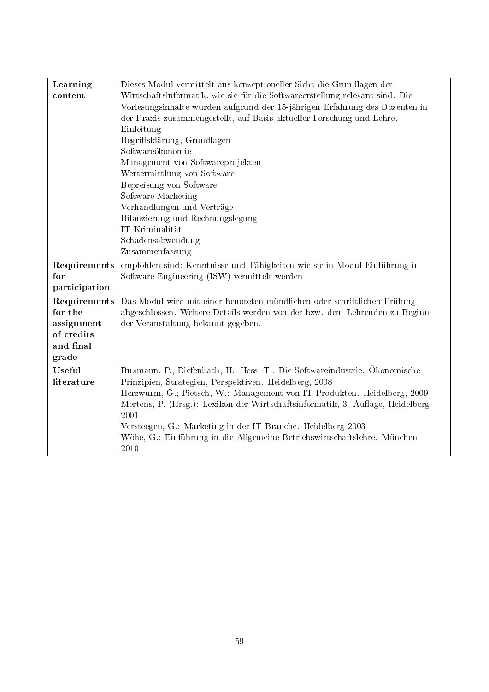| Learning      | Dieses Modul vermittelt aus konzeptioneller Sicht die Grundlagen der           |
|---------------|--------------------------------------------------------------------------------|
| content       | Wirtschaftsinformatik, wie sie für die Softwareerstellung relevant sind. Die   |
|               | Vorlesungsinhalte wurden aufgrund der 15-jährigen Erfahrung des Dozenten in    |
|               | der Praxis zusammengestellt, auf Basis aktueller Forschung und Lehre.          |
|               | Einleitung                                                                     |
|               | Begriffsklärung, Grundlagen                                                    |
|               | Softwareökonomie                                                               |
|               | Management von Softwareprojekten                                               |
|               | Wertermittlung von Software                                                    |
|               | Bepreisung von Software                                                        |
|               | Software-Marketing                                                             |
|               | Verhandlungen und Verträge                                                     |
|               | Bilanzierung und Rechnungslegung                                               |
|               | IT-Kriminalität                                                                |
|               | Schadensabwendung                                                              |
|               | Zusammenfassung                                                                |
| Requirements  | empfohlen sind: Kenntnisse und Fähigkeiten wie sie in Modul Einführung in      |
| for           | Software Engineering (ISW) vermittelt werden                                   |
| participation |                                                                                |
| Requirements  | Das Modul wird mit einer benoteten mündlichen oder schriftlichen Prüfung       |
| for the       | abgeschlossen. Weitere Details werden von der bzw. dem Lehrenden zu Beginn     |
| assignment    | der Veranstaltung bekannt gegeben.                                             |
| of credits    |                                                                                |
| and final     |                                                                                |
| grade         |                                                                                |
| Useful        | Buxmann, P.; Diefenbach, H.; Hess, T.: Die Softwareindustrie. Ökonomische      |
| literature    | Prinzipien, Strategien, Perspektiven. Heidelberg, 2008                         |
|               | Herzwurm, G.; Pietsch, W.: Management von IT-Produkten. Heidelberg, 2009       |
|               | Mertens, P. (Hrsg.): Lexikon der Wirtschaftsinformatik, 3. Auflage, Heidelberg |
|               | 2001                                                                           |
|               | Versteegen, G.: Marketing in der IT-Branche. Heidelberg 2003                   |
|               | Wöhe, G.: Einführung in die Allgemeine Betriebswirtschaftslehre. München       |
|               | 2010                                                                           |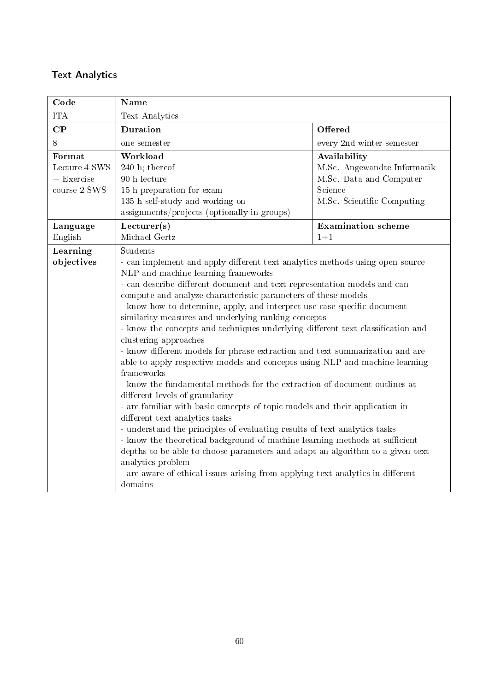### <span id="page-59-0"></span>Text Analytics

| Code                                                    | Name                                                                                                                                                                                                                                                                                                                                                                                                                                                                                                                                                                                                                                                                                                                                                                                                                                                                                                                                                                                                                                                                                                                                                                                                                                                                                                      |                                                                                                                 |
|---------------------------------------------------------|-----------------------------------------------------------------------------------------------------------------------------------------------------------------------------------------------------------------------------------------------------------------------------------------------------------------------------------------------------------------------------------------------------------------------------------------------------------------------------------------------------------------------------------------------------------------------------------------------------------------------------------------------------------------------------------------------------------------------------------------------------------------------------------------------------------------------------------------------------------------------------------------------------------------------------------------------------------------------------------------------------------------------------------------------------------------------------------------------------------------------------------------------------------------------------------------------------------------------------------------------------------------------------------------------------------|-----------------------------------------------------------------------------------------------------------------|
| <b>ITA</b>                                              | Text Analytics                                                                                                                                                                                                                                                                                                                                                                                                                                                                                                                                                                                                                                                                                                                                                                                                                                                                                                                                                                                                                                                                                                                                                                                                                                                                                            |                                                                                                                 |
| CP                                                      | Duration                                                                                                                                                                                                                                                                                                                                                                                                                                                                                                                                                                                                                                                                                                                                                                                                                                                                                                                                                                                                                                                                                                                                                                                                                                                                                                  | Offered                                                                                                         |
| 8                                                       | one semester                                                                                                                                                                                                                                                                                                                                                                                                                                                                                                                                                                                                                                                                                                                                                                                                                                                                                                                                                                                                                                                                                                                                                                                                                                                                                              | every 2nd winter semester                                                                                       |
| Format<br>Lecture 4 SWS<br>$+$ Exercise<br>course 2 SWS | Workload<br>$240$ h; thereof<br>90 h lecture<br>15 h preparation for exam<br>135 h self-study and working on<br>assignments/projects (optionally in groups)                                                                                                                                                                                                                                                                                                                                                                                                                                                                                                                                                                                                                                                                                                                                                                                                                                                                                                                                                                                                                                                                                                                                               | Availability<br>M.Sc. Angewandte Informatik<br>M.Sc. Data and Computer<br>Science<br>M.Sc. Scientific Computing |
| Language<br>English                                     | Lecturer(s)<br>Michael Gertz                                                                                                                                                                                                                                                                                                                                                                                                                                                                                                                                                                                                                                                                                                                                                                                                                                                                                                                                                                                                                                                                                                                                                                                                                                                                              | <b>Examination</b> scheme<br>$1 + 1$                                                                            |
| Learning<br>objectives                                  | Students<br>- can implement and apply different text analytics methods using open source<br>NLP and machine learning frameworks<br>- can describe different document and text representation models and can<br>compute and analyze characteristic parameters of these models<br>- know how to determine, apply, and interpret use-case specific document<br>similarity measures and underlying ranking concepts<br>- know the concepts and techniques underlying different text classification and<br>clustering approaches<br>- know different models for phrase extraction and text summarization and are<br>able to apply respective models and concepts using NLP and machine learning<br>frameworks<br>- know the fundamental methods for the extraction of document outlines at<br>different levels of granularity<br>- are familiar with basic concepts of topic models and their application in<br>different text analytics tasks<br>- understand the principles of evaluating results of text analytics tasks<br>- know the theoretical background of machine learning methods at sufficient<br>depths to be able to choose parameters and adapt an algorithm to a given text<br>analytics problem<br>- are aware of ethical issues arising from applying text analytics in different<br>domains |                                                                                                                 |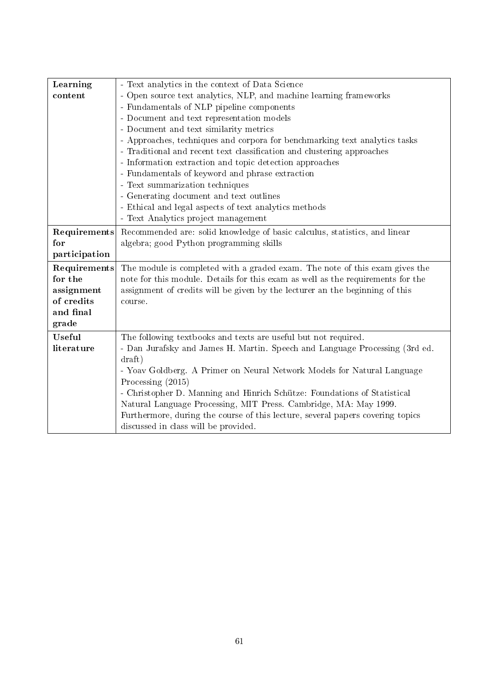| Learning      | - Text analytics in the context of Data Science                                 |
|---------------|---------------------------------------------------------------------------------|
| content       | - Open source text analytics, NLP, and machine learning frameworks              |
|               | - Fundamentals of NLP pipeline components                                       |
|               | - Document and text representation models                                       |
|               | - Document and text similarity metrics                                          |
|               | - Approaches, techniques and corpora for benchmarking text analytics tasks      |
|               | - Traditional and recent text classification and clustering approaches          |
|               | - Information extraction and topic detection approaches                         |
|               | - Fundamentals of keyword and phrase extraction                                 |
|               | - Text summarization techniques                                                 |
|               | - Generating document and text outlines                                         |
|               | - Ethical and legal aspects of text analytics methods                           |
|               | - Text Analytics project management                                             |
| Requirements  | Recommended are: solid knowledge of basic calculus, statistics, and linear      |
| for           | algebra; good Python programming skills                                         |
| participation |                                                                                 |
| Requirements  | The module is completed with a graded exam. The note of this exam gives the     |
| for the       | note for this module. Details for this exam as well as the requirements for the |
| assignment    | assignment of credits will be given by the lecturer an the beginning of this    |
| of credits    | course.                                                                         |
| and final     |                                                                                 |
| grade         |                                                                                 |
| Useful        | The following textbooks and texts are useful but not required.                  |
| literature    | - Dan Jurafsky and James H. Martin. Speech and Language Processing (3rd ed.     |
|               | draff                                                                           |
|               | - Yoav Goldberg. A Primer on Neural Network Models for Natural Language         |
|               | Processing $(2015)$                                                             |
|               | - Christopher D. Manning and Hinrich Schütze: Foundations of Statistical        |
|               | Natural Language Processing, MIT Press. Cambridge, MA: May 1999.                |
|               | Furthermore, during the course of this lecture, several papers covering topics  |
|               | discussed in class will be provided.                                            |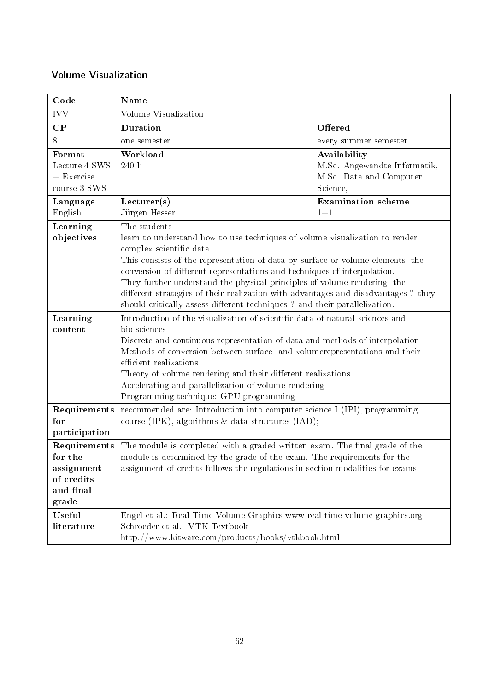### <span id="page-61-0"></span>Volume Visualization

| Code                                                                      | Name                                                                                                                                                                                                                                                                                                                                                                                                                                                                                                                                |                                                                                     |
|---------------------------------------------------------------------------|-------------------------------------------------------------------------------------------------------------------------------------------------------------------------------------------------------------------------------------------------------------------------------------------------------------------------------------------------------------------------------------------------------------------------------------------------------------------------------------------------------------------------------------|-------------------------------------------------------------------------------------|
| <b>IVV</b>                                                                | Volume Visualization                                                                                                                                                                                                                                                                                                                                                                                                                                                                                                                |                                                                                     |
| $\bf CP$                                                                  | Duration                                                                                                                                                                                                                                                                                                                                                                                                                                                                                                                            | Offered                                                                             |
| 8                                                                         | one semester                                                                                                                                                                                                                                                                                                                                                                                                                                                                                                                        | every summer semester                                                               |
| Format<br>Lecture 4 SWS<br>$+$ Exercise<br>course 3 SWS                   | Workload<br>$240\,$ h                                                                                                                                                                                                                                                                                                                                                                                                                                                                                                               | Availability<br>M.Sc. Angewandte Informatik,<br>M.Sc. Data and Computer<br>Science, |
| Language<br>English                                                       | Lecturer(s)<br>Jürgen Hesser                                                                                                                                                                                                                                                                                                                                                                                                                                                                                                        | <b>Examination</b> scheme<br>$1 + 1$                                                |
| Learning<br>objectives                                                    | The students<br>learn to understand how to use techniques of volume visualization to render<br>complex scientific data.<br>This consists of the representation of data by surface or volume elements, the<br>conversion of different representations and techniques of interpolation.<br>They further understand the physical principles of volume rendering, the<br>different strategies of their realization with advantages and disadvantages? they<br>should critically assess different techniques? and their parallelization. |                                                                                     |
| Learning<br>content                                                       | Introduction of the visualization of scientific data of natural sciences and<br>bio-sciences<br>Discrete and continuous representation of data and methods of interpolation<br>Methods of conversion between surface- and volumerepresentations and their<br>efficient realizations<br>Theory of volume rendering and their different realizations<br>Accelerating and parallelization of volume rendering<br>Programming technique: GPU-programming                                                                                |                                                                                     |
| Requirements<br>for<br>participation                                      | recommended are: Introduction into computer science I (IPI), programming<br>course (IPK), algorithms $\&$ data structures (IAD);                                                                                                                                                                                                                                                                                                                                                                                                    |                                                                                     |
| Requirements<br>for the<br>assignment<br>of credits<br>and final<br>grade | The module is completed with a graded written exam. The final grade of the<br>module is determined by the grade of the exam. The requirements for the<br>assignment of credits follows the regulations in section modalities for exams.                                                                                                                                                                                                                                                                                             |                                                                                     |
| Useful<br>literature                                                      | Engel et al.: Real-Time Volume Graphics www.real-time-volume-graphics.org,<br>Schroeder et al.: VTK Textbook<br>http://www.kitware.com/products/books/vtkbook.html                                                                                                                                                                                                                                                                                                                                                                  |                                                                                     |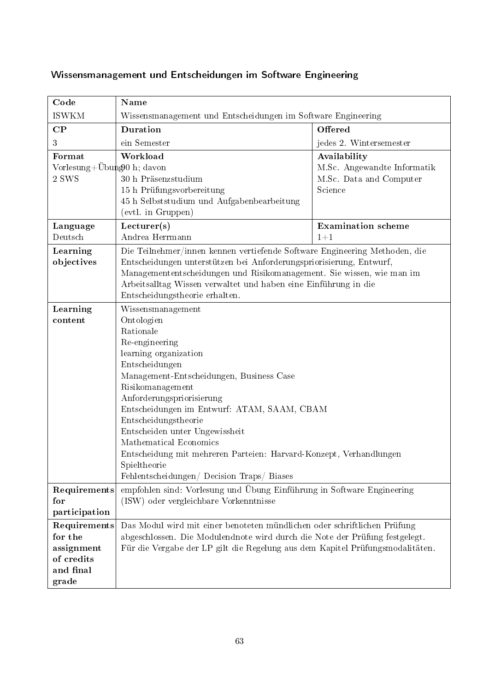| Code                                                                      | Name                                                                                                                                                                                                                                                                                                                                                                                                                                                                          |                                                                                   |
|---------------------------------------------------------------------------|-------------------------------------------------------------------------------------------------------------------------------------------------------------------------------------------------------------------------------------------------------------------------------------------------------------------------------------------------------------------------------------------------------------------------------------------------------------------------------|-----------------------------------------------------------------------------------|
| <b>ISWKM</b>                                                              | Wissensmanagement und Entscheidungen im Software Engineering                                                                                                                                                                                                                                                                                                                                                                                                                  |                                                                                   |
| $\bf CP$                                                                  | Duration                                                                                                                                                                                                                                                                                                                                                                                                                                                                      | Offered                                                                           |
| 3                                                                         | ein Semester                                                                                                                                                                                                                                                                                                                                                                                                                                                                  | jedes 2. Wintersemester                                                           |
| Format<br>Vorlesung+Übung0 h; davon<br>2 SWS                              | Workload<br>30 h Präsenzstudium<br>15 h Prüfungsvorbereitung<br>45 h Selbststudium und Aufgabenbearbeitung<br>(evtl. in Gruppen)                                                                                                                                                                                                                                                                                                                                              | Availability<br>M.Sc. Angewandte Informatik<br>M.Sc. Data and Computer<br>Science |
| Language<br>Deutsch                                                       | Lecturer(s)                                                                                                                                                                                                                                                                                                                                                                                                                                                                   | <b>Examination</b> scheme                                                         |
| Learning<br>objectives                                                    | Andrea Herrmann<br>$1 + 1$<br>Die Teilnehmer/innen kennen vertiefende Software Engineering Methoden, die<br>Entscheidungen unterstützen bei Anforderungspriorisierung, Entwurf,<br>Managemententscheidungen und Risikomanagement. Sie wissen, wie man im<br>Arbeitsalltag Wissen verwaltet und haben eine Einführung in die<br>Entscheidungstheorie erhalten.                                                                                                                 |                                                                                   |
| Learning<br>content                                                       | Wissensmanagement<br>Ontologien<br>Rationale<br>Re-engineering<br>learning organization<br>Entscheidungen<br>Management-Entscheidungen, Business Case<br>Risikomanagement<br>Anforderungspriorisierung<br>Entscheidungen im Entwurf: ATAM, SAAM, CBAM<br>Entscheidungstheorie<br>Entscheiden unter Ungewissheit<br>Mathematical Economics<br>Entscheidung mit mehreren Parteien: Harvard-Konzept, Verhandlungen<br>Spieltheorie<br>Fehlentscheidungen/ Decision Traps/ Biases |                                                                                   |
| Requirements<br>for<br>participation                                      | empfohlen sind: Vorlesung und Übung Einführung in Software Engineering<br>(ISW) oder vergleichbare Vorkenntnisse                                                                                                                                                                                                                                                                                                                                                              |                                                                                   |
| Requirements<br>for the<br>assignment<br>of credits<br>and final<br>grade | Das Modul wird mit einer benoteten mündlichen oder schriftlichen Prüfung<br>abgeschlossen. Die Modulendnote wird durch die Note der Prüfung festgelegt.<br>Für die Vergabe der LP gilt die Regelung aus dem Kapitel Prüfungsmodalitäten.                                                                                                                                                                                                                                      |                                                                                   |

# <span id="page-62-0"></span>Wissensmanagement und Entscheidungen im Software Engineering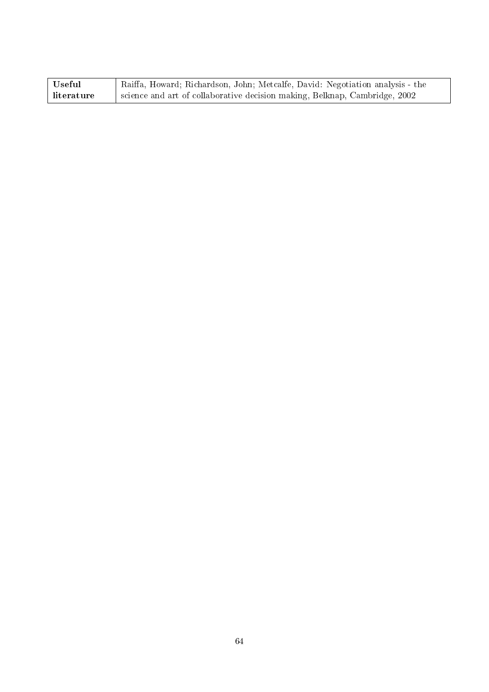| Useful     | Raiffa, Howard; Richardson, John; Metcalfe, David: Negotiation analysis - the |
|------------|-------------------------------------------------------------------------------|
| literature | science and art of collaborative decision making, Belknap, Cambridge, 2002    |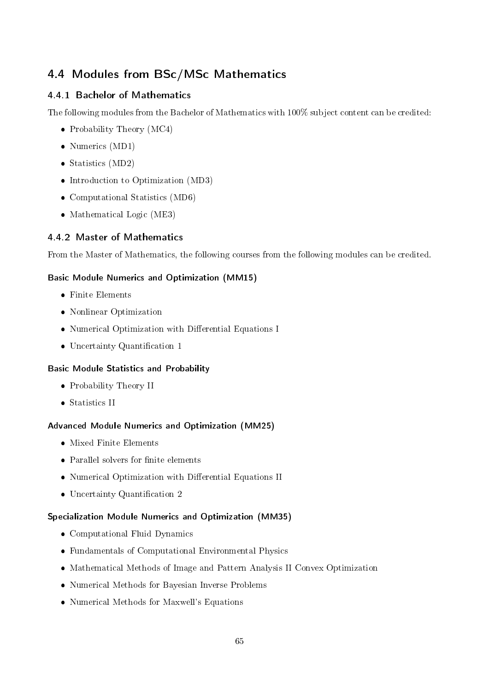### <span id="page-64-0"></span>4.4 Modules from BSc/MSc Mathematics

#### <span id="page-64-1"></span>4.4.1 Bachelor of Mathematics

The following modules from the Bachelor of Mathematics with 100% subject content can be credited:

- Probability Theory  $(MC4)$
- Numerics (MD1)
- Statistics (MD2)
- Introduction to Optimization (MD3)
- Computational Statistics (MD6)
- Mathematical Logic (ME3)

#### <span id="page-64-2"></span>4.4.2 Master of Mathematics

From the Master of Mathematics, the following courses from the following modules can be credited.

#### Basic Module Numerics and Optimization (MM15)

- Finite Elements
- Nonlinear Optimization
- $\bullet$  Numerical Optimization with Differential Equations I
- Uncertainty Quantification 1

#### Basic Module Statistics and Probability

- Probability Theory II
- Statistics II

#### Advanced Module Numerics and Optimization (MM25)

- Mixed Finite Elements
- $\bullet$  Parallel solvers for finite elements
- Numerical Optimization with Differential Equations II
- $\bullet$  Uncertainty Quantification 2

#### Specialization Module Numerics and Optimization (MM35)

- Computational Fluid Dynamics
- Fundamentals of Computational Environmental Physics
- Mathematical Methods of Image and Pattern Analysis II Convex Optimization
- Numerical Methods for Bayesian Inverse Problems
- Numerical Methods for Maxwell's Equations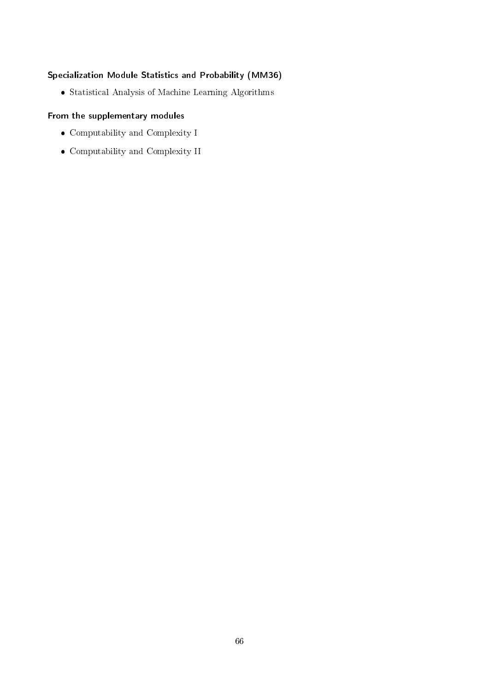#### Specialization Module Statistics and Probability (MM36)

Statistical Analysis of Machine Learning Algorithms

#### From the supplementary modules

- Computability and Complexity I
- Computability and Complexity II